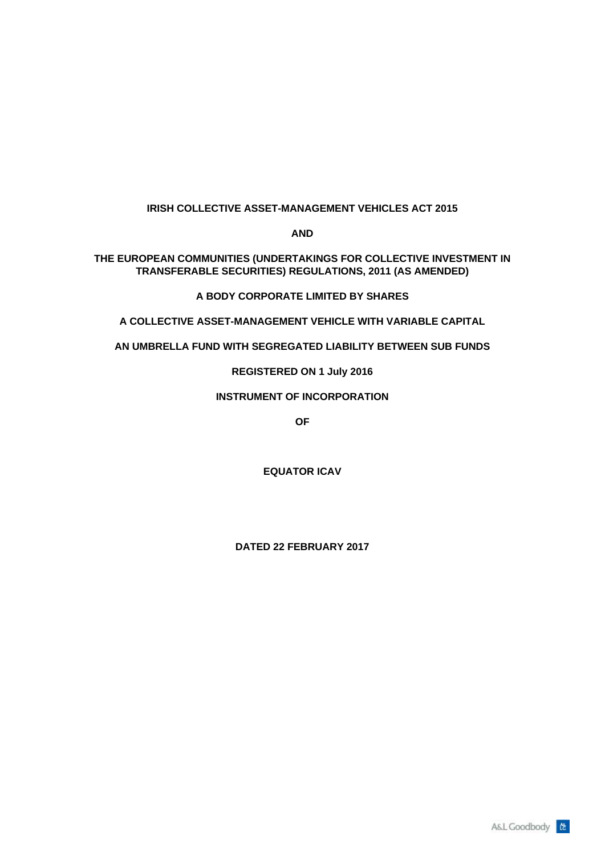# **IRISH COLLECTIVE ASSET-MANAGEMENT VEHICLES ACT 2015**

**AND** 

**THE EUROPEAN COMMUNITIES (UNDERTAKINGS FOR COLLECTIVE INVESTMENT IN TRANSFERABLE SECURITIES) REGULATIONS, 2011 (AS AMENDED)**

# **A BODY CORPORATE LIMITED BY SHARES**

**A COLLECTIVE ASSET-MANAGEMENT VEHICLE WITH VARIABLE CAPITAL**

**AN UMBRELLA FUND WITH SEGREGATED LIABILITY BETWEEN SUB FUNDS**

**REGISTERED ON 1 July 2016**

## **INSTRUMENT OF INCORPORATION**

**OF** 

**EQUATOR ICAV**

**DATED 22 FEBRUARY 2017**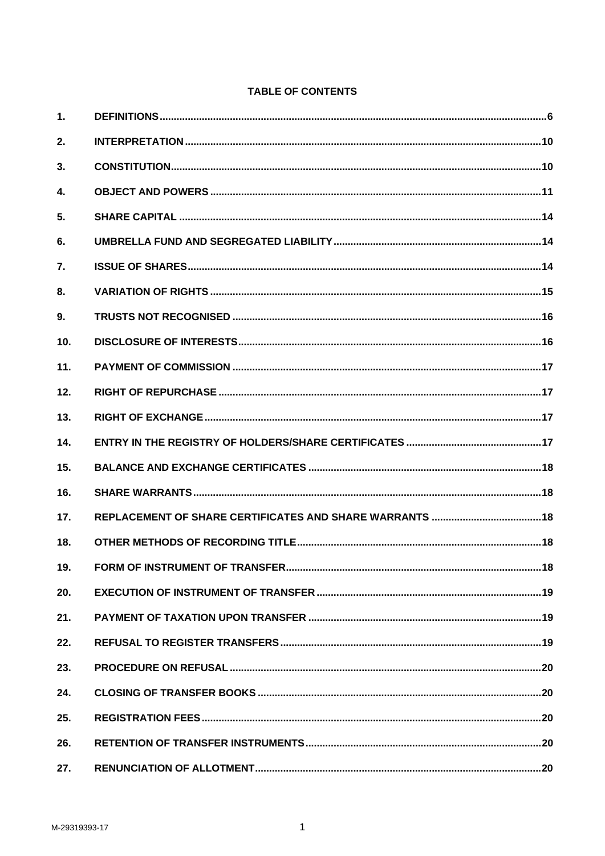# **TABLE OF CONTENTS**

| 1.           |  |
|--------------|--|
| 2.           |  |
| 3.           |  |
| $\mathbf{4}$ |  |
| 5.           |  |
| 6.           |  |
| 7.           |  |
| 8.           |  |
| 9.           |  |
| 10.          |  |
| 11.          |  |
| 12.          |  |
| 13.          |  |
| 14.          |  |
| 15.          |  |
| 16.          |  |
| 17.          |  |
| 18.          |  |
|              |  |
| 20.          |  |
| 21.          |  |
| 22.          |  |
| 23.          |  |
| 24.          |  |
| 25.          |  |
| 26.          |  |
| 27.          |  |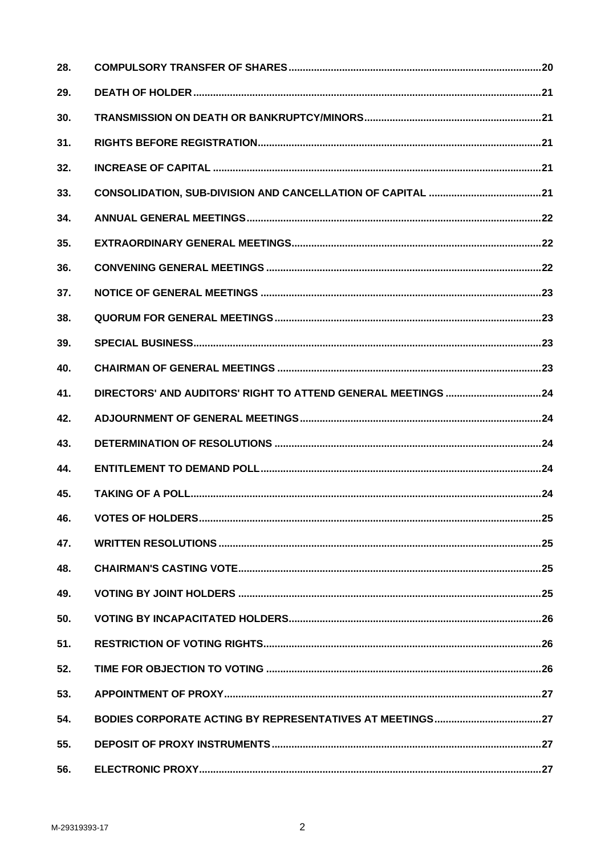| 28. |  |
|-----|--|
| 29. |  |
| 30. |  |
| 31. |  |
| 32. |  |
| 33. |  |
| 34. |  |
| 35. |  |
| 36. |  |
| 37. |  |
| 38. |  |
| 39. |  |
| 40. |  |
| 41. |  |
| 42. |  |
| 43. |  |
| 44. |  |
| 45. |  |
| 46. |  |
| 47. |  |
| 48. |  |
| 49. |  |
| 50. |  |
| 51. |  |
| 52. |  |
| 53. |  |
| 54. |  |
| 55. |  |
| 56. |  |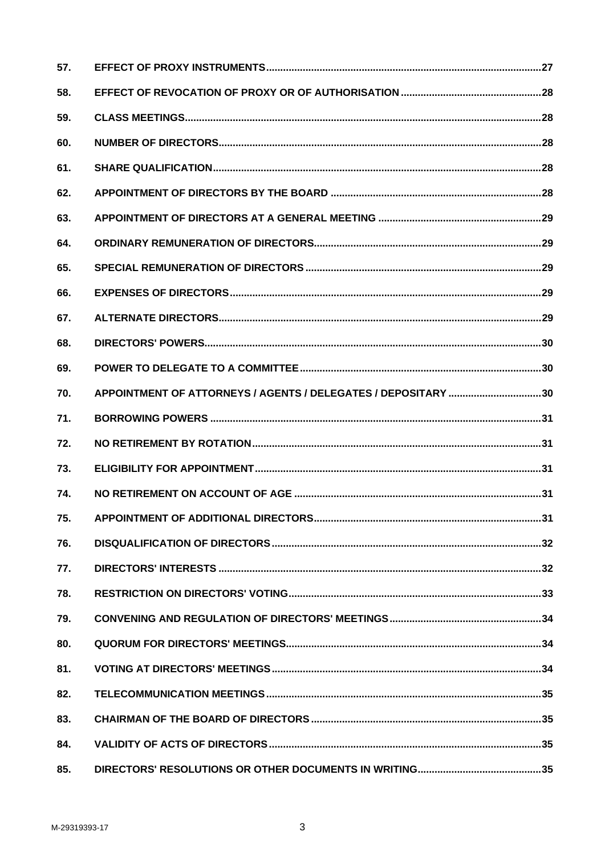| 57. |                                                               |  |
|-----|---------------------------------------------------------------|--|
| 58. |                                                               |  |
| 59. |                                                               |  |
| 60. |                                                               |  |
| 61. |                                                               |  |
| 62. |                                                               |  |
| 63. |                                                               |  |
| 64. |                                                               |  |
| 65. |                                                               |  |
| 66. |                                                               |  |
| 67. |                                                               |  |
| 68. |                                                               |  |
| 69. |                                                               |  |
| 70. | APPOINTMENT OF ATTORNEYS / AGENTS / DELEGATES / DEPOSITARY 30 |  |
| 71. |                                                               |  |
| 72. |                                                               |  |
| 73. |                                                               |  |
| 74. |                                                               |  |
| 75. |                                                               |  |
| 76. |                                                               |  |
| 77. |                                                               |  |
| 78. |                                                               |  |
| 79. |                                                               |  |
| 80. |                                                               |  |
| 81. |                                                               |  |
| 82. |                                                               |  |
| 83. |                                                               |  |
| 84. |                                                               |  |
| 85. |                                                               |  |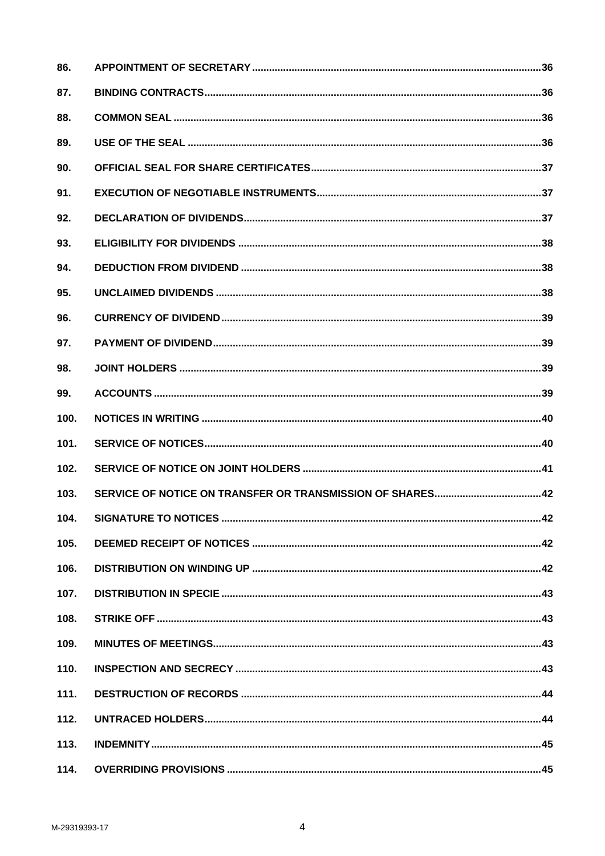| 86.  |  |
|------|--|
| 87.  |  |
| 88.  |  |
| 89.  |  |
| 90.  |  |
| 91.  |  |
| 92.  |  |
| 93.  |  |
| 94.  |  |
| 95.  |  |
| 96.  |  |
| 97.  |  |
| 98.  |  |
| 99.  |  |
| 100. |  |
| 101. |  |
| 102. |  |
| 103. |  |
| 104. |  |
| 105. |  |
| 106. |  |
| 107. |  |
| 108. |  |
| 109. |  |
| 110. |  |
| 111. |  |
| 112. |  |
| 113. |  |
| 114. |  |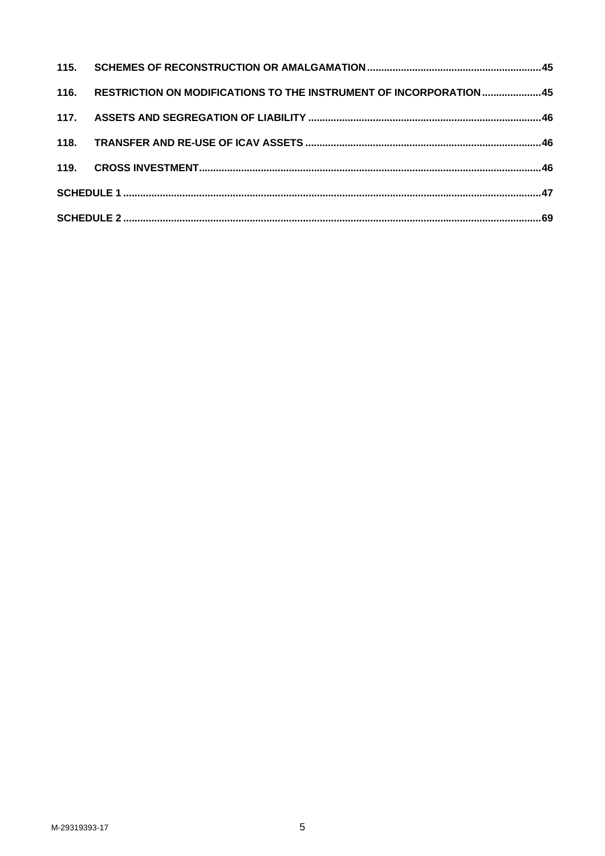|  | 116. RESTRICTION ON MODIFICATIONS TO THE INSTRUMENT OF INCORPORATION 45 |  |
|--|-------------------------------------------------------------------------|--|
|  |                                                                         |  |
|  |                                                                         |  |
|  |                                                                         |  |
|  |                                                                         |  |
|  |                                                                         |  |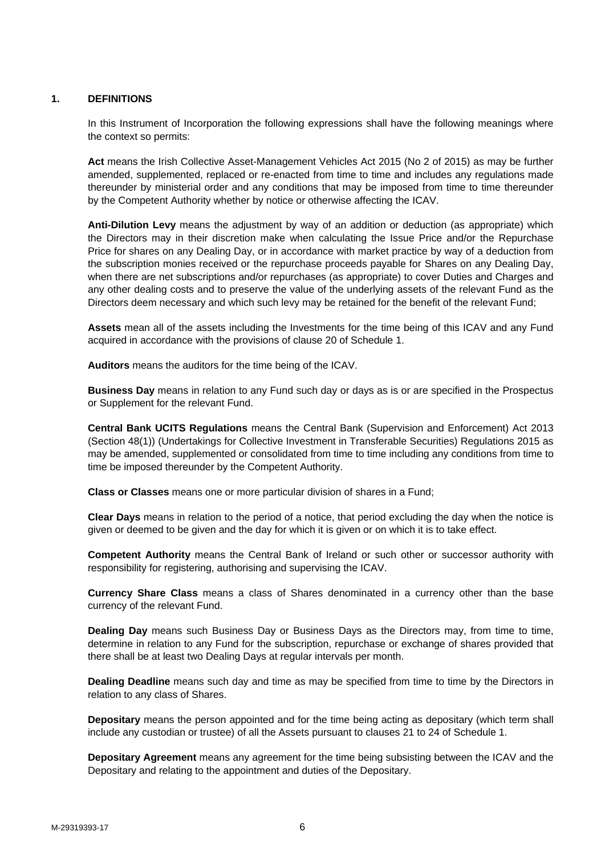## **1. DEFINITIONS**

In this Instrument of Incorporation the following expressions shall have the following meanings where the context so permits:

**Act** means the Irish Collective Asset-Management Vehicles Act 2015 (No 2 of 2015) as may be further amended, supplemented, replaced or re-enacted from time to time and includes any regulations made thereunder by ministerial order and any conditions that may be imposed from time to time thereunder by the Competent Authority whether by notice or otherwise affecting the ICAV.

**Anti-Dilution Levy** means the adjustment by way of an addition or deduction (as appropriate) which the Directors may in their discretion make when calculating the Issue Price and/or the Repurchase Price for shares on any Dealing Day, or in accordance with market practice by way of a deduction from the subscription monies received or the repurchase proceeds payable for Shares on any Dealing Day, when there are net subscriptions and/or repurchases (as appropriate) to cover Duties and Charges and any other dealing costs and to preserve the value of the underlying assets of the relevant Fund as the Directors deem necessary and which such levy may be retained for the benefit of the relevant Fund;

**Assets** mean all of the assets including the Investments for the time being of this ICAV and any Fund acquired in accordance with the provisions of clause 20 of Schedule 1.

**Auditors** means the auditors for the time being of the ICAV.

**Business Day** means in relation to any Fund such day or days as is or are specified in the Prospectus or Supplement for the relevant Fund.

**Central Bank UCITS Regulations** means the Central Bank (Supervision and Enforcement) Act 2013 (Section 48(1)) (Undertakings for Collective Investment in Transferable Securities) Regulations 2015 as may be amended, supplemented or consolidated from time to time including any conditions from time to time be imposed thereunder by the Competent Authority.

**Class or Classes** means one or more particular division of shares in a Fund;

**Clear Days** means in relation to the period of a notice, that period excluding the day when the notice is given or deemed to be given and the day for which it is given or on which it is to take effect.

**Competent Authority** means the Central Bank of Ireland or such other or successor authority with responsibility for registering, authorising and supervising the ICAV.

**Currency Share Class** means a class of Shares denominated in a currency other than the base currency of the relevant Fund.

**Dealing Day** means such Business Day or Business Days as the Directors may, from time to time, determine in relation to any Fund for the subscription, repurchase or exchange of shares provided that there shall be at least two Dealing Days at regular intervals per month.

**Dealing Deadline** means such day and time as may be specified from time to time by the Directors in relation to any class of Shares.

**Depositary** means the person appointed and for the time being acting as depositary (which term shall include any custodian or trustee) of all the Assets pursuant to clauses 21 to 24 of Schedule 1.

**Depositary Agreement** means any agreement for the time being subsisting between the ICAV and the Depositary and relating to the appointment and duties of the Depositary.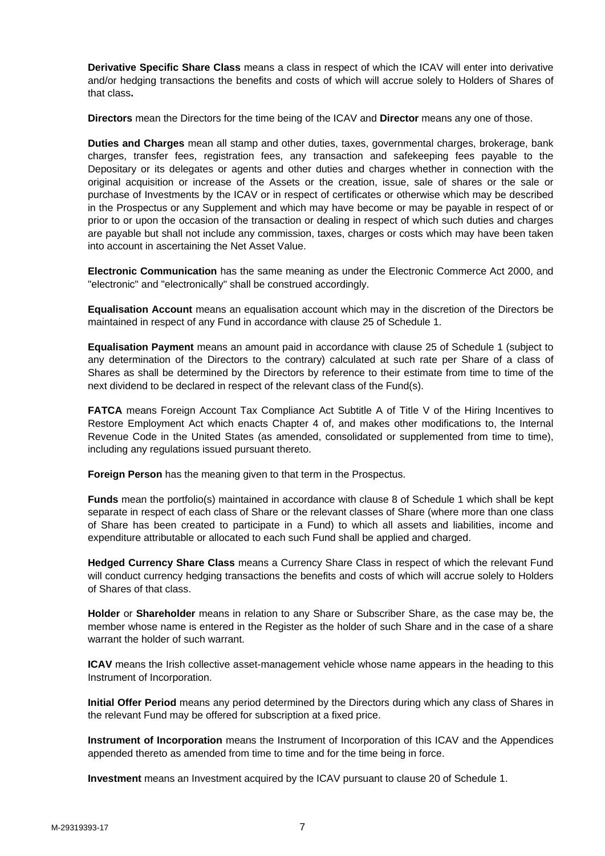**Derivative Specific Share Class** means a class in respect of which the ICAV will enter into derivative and/or hedging transactions the benefits and costs of which will accrue solely to Holders of Shares of that class**.**

**Directors** mean the Directors for the time being of the ICAV and **Director** means any one of those.

**Duties and Charges** mean all stamp and other duties, taxes, governmental charges, brokerage, bank charges, transfer fees, registration fees, any transaction and safekeeping fees payable to the Depositary or its delegates or agents and other duties and charges whether in connection with the original acquisition or increase of the Assets or the creation, issue, sale of shares or the sale or purchase of Investments by the ICAV or in respect of certificates or otherwise which may be described in the Prospectus or any Supplement and which may have become or may be payable in respect of or prior to or upon the occasion of the transaction or dealing in respect of which such duties and charges are payable but shall not include any commission, taxes, charges or costs which may have been taken into account in ascertaining the Net Asset Value.

**Electronic Communication** has the same meaning as under the Electronic Commerce Act 2000, and "electronic" and "electronically" shall be construed accordingly.

**Equalisation Account** means an equalisation account which may in the discretion of the Directors be maintained in respect of any Fund in accordance with clause 25 of Schedule 1.

**Equalisation Payment** means an amount paid in accordance with clause 25 of Schedule 1 (subject to any determination of the Directors to the contrary) calculated at such rate per Share of a class of Shares as shall be determined by the Directors by reference to their estimate from time to time of the next dividend to be declared in respect of the relevant class of the Fund(s).

**FATCA** means Foreign Account Tax Compliance Act Subtitle A of Title V of the Hiring Incentives to Restore Employment Act which enacts Chapter 4 of, and makes other modifications to, the Internal Revenue Code in the United States (as amended, consolidated or supplemented from time to time), including any regulations issued pursuant thereto.

**Foreign Person** has the meaning given to that term in the Prospectus.

**Funds** mean the portfolio(s) maintained in accordance with clause 8 of Schedule 1 which shall be kept separate in respect of each class of Share or the relevant classes of Share (where more than one class of Share has been created to participate in a Fund) to which all assets and liabilities, income and expenditure attributable or allocated to each such Fund shall be applied and charged.

**Hedged Currency Share Class** means a Currency Share Class in respect of which the relevant Fund will conduct currency hedging transactions the benefits and costs of which will accrue solely to Holders of Shares of that class.

**Holder** or **Shareholder** means in relation to any Share or Subscriber Share, as the case may be, the member whose name is entered in the Register as the holder of such Share and in the case of a share warrant the holder of such warrant.

**ICAV** means the Irish collective asset-management vehicle whose name appears in the heading to this Instrument of Incorporation.

**Initial Offer Period** means any period determined by the Directors during which any class of Shares in the relevant Fund may be offered for subscription at a fixed price.

**Instrument of Incorporation** means the Instrument of Incorporation of this ICAV and the Appendices appended thereto as amended from time to time and for the time being in force.

**Investment** means an Investment acquired by the ICAV pursuant to clause 20 of Schedule 1.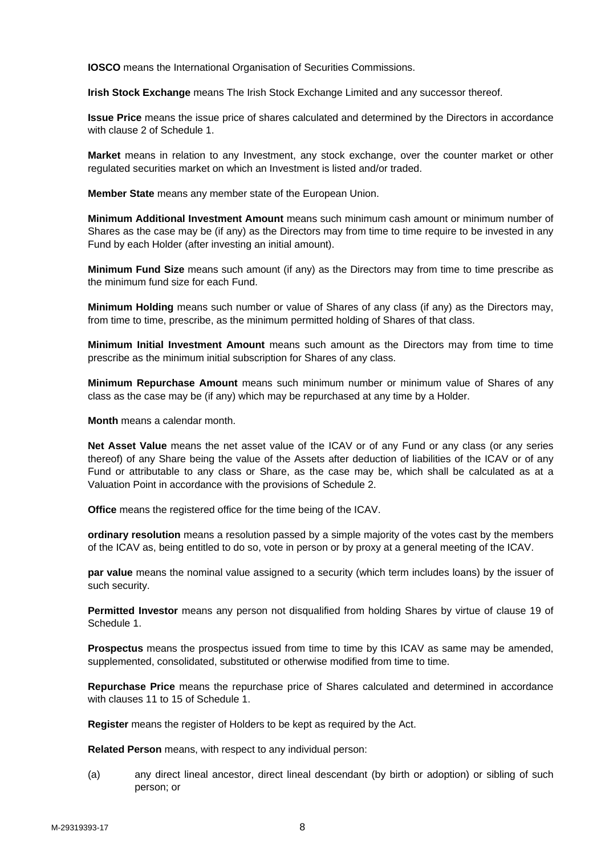**IOSCO** means the International Organisation of Securities Commissions.

**Irish Stock Exchange** means The Irish Stock Exchange Limited and any successor thereof.

**Issue Price** means the issue price of shares calculated and determined by the Directors in accordance with clause 2 of Schedule 1.

**Market** means in relation to any Investment, any stock exchange, over the counter market or other regulated securities market on which an Investment is listed and/or traded.

**Member State** means any member state of the European Union.

**Minimum Additional Investment Amount** means such minimum cash amount or minimum number of Shares as the case may be (if any) as the Directors may from time to time require to be invested in any Fund by each Holder (after investing an initial amount).

**Minimum Fund Size** means such amount (if any) as the Directors may from time to time prescribe as the minimum fund size for each Fund.

**Minimum Holding** means such number or value of Shares of any class (if any) as the Directors may, from time to time, prescribe, as the minimum permitted holding of Shares of that class.

**Minimum Initial Investment Amount** means such amount as the Directors may from time to time prescribe as the minimum initial subscription for Shares of any class.

**Minimum Repurchase Amount** means such minimum number or minimum value of Shares of any class as the case may be (if any) which may be repurchased at any time by a Holder.

**Month** means a calendar month.

**Net Asset Value** means the net asset value of the ICAV or of any Fund or any class (or any series thereof) of any Share being the value of the Assets after deduction of liabilities of the ICAV or of any Fund or attributable to any class or Share, as the case may be, which shall be calculated as at a Valuation Point in accordance with the provisions of Schedule 2.

**Office** means the registered office for the time being of the ICAV.

**ordinary resolution** means a resolution passed by a simple majority of the votes cast by the members of the ICAV as, being entitled to do so, vote in person or by proxy at a general meeting of the ICAV.

**par value** means the nominal value assigned to a security (which term includes loans) by the issuer of such security.

**Permitted Investor** means any person not disqualified from holding Shares by virtue of clause 19 of Schedule 1.

**Prospectus** means the prospectus issued from time to time by this ICAV as same may be amended, supplemented, consolidated, substituted or otherwise modified from time to time.

**Repurchase Price** means the repurchase price of Shares calculated and determined in accordance with clauses 11 to 15 of Schedule 1.

**Register** means the register of Holders to be kept as required by the Act.

**Related Person** means, with respect to any individual person:

(a) any direct lineal ancestor, direct lineal descendant (by birth or adoption) or sibling of such person; or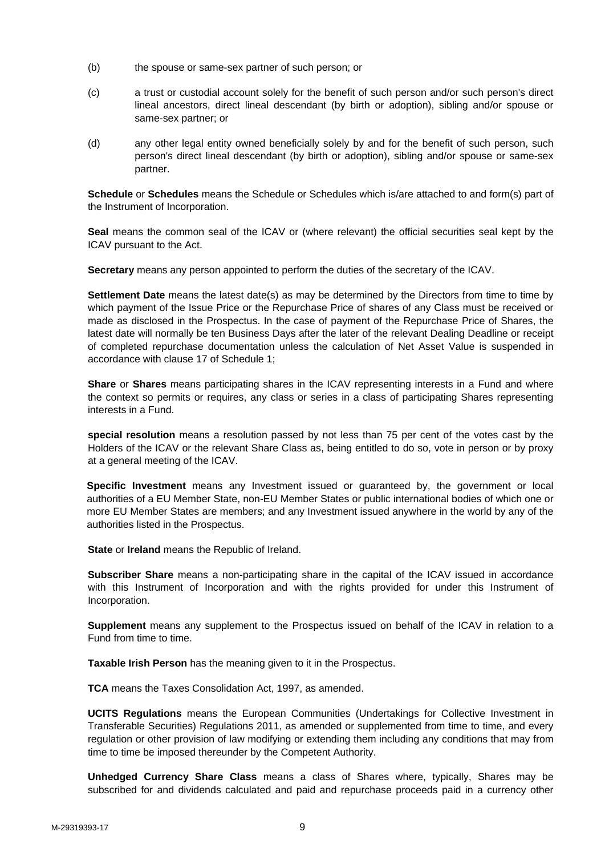- (b) the spouse or same-sex partner of such person; or
- (c) a trust or custodial account solely for the benefit of such person and/or such person's direct lineal ancestors, direct lineal descendant (by birth or adoption), sibling and/or spouse or same-sex partner; or
- (d) any other legal entity owned beneficially solely by and for the benefit of such person, such person's direct lineal descendant (by birth or adoption), sibling and/or spouse or same-sex partner.

**Schedule** or **Schedules** means the Schedule or Schedules which is/are attached to and form(s) part of the Instrument of Incorporation.

**Seal** means the common seal of the ICAV or (where relevant) the official securities seal kept by the ICAV pursuant to the Act.

**Secretary** means any person appointed to perform the duties of the secretary of the ICAV.

**Settlement Date** means the latest date(s) as may be determined by the Directors from time to time by which payment of the Issue Price or the Repurchase Price of shares of any Class must be received or made as disclosed in the Prospectus. In the case of payment of the Repurchase Price of Shares, the latest date will normally be ten Business Days after the later of the relevant Dealing Deadline or receipt of completed repurchase documentation unless the calculation of Net Asset Value is suspended in accordance with clause 17 of Schedule 1;

**Share** or **Shares** means participating shares in the ICAV representing interests in a Fund and where the context so permits or requires, any class or series in a class of participating Shares representing interests in a Fund.

**special resolution** means a resolution passed by not less than 75 per cent of the votes cast by the Holders of the ICAV or the relevant Share Class as, being entitled to do so, vote in person or by proxy at a general meeting of the ICAV.

**Specific Investment** means any Investment issued or guaranteed by, the government or local authorities of a EU Member State, non-EU Member States or public international bodies of which one or more EU Member States are members; and any Investment issued anywhere in the world by any of the authorities listed in the Prospectus.

**State** or **Ireland** means the Republic of Ireland.

**Subscriber Share** means a non-participating share in the capital of the ICAV issued in accordance with this Instrument of Incorporation and with the rights provided for under this Instrument of Incorporation.

**Supplement** means any supplement to the Prospectus issued on behalf of the ICAV in relation to a Fund from time to time.

**Taxable Irish Person** has the meaning given to it in the Prospectus.

**TCA** means the Taxes Consolidation Act, 1997, as amended.

**UCITS Regulations** means the European Communities (Undertakings for Collective Investment in Transferable Securities) Regulations 2011, as amended or supplemented from time to time, and every regulation or other provision of law modifying or extending them including any conditions that may from time to time be imposed thereunder by the Competent Authority.

**Unhedged Currency Share Class** means a class of Shares where, typically, Shares may be subscribed for and dividends calculated and paid and repurchase proceeds paid in a currency other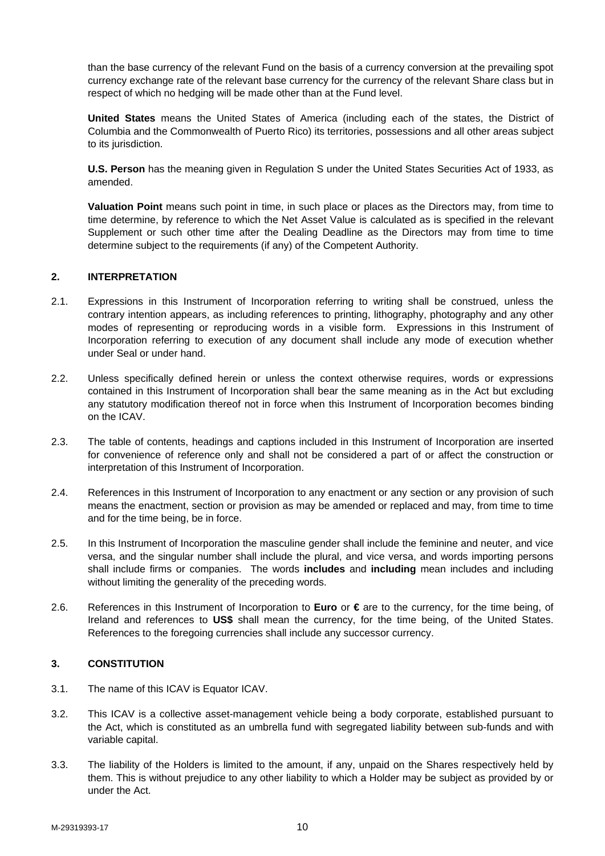than the base currency of the relevant Fund on the basis of a currency conversion at the prevailing spot currency exchange rate of the relevant base currency for the currency of the relevant Share class but in respect of which no hedging will be made other than at the Fund level.

**United States** means the United States of America (including each of the states, the District of Columbia and the Commonwealth of Puerto Rico) its territories, possessions and all other areas subject to its jurisdiction.

**U.S. Person** has the meaning given in Regulation S under the United States Securities Act of 1933, as amended.

**Valuation Point** means such point in time, in such place or places as the Directors may, from time to time determine, by reference to which the Net Asset Value is calculated as is specified in the relevant Supplement or such other time after the Dealing Deadline as the Directors may from time to time determine subject to the requirements (if any) of the Competent Authority.

### **2. INTERPRETATION**

- 2.1. Expressions in this Instrument of Incorporation referring to writing shall be construed, unless the contrary intention appears, as including references to printing, lithography, photography and any other modes of representing or reproducing words in a visible form. Expressions in this Instrument of Incorporation referring to execution of any document shall include any mode of execution whether under Seal or under hand.
- 2.2. Unless specifically defined herein or unless the context otherwise requires, words or expressions contained in this Instrument of Incorporation shall bear the same meaning as in the Act but excluding any statutory modification thereof not in force when this Instrument of Incorporation becomes binding on the ICAV.
- 2.3. The table of contents, headings and captions included in this Instrument of Incorporation are inserted for convenience of reference only and shall not be considered a part of or affect the construction or interpretation of this Instrument of Incorporation.
- 2.4. References in this Instrument of Incorporation to any enactment or any section or any provision of such means the enactment, section or provision as may be amended or replaced and may, from time to time and for the time being, be in force.
- 2.5. In this Instrument of Incorporation the masculine gender shall include the feminine and neuter, and vice versa, and the singular number shall include the plural, and vice versa, and words importing persons shall include firms or companies. The words **includes** and **including** mean includes and including without limiting the generality of the preceding words.
- 2.6. References in this Instrument of Incorporation to **Euro** or **€** are to the currency, for the time being, of Ireland and references to **US\$** shall mean the currency, for the time being, of the United States. References to the foregoing currencies shall include any successor currency.

#### **3. CONSTITUTION**

- 3.1. The name of this ICAV is Equator ICAV.
- 3.2. This ICAV is a collective asset-management vehicle being a body corporate, established pursuant to the Act, which is constituted as an umbrella fund with segregated liability between sub-funds and with variable capital.
- 3.3. The liability of the Holders is limited to the amount, if any, unpaid on the Shares respectively held by them. This is without prejudice to any other liability to which a Holder may be subject as provided by or under the Act.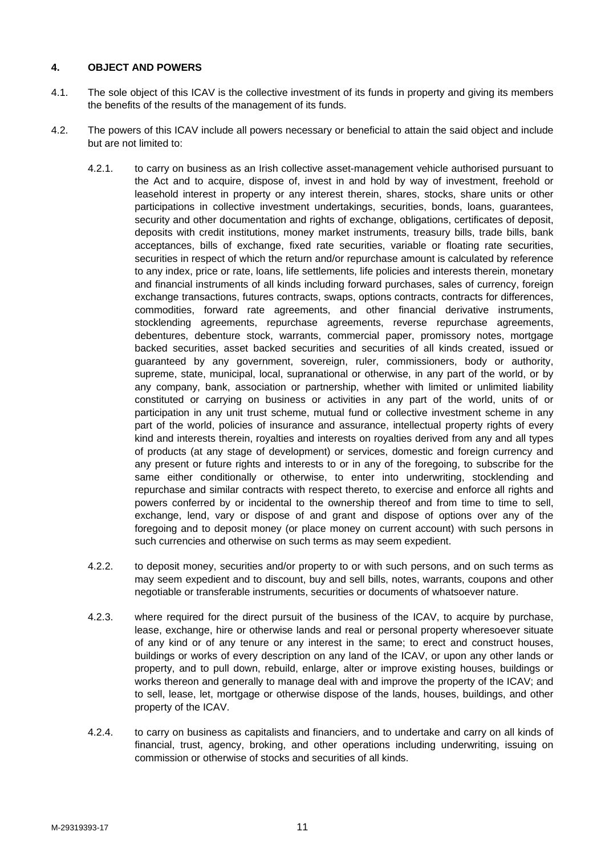## **4. OBJECT AND POWERS**

- 4.1. The sole object of this ICAV is the collective investment of its funds in property and giving its members the benefits of the results of the management of its funds.
- 4.2. The powers of this ICAV include all powers necessary or beneficial to attain the said object and include but are not limited to:
	- 4.2.1. to carry on business as an Irish collective asset-management vehicle authorised pursuant to the Act and to acquire, dispose of, invest in and hold by way of investment, freehold or leasehold interest in property or any interest therein, shares, stocks, share units or other participations in collective investment undertakings, securities, bonds, loans, guarantees, security and other documentation and rights of exchange, obligations, certificates of deposit, deposits with credit institutions, money market instruments, treasury bills, trade bills, bank acceptances, bills of exchange, fixed rate securities, variable or floating rate securities, securities in respect of which the return and/or repurchase amount is calculated by reference to any index, price or rate, loans, life settlements, life policies and interests therein, monetary and financial instruments of all kinds including forward purchases, sales of currency, foreign exchange transactions, futures contracts, swaps, options contracts, contracts for differences, commodities, forward rate agreements, and other financial derivative instruments, stocklending agreements, repurchase agreements, reverse repurchase agreements, debentures, debenture stock, warrants, commercial paper, promissory notes, mortgage backed securities, asset backed securities and securities of all kinds created, issued or guaranteed by any government, sovereign, ruler, commissioners, body or authority, supreme, state, municipal, local, supranational or otherwise, in any part of the world, or by any company, bank, association or partnership, whether with limited or unlimited liability constituted or carrying on business or activities in any part of the world, units of or participation in any unit trust scheme, mutual fund or collective investment scheme in any part of the world, policies of insurance and assurance, intellectual property rights of every kind and interests therein, royalties and interests on royalties derived from any and all types of products (at any stage of development) or services, domestic and foreign currency and any present or future rights and interests to or in any of the foregoing, to subscribe for the same either conditionally or otherwise, to enter into underwriting, stocklending and repurchase and similar contracts with respect thereto, to exercise and enforce all rights and powers conferred by or incidental to the ownership thereof and from time to time to sell, exchange, lend, vary or dispose of and grant and dispose of options over any of the foregoing and to deposit money (or place money on current account) with such persons in such currencies and otherwise on such terms as may seem expedient.
	- 4.2.2. to deposit money, securities and/or property to or with such persons, and on such terms as may seem expedient and to discount, buy and sell bills, notes, warrants, coupons and other negotiable or transferable instruments, securities or documents of whatsoever nature.
	- 4.2.3. where required for the direct pursuit of the business of the ICAV, to acquire by purchase, lease, exchange, hire or otherwise lands and real or personal property wheresoever situate of any kind or of any tenure or any interest in the same; to erect and construct houses, buildings or works of every description on any land of the ICAV, or upon any other lands or property, and to pull down, rebuild, enlarge, alter or improve existing houses, buildings or works thereon and generally to manage deal with and improve the property of the ICAV; and to sell, lease, let, mortgage or otherwise dispose of the lands, houses, buildings, and other property of the ICAV.
	- 4.2.4. to carry on business as capitalists and financiers, and to undertake and carry on all kinds of financial, trust, agency, broking, and other operations including underwriting, issuing on commission or otherwise of stocks and securities of all kinds.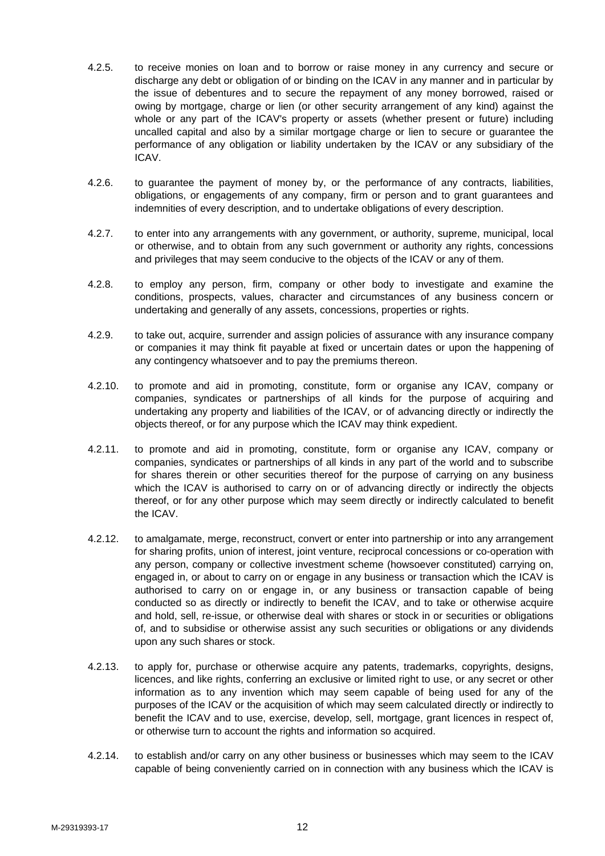- 4.2.5. to receive monies on loan and to borrow or raise money in any currency and secure or discharge any debt or obligation of or binding on the ICAV in any manner and in particular by the issue of debentures and to secure the repayment of any money borrowed, raised or owing by mortgage, charge or lien (or other security arrangement of any kind) against the whole or any part of the ICAV's property or assets (whether present or future) including uncalled capital and also by a similar mortgage charge or lien to secure or guarantee the performance of any obligation or liability undertaken by the ICAV or any subsidiary of the ICAV.
- 4.2.6. to guarantee the payment of money by, or the performance of any contracts, liabilities, obligations, or engagements of any company, firm or person and to grant guarantees and indemnities of every description, and to undertake obligations of every description.
- 4.2.7. to enter into any arrangements with any government, or authority, supreme, municipal, local or otherwise, and to obtain from any such government or authority any rights, concessions and privileges that may seem conducive to the objects of the ICAV or any of them.
- 4.2.8. to employ any person, firm, company or other body to investigate and examine the conditions, prospects, values, character and circumstances of any business concern or undertaking and generally of any assets, concessions, properties or rights.
- 4.2.9. to take out, acquire, surrender and assign policies of assurance with any insurance company or companies it may think fit payable at fixed or uncertain dates or upon the happening of any contingency whatsoever and to pay the premiums thereon.
- 4.2.10. to promote and aid in promoting, constitute, form or organise any ICAV, company or companies, syndicates or partnerships of all kinds for the purpose of acquiring and undertaking any property and liabilities of the ICAV, or of advancing directly or indirectly the objects thereof, or for any purpose which the ICAV may think expedient.
- 4.2.11. to promote and aid in promoting, constitute, form or organise any ICAV, company or companies, syndicates or partnerships of all kinds in any part of the world and to subscribe for shares therein or other securities thereof for the purpose of carrying on any business which the ICAV is authorised to carry on or of advancing directly or indirectly the objects thereof, or for any other purpose which may seem directly or indirectly calculated to benefit the ICAV.
- 4.2.12. to amalgamate, merge, reconstruct, convert or enter into partnership or into any arrangement for sharing profits, union of interest, joint venture, reciprocal concessions or co-operation with any person, company or collective investment scheme (howsoever constituted) carrying on, engaged in, or about to carry on or engage in any business or transaction which the ICAV is authorised to carry on or engage in, or any business or transaction capable of being conducted so as directly or indirectly to benefit the ICAV, and to take or otherwise acquire and hold, sell, re-issue, or otherwise deal with shares or stock in or securities or obligations of, and to subsidise or otherwise assist any such securities or obligations or any dividends upon any such shares or stock.
- 4.2.13. to apply for, purchase or otherwise acquire any patents, trademarks, copyrights, designs, licences, and like rights, conferring an exclusive or limited right to use, or any secret or other information as to any invention which may seem capable of being used for any of the purposes of the ICAV or the acquisition of which may seem calculated directly or indirectly to benefit the ICAV and to use, exercise, develop, sell, mortgage, grant licences in respect of, or otherwise turn to account the rights and information so acquired.
- 4.2.14. to establish and/or carry on any other business or businesses which may seem to the ICAV capable of being conveniently carried on in connection with any business which the ICAV is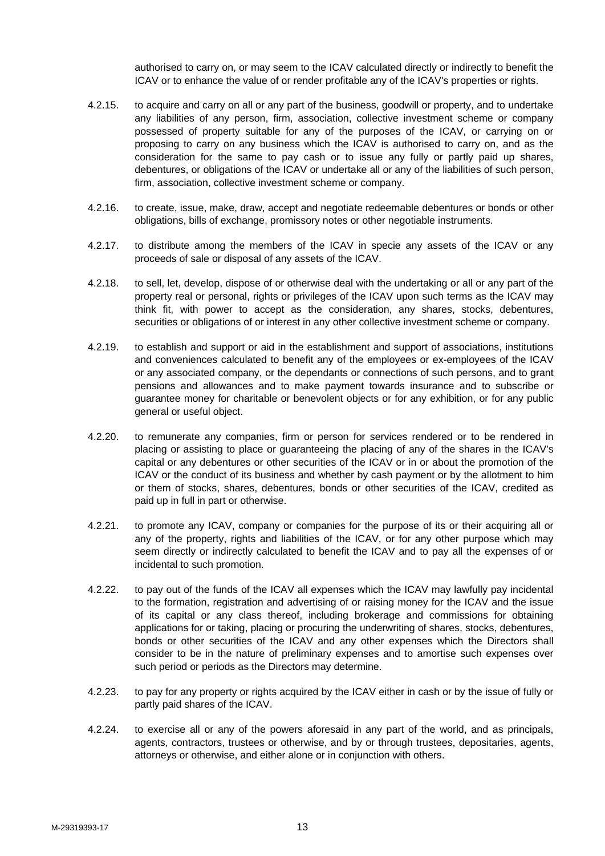authorised to carry on, or may seem to the ICAV calculated directly or indirectly to benefit the ICAV or to enhance the value of or render profitable any of the ICAV's properties or rights.

- 4.2.15. to acquire and carry on all or any part of the business, goodwill or property, and to undertake any liabilities of any person, firm, association, collective investment scheme or company possessed of property suitable for any of the purposes of the ICAV, or carrying on or proposing to carry on any business which the ICAV is authorised to carry on, and as the consideration for the same to pay cash or to issue any fully or partly paid up shares, debentures, or obligations of the ICAV or undertake all or any of the liabilities of such person, firm, association, collective investment scheme or company.
- 4.2.16. to create, issue, make, draw, accept and negotiate redeemable debentures or bonds or other obligations, bills of exchange, promissory notes or other negotiable instruments.
- 4.2.17. to distribute among the members of the ICAV in specie any assets of the ICAV or any proceeds of sale or disposal of any assets of the ICAV.
- 4.2.18. to sell, let, develop, dispose of or otherwise deal with the undertaking or all or any part of the property real or personal, rights or privileges of the ICAV upon such terms as the ICAV may think fit, with power to accept as the consideration, any shares, stocks, debentures, securities or obligations of or interest in any other collective investment scheme or company.
- 4.2.19. to establish and support or aid in the establishment and support of associations, institutions and conveniences calculated to benefit any of the employees or ex-employees of the ICAV or any associated company, or the dependants or connections of such persons, and to grant pensions and allowances and to make payment towards insurance and to subscribe or guarantee money for charitable or benevolent objects or for any exhibition, or for any public general or useful object.
- 4.2.20. to remunerate any companies, firm or person for services rendered or to be rendered in placing or assisting to place or guaranteeing the placing of any of the shares in the ICAV's capital or any debentures or other securities of the ICAV or in or about the promotion of the ICAV or the conduct of its business and whether by cash payment or by the allotment to him or them of stocks, shares, debentures, bonds or other securities of the ICAV, credited as paid up in full in part or otherwise.
- 4.2.21. to promote any ICAV, company or companies for the purpose of its or their acquiring all or any of the property, rights and liabilities of the ICAV, or for any other purpose which may seem directly or indirectly calculated to benefit the ICAV and to pay all the expenses of or incidental to such promotion.
- 4.2.22. to pay out of the funds of the ICAV all expenses which the ICAV may lawfully pay incidental to the formation, registration and advertising of or raising money for the ICAV and the issue of its capital or any class thereof, including brokerage and commissions for obtaining applications for or taking, placing or procuring the underwriting of shares, stocks, debentures, bonds or other securities of the ICAV and any other expenses which the Directors shall consider to be in the nature of preliminary expenses and to amortise such expenses over such period or periods as the Directors may determine.
- 4.2.23. to pay for any property or rights acquired by the ICAV either in cash or by the issue of fully or partly paid shares of the ICAV.
- 4.2.24. to exercise all or any of the powers aforesaid in any part of the world, and as principals, agents, contractors, trustees or otherwise, and by or through trustees, depositaries, agents, attorneys or otherwise, and either alone or in conjunction with others.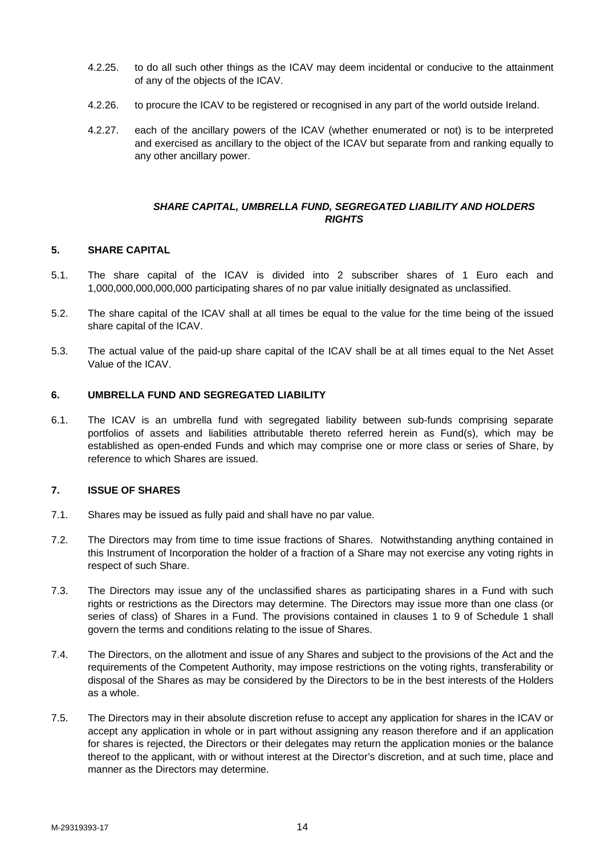- 4.2.25. to do all such other things as the ICAV may deem incidental or conducive to the attainment of any of the objects of the ICAV.
- 4.2.26. to procure the ICAV to be registered or recognised in any part of the world outside Ireland.
- 4.2.27. each of the ancillary powers of the ICAV (whether enumerated or not) is to be interpreted and exercised as ancillary to the object of the ICAV but separate from and ranking equally to any other ancillary power.

#### *SHARE CAPITAL, UMBRELLA FUND, SEGREGATED LIABILITY AND HOLDERS RIGHTS*

# **5. SHARE CAPITAL**

- 5.1. The share capital of the ICAV is divided into 2 subscriber shares of 1 Euro each and 1,000,000,000,000,000 participating shares of no par value initially designated as unclassified.
- 5.2. The share capital of the ICAV shall at all times be equal to the value for the time being of the issued share capital of the ICAV.
- 5.3. The actual value of the paid-up share capital of the ICAV shall be at all times equal to the Net Asset Value of the ICAV.

### **6. UMBRELLA FUND AND SEGREGATED LIABILITY**

6.1. The ICAV is an umbrella fund with segregated liability between sub-funds comprising separate portfolios of assets and liabilities attributable thereto referred herein as Fund(s), which may be established as open-ended Funds and which may comprise one or more class or series of Share, by reference to which Shares are issued.

### **7. ISSUE OF SHARES**

- 7.1. Shares may be issued as fully paid and shall have no par value.
- 7.2. The Directors may from time to time issue fractions of Shares. Notwithstanding anything contained in this Instrument of Incorporation the holder of a fraction of a Share may not exercise any voting rights in respect of such Share.
- 7.3. The Directors may issue any of the unclassified shares as participating shares in a Fund with such rights or restrictions as the Directors may determine. The Directors may issue more than one class (or series of class) of Shares in a Fund. The provisions contained in clauses 1 to 9 of Schedule 1 shall govern the terms and conditions relating to the issue of Shares.
- 7.4. The Directors, on the allotment and issue of any Shares and subject to the provisions of the Act and the requirements of the Competent Authority, may impose restrictions on the voting rights, transferability or disposal of the Shares as may be considered by the Directors to be in the best interests of the Holders as a whole.
- 7.5. The Directors may in their absolute discretion refuse to accept any application for shares in the ICAV or accept any application in whole or in part without assigning any reason therefore and if an application for shares is rejected, the Directors or their delegates may return the application monies or the balance thereof to the applicant, with or without interest at the Director's discretion, and at such time, place and manner as the Directors may determine.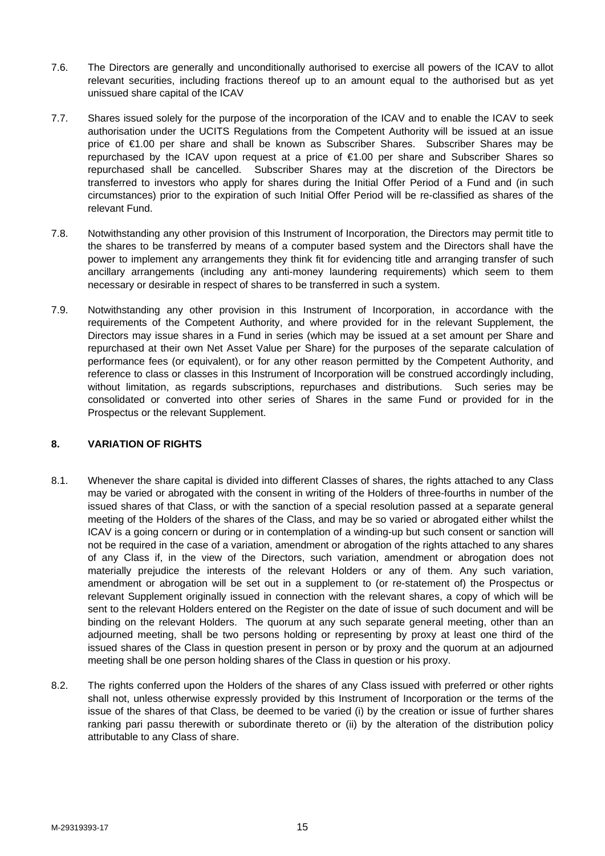- 7.6. The Directors are generally and unconditionally authorised to exercise all powers of the ICAV to allot relevant securities, including fractions thereof up to an amount equal to the authorised but as yet unissued share capital of the ICAV
- 7.7. Shares issued solely for the purpose of the incorporation of the ICAV and to enable the ICAV to seek authorisation under the UCITS Regulations from the Competent Authority will be issued at an issue price of €1.00 per share and shall be known as Subscriber Shares. Subscriber Shares may be repurchased by the ICAV upon request at a price of €1.00 per share and Subscriber Shares so repurchased shall be cancelled. Subscriber Shares may at the discretion of the Directors be transferred to investors who apply for shares during the Initial Offer Period of a Fund and (in such circumstances) prior to the expiration of such Initial Offer Period will be re-classified as shares of the relevant Fund.
- 7.8. Notwithstanding any other provision of this Instrument of Incorporation, the Directors may permit title to the shares to be transferred by means of a computer based system and the Directors shall have the power to implement any arrangements they think fit for evidencing title and arranging transfer of such ancillary arrangements (including any anti-money laundering requirements) which seem to them necessary or desirable in respect of shares to be transferred in such a system.
- 7.9. Notwithstanding any other provision in this Instrument of Incorporation, in accordance with the requirements of the Competent Authority, and where provided for in the relevant Supplement, the Directors may issue shares in a Fund in series (which may be issued at a set amount per Share and repurchased at their own Net Asset Value per Share) for the purposes of the separate calculation of performance fees (or equivalent), or for any other reason permitted by the Competent Authority, and reference to class or classes in this Instrument of Incorporation will be construed accordingly including, without limitation, as regards subscriptions, repurchases and distributions. Such series may be consolidated or converted into other series of Shares in the same Fund or provided for in the Prospectus or the relevant Supplement.

## **8. VARIATION OF RIGHTS**

- 8.1. Whenever the share capital is divided into different Classes of shares, the rights attached to any Class may be varied or abrogated with the consent in writing of the Holders of three-fourths in number of the issued shares of that Class, or with the sanction of a special resolution passed at a separate general meeting of the Holders of the shares of the Class, and may be so varied or abrogated either whilst the ICAV is a going concern or during or in contemplation of a winding-up but such consent or sanction will not be required in the case of a variation, amendment or abrogation of the rights attached to any shares of any Class if, in the view of the Directors, such variation, amendment or abrogation does not materially prejudice the interests of the relevant Holders or any of them. Any such variation, amendment or abrogation will be set out in a supplement to (or re-statement of) the Prospectus or relevant Supplement originally issued in connection with the relevant shares, a copy of which will be sent to the relevant Holders entered on the Register on the date of issue of such document and will be binding on the relevant Holders. The quorum at any such separate general meeting, other than an adjourned meeting, shall be two persons holding or representing by proxy at least one third of the issued shares of the Class in question present in person or by proxy and the quorum at an adjourned meeting shall be one person holding shares of the Class in question or his proxy.
- 8.2. The rights conferred upon the Holders of the shares of any Class issued with preferred or other rights shall not, unless otherwise expressly provided by this Instrument of Incorporation or the terms of the issue of the shares of that Class, be deemed to be varied (i) by the creation or issue of further shares ranking pari passu therewith or subordinate thereto or (ii) by the alteration of the distribution policy attributable to any Class of share.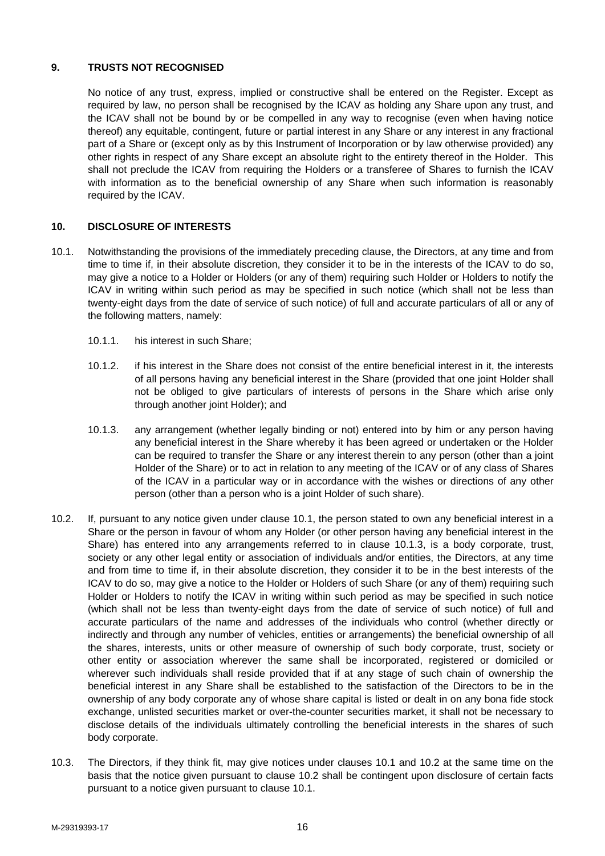## **9. TRUSTS NOT RECOGNISED**

No notice of any trust, express, implied or constructive shall be entered on the Register. Except as required by law, no person shall be recognised by the ICAV as holding any Share upon any trust, and the ICAV shall not be bound by or be compelled in any way to recognise (even when having notice thereof) any equitable, contingent, future or partial interest in any Share or any interest in any fractional part of a Share or (except only as by this Instrument of Incorporation or by law otherwise provided) any other rights in respect of any Share except an absolute right to the entirety thereof in the Holder. This shall not preclude the ICAV from requiring the Holders or a transferee of Shares to furnish the ICAV with information as to the beneficial ownership of any Share when such information is reasonably required by the ICAV.

## **10. DISCLOSURE OF INTERESTS**

- 10.1. Notwithstanding the provisions of the immediately preceding clause, the Directors, at any time and from time to time if, in their absolute discretion, they consider it to be in the interests of the ICAV to do so, may give a notice to a Holder or Holders (or any of them) requiring such Holder or Holders to notify the ICAV in writing within such period as may be specified in such notice (which shall not be less than twenty-eight days from the date of service of such notice) of full and accurate particulars of all or any of the following matters, namely:
	- 10.1.1. his interest in such Share;
	- 10.1.2. if his interest in the Share does not consist of the entire beneficial interest in it, the interests of all persons having any beneficial interest in the Share (provided that one joint Holder shall not be obliged to give particulars of interests of persons in the Share which arise only through another joint Holder); and
	- 10.1.3. any arrangement (whether legally binding or not) entered into by him or any person having any beneficial interest in the Share whereby it has been agreed or undertaken or the Holder can be required to transfer the Share or any interest therein to any person (other than a joint Holder of the Share) or to act in relation to any meeting of the ICAV or of any class of Shares of the ICAV in a particular way or in accordance with the wishes or directions of any other person (other than a person who is a joint Holder of such share).
- 10.2. If, pursuant to any notice given under clause 10.1, the person stated to own any beneficial interest in a Share or the person in favour of whom any Holder (or other person having any beneficial interest in the Share) has entered into any arrangements referred to in clause 10.1.3, is a body corporate, trust, society or any other legal entity or association of individuals and/or entities, the Directors, at any time and from time to time if, in their absolute discretion, they consider it to be in the best interests of the ICAV to do so, may give a notice to the Holder or Holders of such Share (or any of them) requiring such Holder or Holders to notify the ICAV in writing within such period as may be specified in such notice (which shall not be less than twenty-eight days from the date of service of such notice) of full and accurate particulars of the name and addresses of the individuals who control (whether directly or indirectly and through any number of vehicles, entities or arrangements) the beneficial ownership of all the shares, interests, units or other measure of ownership of such body corporate, trust, society or other entity or association wherever the same shall be incorporated, registered or domiciled or wherever such individuals shall reside provided that if at any stage of such chain of ownership the beneficial interest in any Share shall be established to the satisfaction of the Directors to be in the ownership of any body corporate any of whose share capital is listed or dealt in on any bona fide stock exchange, unlisted securities market or over-the-counter securities market, it shall not be necessary to disclose details of the individuals ultimately controlling the beneficial interests in the shares of such body corporate.
- 10.3. The Directors, if they think fit, may give notices under clauses 10.1 and 10.2 at the same time on the basis that the notice given pursuant to clause 10.2 shall be contingent upon disclosure of certain facts pursuant to a notice given pursuant to clause 10.1.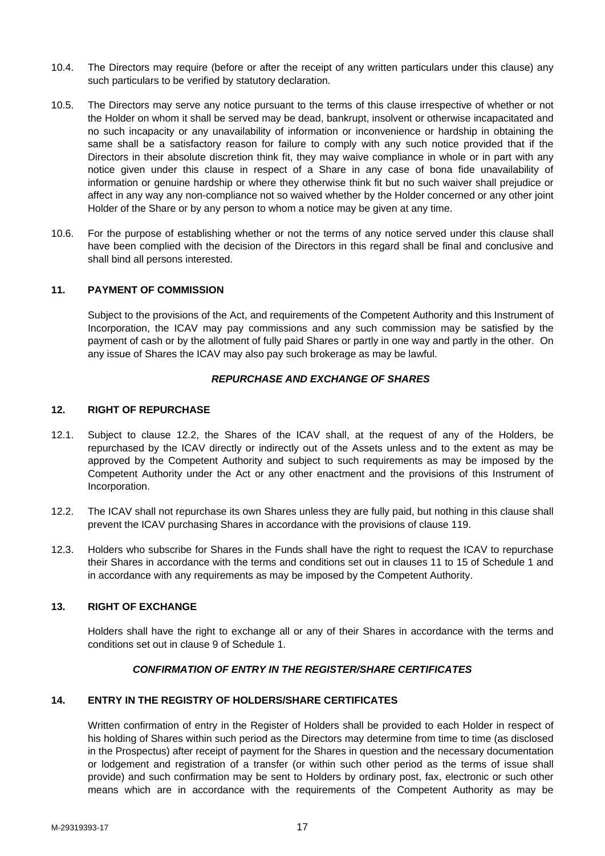- 10.4. The Directors may require (before or after the receipt of any written particulars under this clause) any such particulars to be verified by statutory declaration.
- 10.5. The Directors may serve any notice pursuant to the terms of this clause irrespective of whether or not the Holder on whom it shall be served may be dead, bankrupt, insolvent or otherwise incapacitated and no such incapacity or any unavailability of information or inconvenience or hardship in obtaining the same shall be a satisfactory reason for failure to comply with any such notice provided that if the Directors in their absolute discretion think fit, they may waive compliance in whole or in part with any notice given under this clause in respect of a Share in any case of bona fide unavailability of information or genuine hardship or where they otherwise think fit but no such waiver shall prejudice or affect in any way any non-compliance not so waived whether by the Holder concerned or any other joint Holder of the Share or by any person to whom a notice may be given at any time.
- 10.6. For the purpose of establishing whether or not the terms of any notice served under this clause shall have been complied with the decision of the Directors in this regard shall be final and conclusive and shall bind all persons interested.

### **11. PAYMENT OF COMMISSION**

Subject to the provisions of the Act, and requirements of the Competent Authority and this Instrument of Incorporation, the ICAV may pay commissions and any such commission may be satisfied by the payment of cash or by the allotment of fully paid Shares or partly in one way and partly in the other. On any issue of Shares the ICAV may also pay such brokerage as may be lawful.

#### *REPURCHASE AND EXCHANGE OF SHARES*

#### **12. RIGHT OF REPURCHASE**

- 12.1. Subject to clause 12.2, the Shares of the ICAV shall, at the request of any of the Holders, be repurchased by the ICAV directly or indirectly out of the Assets unless and to the extent as may be approved by the Competent Authority and subject to such requirements as may be imposed by the Competent Authority under the Act or any other enactment and the provisions of this Instrument of Incorporation.
- 12.2. The ICAV shall not repurchase its own Shares unless they are fully paid, but nothing in this clause shall prevent the ICAV purchasing Shares in accordance with the provisions of clause 119.
- 12.3. Holders who subscribe for Shares in the Funds shall have the right to request the ICAV to repurchase their Shares in accordance with the terms and conditions set out in clauses 11 to 15 of Schedule 1 and in accordance with any requirements as may be imposed by the Competent Authority.

### **13. RIGHT OF EXCHANGE**

Holders shall have the right to exchange all or any of their Shares in accordance with the terms and conditions set out in clause 9 of Schedule 1.

### *CONFIRMATION OF ENTRY IN THE REGISTER/SHARE CERTIFICATES*

### **14. ENTRY IN THE REGISTRY OF HOLDERS/SHARE CERTIFICATES**

Written confirmation of entry in the Register of Holders shall be provided to each Holder in respect of his holding of Shares within such period as the Directors may determine from time to time (as disclosed in the Prospectus) after receipt of payment for the Shares in question and the necessary documentation or lodgement and registration of a transfer (or within such other period as the terms of issue shall provide) and such confirmation may be sent to Holders by ordinary post, fax, electronic or such other means which are in accordance with the requirements of the Competent Authority as may be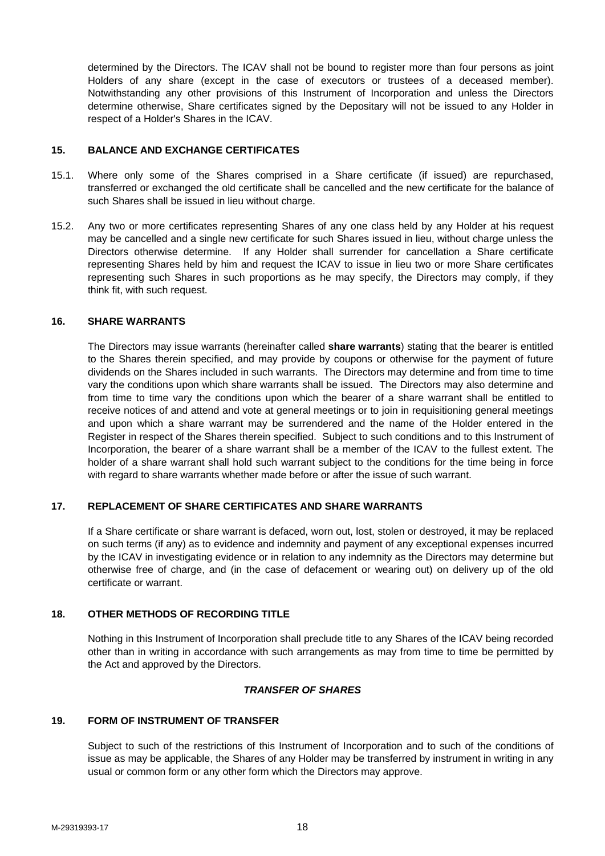determined by the Directors. The ICAV shall not be bound to register more than four persons as joint Holders of any share (except in the case of executors or trustees of a deceased member). Notwithstanding any other provisions of this Instrument of Incorporation and unless the Directors determine otherwise, Share certificates signed by the Depositary will not be issued to any Holder in respect of a Holder's Shares in the ICAV.

### **15. BALANCE AND EXCHANGE CERTIFICATES**

- 15.1. Where only some of the Shares comprised in a Share certificate (if issued) are repurchased, transferred or exchanged the old certificate shall be cancelled and the new certificate for the balance of such Shares shall be issued in lieu without charge.
- 15.2. Any two or more certificates representing Shares of any one class held by any Holder at his request may be cancelled and a single new certificate for such Shares issued in lieu, without charge unless the Directors otherwise determine. If any Holder shall surrender for cancellation a Share certificate representing Shares held by him and request the ICAV to issue in lieu two or more Share certificates representing such Shares in such proportions as he may specify, the Directors may comply, if they think fit, with such request.

#### **16. SHARE WARRANTS**

The Directors may issue warrants (hereinafter called **share warrants**) stating that the bearer is entitled to the Shares therein specified, and may provide by coupons or otherwise for the payment of future dividends on the Shares included in such warrants. The Directors may determine and from time to time vary the conditions upon which share warrants shall be issued. The Directors may also determine and from time to time vary the conditions upon which the bearer of a share warrant shall be entitled to receive notices of and attend and vote at general meetings or to join in requisitioning general meetings and upon which a share warrant may be surrendered and the name of the Holder entered in the Register in respect of the Shares therein specified. Subject to such conditions and to this Instrument of Incorporation, the bearer of a share warrant shall be a member of the ICAV to the fullest extent. The holder of a share warrant shall hold such warrant subject to the conditions for the time being in force with regard to share warrants whether made before or after the issue of such warrant.

# **17. REPLACEMENT OF SHARE CERTIFICATES AND SHARE WARRANTS**

If a Share certificate or share warrant is defaced, worn out, lost, stolen or destroyed, it may be replaced on such terms (if any) as to evidence and indemnity and payment of any exceptional expenses incurred by the ICAV in investigating evidence or in relation to any indemnity as the Directors may determine but otherwise free of charge, and (in the case of defacement or wearing out) on delivery up of the old certificate or warrant.

### **18. OTHER METHODS OF RECORDING TITLE**

Nothing in this Instrument of Incorporation shall preclude title to any Shares of the ICAV being recorded other than in writing in accordance with such arrangements as may from time to time be permitted by the Act and approved by the Directors.

### *TRANSFER OF SHARES*

## **19. FORM OF INSTRUMENT OF TRANSFER**

Subject to such of the restrictions of this Instrument of Incorporation and to such of the conditions of issue as may be applicable, the Shares of any Holder may be transferred by instrument in writing in any usual or common form or any other form which the Directors may approve.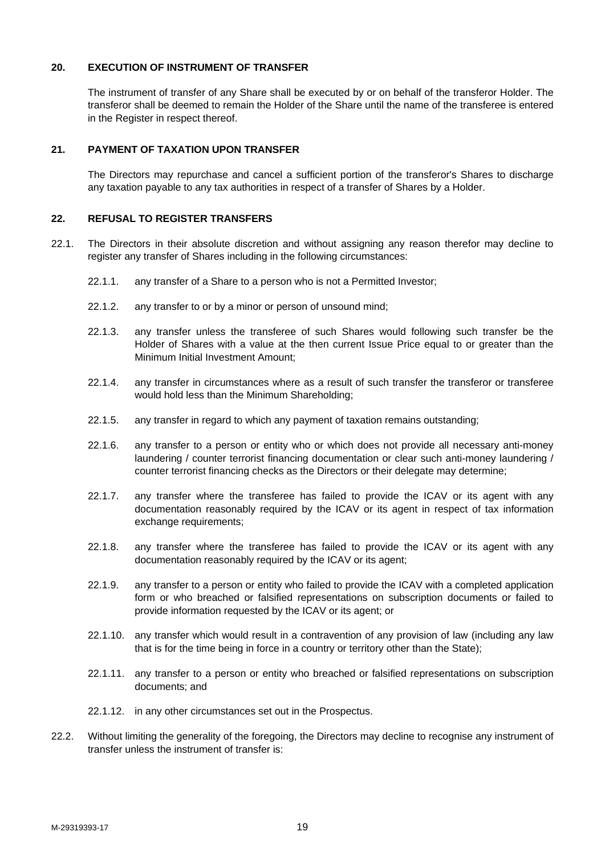### **20. EXECUTION OF INSTRUMENT OF TRANSFER**

The instrument of transfer of any Share shall be executed by or on behalf of the transferor Holder. The transferor shall be deemed to remain the Holder of the Share until the name of the transferee is entered in the Register in respect thereof.

#### **21. PAYMENT OF TAXATION UPON TRANSFER**

The Directors may repurchase and cancel a sufficient portion of the transferor's Shares to discharge any taxation payable to any tax authorities in respect of a transfer of Shares by a Holder.

## **22. REFUSAL TO REGISTER TRANSFERS**

- 22.1. The Directors in their absolute discretion and without assigning any reason therefor may decline to register any transfer of Shares including in the following circumstances:
	- 22.1.1. any transfer of a Share to a person who is not a Permitted Investor;
	- 22.1.2. any transfer to or by a minor or person of unsound mind;
	- 22.1.3. any transfer unless the transferee of such Shares would following such transfer be the Holder of Shares with a value at the then current Issue Price equal to or greater than the Minimum Initial Investment Amount;
	- 22.1.4. any transfer in circumstances where as a result of such transfer the transferor or transferee would hold less than the Minimum Shareholding;
	- 22.1.5. any transfer in regard to which any payment of taxation remains outstanding;
	- 22.1.6. any transfer to a person or entity who or which does not provide all necessary anti-money laundering / counter terrorist financing documentation or clear such anti-money laundering / counter terrorist financing checks as the Directors or their delegate may determine;
	- 22.1.7. any transfer where the transferee has failed to provide the ICAV or its agent with any documentation reasonably required by the ICAV or its agent in respect of tax information exchange requirements;
	- 22.1.8. any transfer where the transferee has failed to provide the ICAV or its agent with any documentation reasonably required by the ICAV or its agent;
	- 22.1.9. any transfer to a person or entity who failed to provide the ICAV with a completed application form or who breached or falsified representations on subscription documents or failed to provide information requested by the ICAV or its agent; or
	- 22.1.10. any transfer which would result in a contravention of any provision of law (including any law that is for the time being in force in a country or territory other than the State);
	- 22.1.11. any transfer to a person or entity who breached or falsified representations on subscription documents; and
	- 22.1.12. in any other circumstances set out in the Prospectus.
- 22.2. Without limiting the generality of the foregoing, the Directors may decline to recognise any instrument of transfer unless the instrument of transfer is: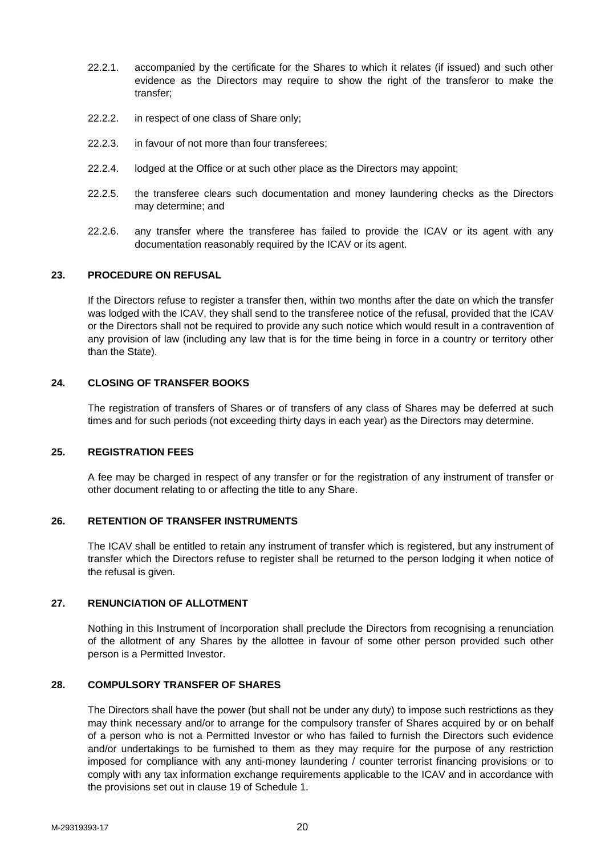- 22.2.1. accompanied by the certificate for the Shares to which it relates (if issued) and such other evidence as the Directors may require to show the right of the transferor to make the transfer;
- 22.2.2. in respect of one class of Share only;
- 22.2.3. in favour of not more than four transferees;
- 22.2.4. lodged at the Office or at such other place as the Directors may appoint;
- 22.2.5. the transferee clears such documentation and money laundering checks as the Directors may determine; and
- 22.2.6. any transfer where the transferee has failed to provide the ICAV or its agent with any documentation reasonably required by the ICAV or its agent.

#### **23. PROCEDURE ON REFUSAL**

If the Directors refuse to register a transfer then, within two months after the date on which the transfer was lodged with the ICAV, they shall send to the transferee notice of the refusal, provided that the ICAV or the Directors shall not be required to provide any such notice which would result in a contravention of any provision of law (including any law that is for the time being in force in a country or territory other than the State).

#### **24. CLOSING OF TRANSFER BOOKS**

The registration of transfers of Shares or of transfers of any class of Shares may be deferred at such times and for such periods (not exceeding thirty days in each year) as the Directors may determine.

#### **25. REGISTRATION FEES**

A fee may be charged in respect of any transfer or for the registration of any instrument of transfer or other document relating to or affecting the title to any Share.

#### **26. RETENTION OF TRANSFER INSTRUMENTS**

The ICAV shall be entitled to retain any instrument of transfer which is registered, but any instrument of transfer which the Directors refuse to register shall be returned to the person lodging it when notice of the refusal is given.

#### **27. RENUNCIATION OF ALLOTMENT**

Nothing in this Instrument of Incorporation shall preclude the Directors from recognising a renunciation of the allotment of any Shares by the allottee in favour of some other person provided such other person is a Permitted Investor.

#### **28. COMPULSORY TRANSFER OF SHARES**

The Directors shall have the power (but shall not be under any duty) to impose such restrictions as they may think necessary and/or to arrange for the compulsory transfer of Shares acquired by or on behalf of a person who is not a Permitted Investor or who has failed to furnish the Directors such evidence and/or undertakings to be furnished to them as they may require for the purpose of any restriction imposed for compliance with any anti-money laundering / counter terrorist financing provisions or to comply with any tax information exchange requirements applicable to the ICAV and in accordance with the provisions set out in clause 19 of Schedule 1.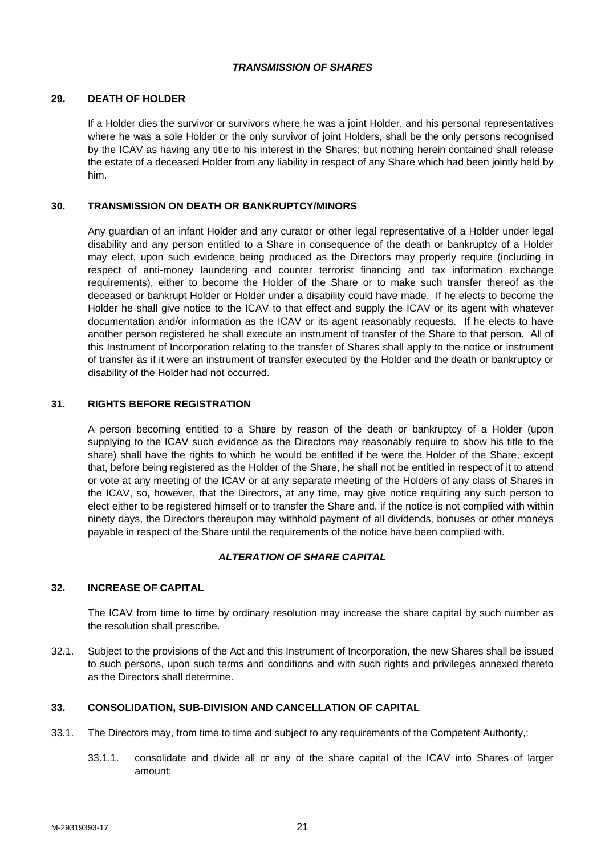## *TRANSMISSION OF SHARES*

### **29. DEATH OF HOLDER**

If a Holder dies the survivor or survivors where he was a joint Holder, and his personal representatives where he was a sole Holder or the only survivor of joint Holders, shall be the only persons recognised by the ICAV as having any title to his interest in the Shares; but nothing herein contained shall release the estate of a deceased Holder from any liability in respect of any Share which had been jointly held by him.

## **30. TRANSMISSION ON DEATH OR BANKRUPTCY/MINORS**

Any guardian of an infant Holder and any curator or other legal representative of a Holder under legal disability and any person entitled to a Share in consequence of the death or bankruptcy of a Holder may elect, upon such evidence being produced as the Directors may properly require (including in respect of anti-money laundering and counter terrorist financing and tax information exchange requirements), either to become the Holder of the Share or to make such transfer thereof as the deceased or bankrupt Holder or Holder under a disability could have made. If he elects to become the Holder he shall give notice to the ICAV to that effect and supply the ICAV or its agent with whatever documentation and/or information as the ICAV or its agent reasonably requests. If he elects to have another person registered he shall execute an instrument of transfer of the Share to that person. All of this Instrument of Incorporation relating to the transfer of Shares shall apply to the notice or instrument of transfer as if it were an instrument of transfer executed by the Holder and the death or bankruptcy or disability of the Holder had not occurred.

### **31. RIGHTS BEFORE REGISTRATION**

A person becoming entitled to a Share by reason of the death or bankruptcy of a Holder (upon supplying to the ICAV such evidence as the Directors may reasonably require to show his title to the share) shall have the rights to which he would be entitled if he were the Holder of the Share, except that, before being registered as the Holder of the Share, he shall not be entitled in respect of it to attend or vote at any meeting of the ICAV or at any separate meeting of the Holders of any class of Shares in the ICAV, so, however, that the Directors, at any time, may give notice requiring any such person to elect either to be registered himself or to transfer the Share and, if the notice is not complied with within ninety days, the Directors thereupon may withhold payment of all dividends, bonuses or other moneys payable in respect of the Share until the requirements of the notice have been complied with.

# *ALTERATION OF SHARE CAPITAL*

### **32. INCREASE OF CAPITAL**

The ICAV from time to time by ordinary resolution may increase the share capital by such number as the resolution shall prescribe.

32.1. Subject to the provisions of the Act and this Instrument of Incorporation, the new Shares shall be issued to such persons, upon such terms and conditions and with such rights and privileges annexed thereto as the Directors shall determine.

## **33. CONSOLIDATION, SUB-DIVISION AND CANCELLATION OF CAPITAL**

- 33.1. The Directors may, from time to time and subject to any requirements of the Competent Authority,:
	- 33.1.1. consolidate and divide all or any of the share capital of the ICAV into Shares of larger amount;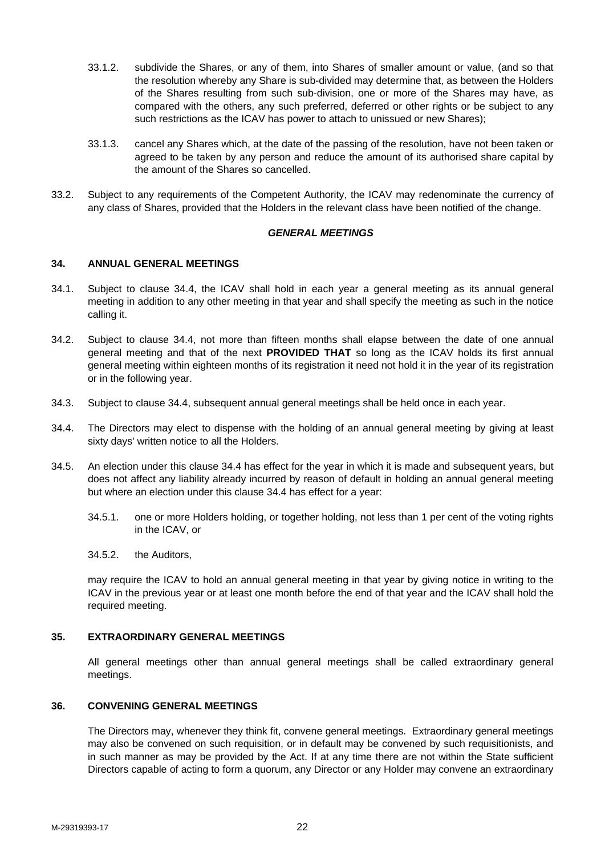- 33.1.2. subdivide the Shares, or any of them, into Shares of smaller amount or value, (and so that the resolution whereby any Share is sub-divided may determine that, as between the Holders of the Shares resulting from such sub-division, one or more of the Shares may have, as compared with the others, any such preferred, deferred or other rights or be subject to any such restrictions as the ICAV has power to attach to unissued or new Shares);
- 33.1.3. cancel any Shares which, at the date of the passing of the resolution, have not been taken or agreed to be taken by any person and reduce the amount of its authorised share capital by the amount of the Shares so cancelled.
- 33.2. Subject to any requirements of the Competent Authority, the ICAV may redenominate the currency of any class of Shares, provided that the Holders in the relevant class have been notified of the change.

#### *GENERAL MEETINGS*

#### **34. ANNUAL GENERAL MEETINGS**

- 34.1. Subject to clause 34.4, the ICAV shall hold in each year a general meeting as its annual general meeting in addition to any other meeting in that year and shall specify the meeting as such in the notice calling it.
- 34.2. Subject to clause 34.4, not more than fifteen months shall elapse between the date of one annual general meeting and that of the next **PROVIDED THAT** so long as the ICAV holds its first annual general meeting within eighteen months of its registration it need not hold it in the year of its registration or in the following year.
- 34.3. Subject to clause 34.4, subsequent annual general meetings shall be held once in each year.
- 34.4. The Directors may elect to dispense with the holding of an annual general meeting by giving at least sixty days' written notice to all the Holders.
- 34.5. An election under this clause 34.4 has effect for the year in which it is made and subsequent years, but does not affect any liability already incurred by reason of default in holding an annual general meeting but where an election under this clause 34.4 has effect for a year:
	- 34.5.1. one or more Holders holding, or together holding, not less than 1 per cent of the voting rights in the ICAV, or
	- 34.5.2. the Auditors,

may require the ICAV to hold an annual general meeting in that year by giving notice in writing to the ICAV in the previous year or at least one month before the end of that year and the ICAV shall hold the required meeting.

#### **35. EXTRAORDINARY GENERAL MEETINGS**

All general meetings other than annual general meetings shall be called extraordinary general meetings.

#### **36. CONVENING GENERAL MEETINGS**

The Directors may, whenever they think fit, convene general meetings. Extraordinary general meetings may also be convened on such requisition, or in default may be convened by such requisitionists, and in such manner as may be provided by the Act. If at any time there are not within the State sufficient Directors capable of acting to form a quorum, any Director or any Holder may convene an extraordinary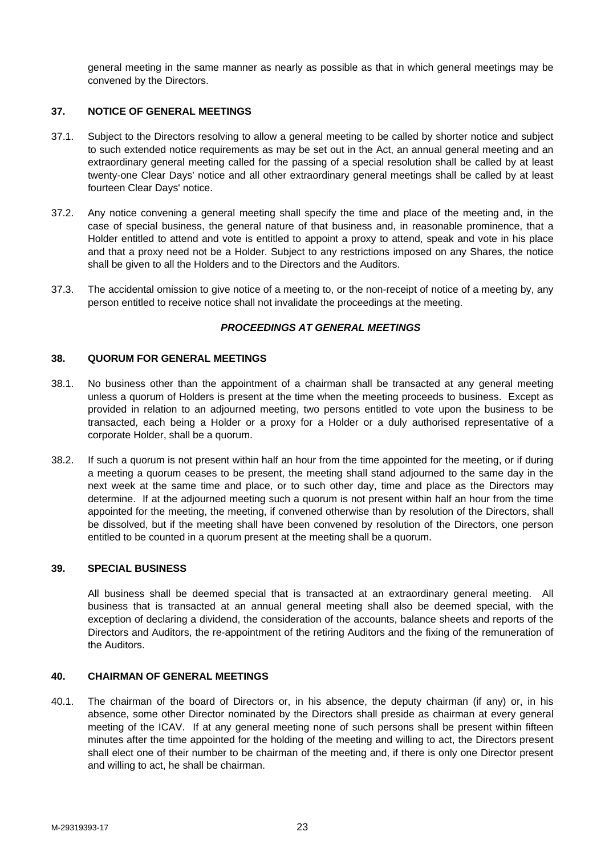general meeting in the same manner as nearly as possible as that in which general meetings may be convened by the Directors.

#### **37. NOTICE OF GENERAL MEETINGS**

- 37.1. Subject to the Directors resolving to allow a general meeting to be called by shorter notice and subject to such extended notice requirements as may be set out in the Act, an annual general meeting and an extraordinary general meeting called for the passing of a special resolution shall be called by at least twenty-one Clear Days' notice and all other extraordinary general meetings shall be called by at least fourteen Clear Days' notice.
- 37.2. Any notice convening a general meeting shall specify the time and place of the meeting and, in the case of special business, the general nature of that business and, in reasonable prominence, that a Holder entitled to attend and vote is entitled to appoint a proxy to attend, speak and vote in his place and that a proxy need not be a Holder. Subject to any restrictions imposed on any Shares, the notice shall be given to all the Holders and to the Directors and the Auditors.
- 37.3. The accidental omission to give notice of a meeting to, or the non-receipt of notice of a meeting by, any person entitled to receive notice shall not invalidate the proceedings at the meeting.

### *PROCEEDINGS AT GENERAL MEETINGS*

#### **38. QUORUM FOR GENERAL MEETINGS**

- 38.1. No business other than the appointment of a chairman shall be transacted at any general meeting unless a quorum of Holders is present at the time when the meeting proceeds to business. Except as provided in relation to an adjourned meeting, two persons entitled to vote upon the business to be transacted, each being a Holder or a proxy for a Holder or a duly authorised representative of a corporate Holder, shall be a quorum.
- 38.2. If such a quorum is not present within half an hour from the time appointed for the meeting, or if during a meeting a quorum ceases to be present, the meeting shall stand adjourned to the same day in the next week at the same time and place, or to such other day, time and place as the Directors may determine. If at the adjourned meeting such a quorum is not present within half an hour from the time appointed for the meeting, the meeting, if convened otherwise than by resolution of the Directors, shall be dissolved, but if the meeting shall have been convened by resolution of the Directors, one person entitled to be counted in a quorum present at the meeting shall be a quorum.

#### **39. SPECIAL BUSINESS**

All business shall be deemed special that is transacted at an extraordinary general meeting. All business that is transacted at an annual general meeting shall also be deemed special, with the exception of declaring a dividend, the consideration of the accounts, balance sheets and reports of the Directors and Auditors, the re-appointment of the retiring Auditors and the fixing of the remuneration of the Auditors.

### **40. CHAIRMAN OF GENERAL MEETINGS**

40.1. The chairman of the board of Directors or, in his absence, the deputy chairman (if any) or, in his absence, some other Director nominated by the Directors shall preside as chairman at every general meeting of the ICAV. If at any general meeting none of such persons shall be present within fifteen minutes after the time appointed for the holding of the meeting and willing to act, the Directors present shall elect one of their number to be chairman of the meeting and, if there is only one Director present and willing to act, he shall be chairman.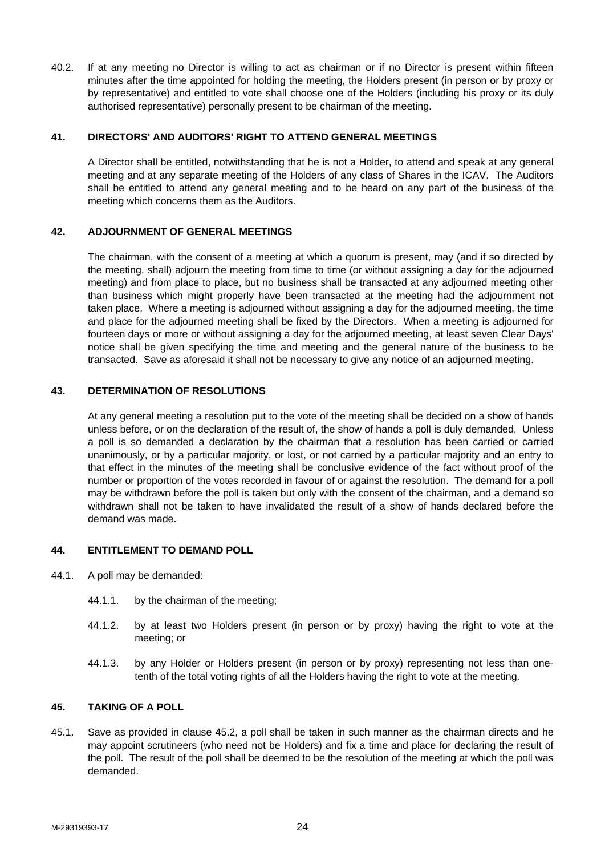40.2. If at any meeting no Director is willing to act as chairman or if no Director is present within fifteen minutes after the time appointed for holding the meeting, the Holders present (in person or by proxy or by representative) and entitled to vote shall choose one of the Holders (including his proxy or its duly authorised representative) personally present to be chairman of the meeting.

### **41. DIRECTORS' AND AUDITORS' RIGHT TO ATTEND GENERAL MEETINGS**

A Director shall be entitled, notwithstanding that he is not a Holder, to attend and speak at any general meeting and at any separate meeting of the Holders of any class of Shares in the ICAV. The Auditors shall be entitled to attend any general meeting and to be heard on any part of the business of the meeting which concerns them as the Auditors.

#### **42. ADJOURNMENT OF GENERAL MEETINGS**

The chairman, with the consent of a meeting at which a quorum is present, may (and if so directed by the meeting, shall) adjourn the meeting from time to time (or without assigning a day for the adjourned meeting) and from place to place, but no business shall be transacted at any adjourned meeting other than business which might properly have been transacted at the meeting had the adjournment not taken place. Where a meeting is adjourned without assigning a day for the adjourned meeting, the time and place for the adjourned meeting shall be fixed by the Directors. When a meeting is adjourned for fourteen days or more or without assigning a day for the adjourned meeting, at least seven Clear Days' notice shall be given specifying the time and meeting and the general nature of the business to be transacted. Save as aforesaid it shall not be necessary to give any notice of an adjourned meeting.

#### **43. DETERMINATION OF RESOLUTIONS**

At any general meeting a resolution put to the vote of the meeting shall be decided on a show of hands unless before, or on the declaration of the result of, the show of hands a poll is duly demanded. Unless a poll is so demanded a declaration by the chairman that a resolution has been carried or carried unanimously, or by a particular majority, or lost, or not carried by a particular majority and an entry to that effect in the minutes of the meeting shall be conclusive evidence of the fact without proof of the number or proportion of the votes recorded in favour of or against the resolution. The demand for a poll may be withdrawn before the poll is taken but only with the consent of the chairman, and a demand so withdrawn shall not be taken to have invalidated the result of a show of hands declared before the demand was made.

#### **44. ENTITLEMENT TO DEMAND POLL**

- 44.1. A poll may be demanded:
	- 44.1.1. by the chairman of the meeting;
	- 44.1.2. by at least two Holders present (in person or by proxy) having the right to vote at the meeting; or
	- 44.1.3. by any Holder or Holders present (in person or by proxy) representing not less than onetenth of the total voting rights of all the Holders having the right to vote at the meeting.

## **45. TAKING OF A POLL**

45.1. Save as provided in clause 45.2, a poll shall be taken in such manner as the chairman directs and he may appoint scrutineers (who need not be Holders) and fix a time and place for declaring the result of the poll. The result of the poll shall be deemed to be the resolution of the meeting at which the poll was demanded.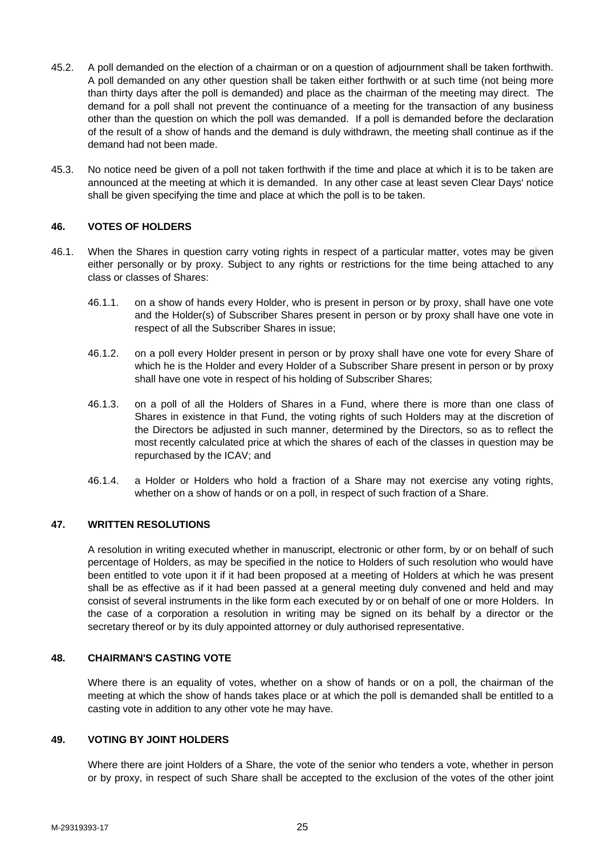- 45.2. A poll demanded on the election of a chairman or on a question of adjournment shall be taken forthwith. A poll demanded on any other question shall be taken either forthwith or at such time (not being more than thirty days after the poll is demanded) and place as the chairman of the meeting may direct. The demand for a poll shall not prevent the continuance of a meeting for the transaction of any business other than the question on which the poll was demanded. If a poll is demanded before the declaration of the result of a show of hands and the demand is duly withdrawn, the meeting shall continue as if the demand had not been made.
- 45.3. No notice need be given of a poll not taken forthwith if the time and place at which it is to be taken are announced at the meeting at which it is demanded. In any other case at least seven Clear Days' notice shall be given specifying the time and place at which the poll is to be taken.

### **46. VOTES OF HOLDERS**

- 46.1. When the Shares in question carry voting rights in respect of a particular matter, votes may be given either personally or by proxy. Subject to any rights or restrictions for the time being attached to any class or classes of Shares:
	- 46.1.1. on a show of hands every Holder, who is present in person or by proxy, shall have one vote and the Holder(s) of Subscriber Shares present in person or by proxy shall have one vote in respect of all the Subscriber Shares in issue;
	- 46.1.2. on a poll every Holder present in person or by proxy shall have one vote for every Share of which he is the Holder and every Holder of a Subscriber Share present in person or by proxy shall have one vote in respect of his holding of Subscriber Shares;
	- 46.1.3. on a poll of all the Holders of Shares in a Fund, where there is more than one class of Shares in existence in that Fund, the voting rights of such Holders may at the discretion of the Directors be adjusted in such manner, determined by the Directors, so as to reflect the most recently calculated price at which the shares of each of the classes in question may be repurchased by the ICAV; and
	- 46.1.4. a Holder or Holders who hold a fraction of a Share may not exercise any voting rights, whether on a show of hands or on a poll, in respect of such fraction of a Share.

### **47. WRITTEN RESOLUTIONS**

A resolution in writing executed whether in manuscript, electronic or other form, by or on behalf of such percentage of Holders, as may be specified in the notice to Holders of such resolution who would have been entitled to vote upon it if it had been proposed at a meeting of Holders at which he was present shall be as effective as if it had been passed at a general meeting duly convened and held and may consist of several instruments in the like form each executed by or on behalf of one or more Holders. In the case of a corporation a resolution in writing may be signed on its behalf by a director or the secretary thereof or by its duly appointed attorney or duly authorised representative.

### **48. CHAIRMAN'S CASTING VOTE**

Where there is an equality of votes, whether on a show of hands or on a poll, the chairman of the meeting at which the show of hands takes place or at which the poll is demanded shall be entitled to a casting vote in addition to any other vote he may have.

## **49. VOTING BY JOINT HOLDERS**

Where there are joint Holders of a Share, the vote of the senior who tenders a vote, whether in person or by proxy, in respect of such Share shall be accepted to the exclusion of the votes of the other joint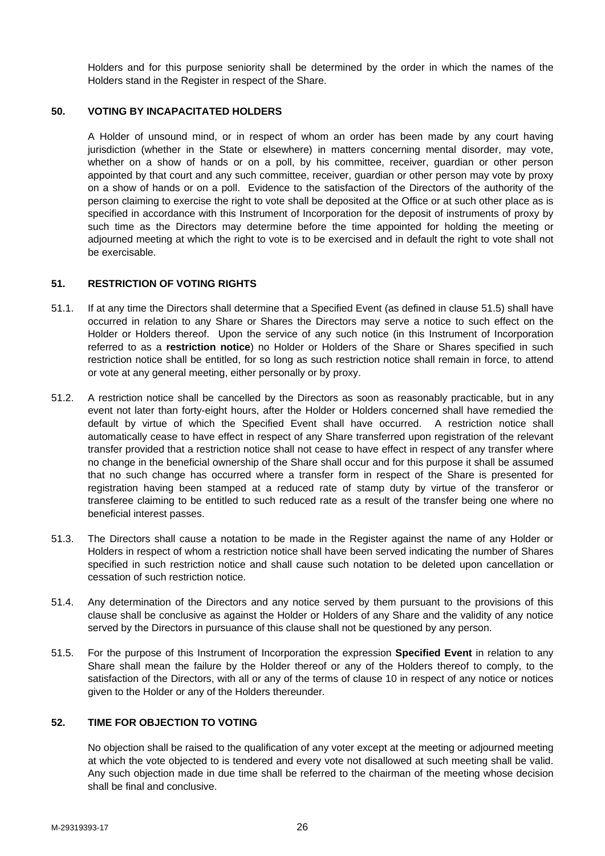Holders and for this purpose seniority shall be determined by the order in which the names of the Holders stand in the Register in respect of the Share.

#### **50. VOTING BY INCAPACITATED HOLDERS**

A Holder of unsound mind, or in respect of whom an order has been made by any court having jurisdiction (whether in the State or elsewhere) in matters concerning mental disorder, may vote, whether on a show of hands or on a poll, by his committee, receiver, guardian or other person appointed by that court and any such committee, receiver, guardian or other person may vote by proxy on a show of hands or on a poll. Evidence to the satisfaction of the Directors of the authority of the person claiming to exercise the right to vote shall be deposited at the Office or at such other place as is specified in accordance with this Instrument of Incorporation for the deposit of instruments of proxy by such time as the Directors may determine before the time appointed for holding the meeting or adjourned meeting at which the right to vote is to be exercised and in default the right to vote shall not be exercisable.

#### **51. RESTRICTION OF VOTING RIGHTS**

- 51.1. If at any time the Directors shall determine that a Specified Event (as defined in clause 51.5) shall have occurred in relation to any Share or Shares the Directors may serve a notice to such effect on the Holder or Holders thereof. Upon the service of any such notice (in this Instrument of Incorporation referred to as a **restriction notice**) no Holder or Holders of the Share or Shares specified in such restriction notice shall be entitled, for so long as such restriction notice shall remain in force, to attend or vote at any general meeting, either personally or by proxy.
- 51.2. A restriction notice shall be cancelled by the Directors as soon as reasonably practicable, but in any event not later than forty-eight hours, after the Holder or Holders concerned shall have remedied the default by virtue of which the Specified Event shall have occurred. A restriction notice shall automatically cease to have effect in respect of any Share transferred upon registration of the relevant transfer provided that a restriction notice shall not cease to have effect in respect of any transfer where no change in the beneficial ownership of the Share shall occur and for this purpose it shall be assumed that no such change has occurred where a transfer form in respect of the Share is presented for registration having been stamped at a reduced rate of stamp duty by virtue of the transferor or transferee claiming to be entitled to such reduced rate as a result of the transfer being one where no beneficial interest passes.
- 51.3. The Directors shall cause a notation to be made in the Register against the name of any Holder or Holders in respect of whom a restriction notice shall have been served indicating the number of Shares specified in such restriction notice and shall cause such notation to be deleted upon cancellation or cessation of such restriction notice.
- 51.4. Any determination of the Directors and any notice served by them pursuant to the provisions of this clause shall be conclusive as against the Holder or Holders of any Share and the validity of any notice served by the Directors in pursuance of this clause shall not be questioned by any person.
- 51.5. For the purpose of this Instrument of Incorporation the expression **Specified Event** in relation to any Share shall mean the failure by the Holder thereof or any of the Holders thereof to comply, to the satisfaction of the Directors, with all or any of the terms of clause 10 in respect of any notice or notices given to the Holder or any of the Holders thereunder.

### **52. TIME FOR OBJECTION TO VOTING**

No objection shall be raised to the qualification of any voter except at the meeting or adjourned meeting at which the vote objected to is tendered and every vote not disallowed at such meeting shall be valid. Any such objection made in due time shall be referred to the chairman of the meeting whose decision shall be final and conclusive.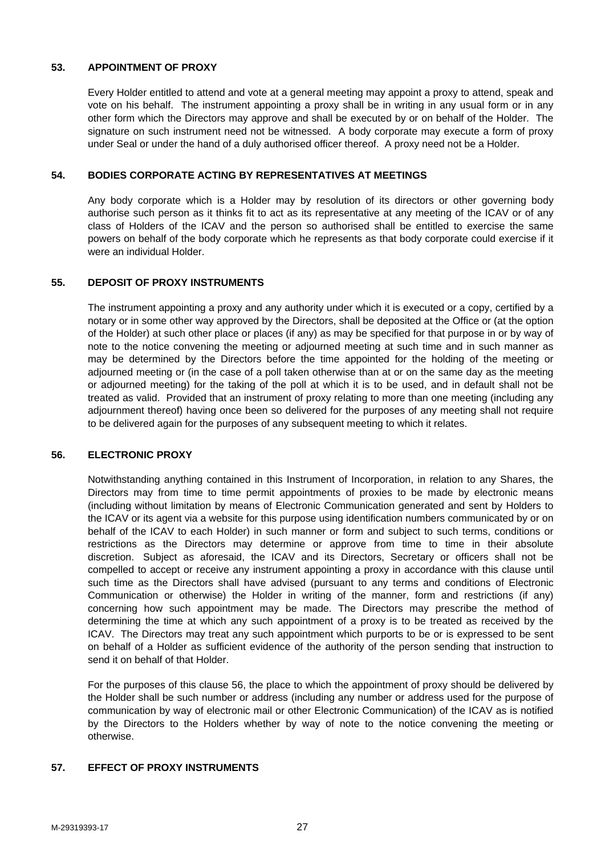## **53. APPOINTMENT OF PROXY**

Every Holder entitled to attend and vote at a general meeting may appoint a proxy to attend, speak and vote on his behalf. The instrument appointing a proxy shall be in writing in any usual form or in any other form which the Directors may approve and shall be executed by or on behalf of the Holder. The signature on such instrument need not be witnessed. A body corporate may execute a form of proxy under Seal or under the hand of a duly authorised officer thereof. A proxy need not be a Holder.

## **54. BODIES CORPORATE ACTING BY REPRESENTATIVES AT MEETINGS**

Any body corporate which is a Holder may by resolution of its directors or other governing body authorise such person as it thinks fit to act as its representative at any meeting of the ICAV or of any class of Holders of the ICAV and the person so authorised shall be entitled to exercise the same powers on behalf of the body corporate which he represents as that body corporate could exercise if it were an individual Holder.

### **55. DEPOSIT OF PROXY INSTRUMENTS**

The instrument appointing a proxy and any authority under which it is executed or a copy, certified by a notary or in some other way approved by the Directors, shall be deposited at the Office or (at the option of the Holder) at such other place or places (if any) as may be specified for that purpose in or by way of note to the notice convening the meeting or adjourned meeting at such time and in such manner as may be determined by the Directors before the time appointed for the holding of the meeting or adjourned meeting or (in the case of a poll taken otherwise than at or on the same day as the meeting or adjourned meeting) for the taking of the poll at which it is to be used, and in default shall not be treated as valid. Provided that an instrument of proxy relating to more than one meeting (including any adjournment thereof) having once been so delivered for the purposes of any meeting shall not require to be delivered again for the purposes of any subsequent meeting to which it relates.

### **56. ELECTRONIC PROXY**

Notwithstanding anything contained in this Instrument of Incorporation, in relation to any Shares, the Directors may from time to time permit appointments of proxies to be made by electronic means (including without limitation by means of Electronic Communication generated and sent by Holders to the ICAV or its agent via a website for this purpose using identification numbers communicated by or on behalf of the ICAV to each Holder) in such manner or form and subject to such terms, conditions or restrictions as the Directors may determine or approve from time to time in their absolute discretion. Subject as aforesaid, the ICAV and its Directors, Secretary or officers shall not be compelled to accept or receive any instrument appointing a proxy in accordance with this clause until such time as the Directors shall have advised (pursuant to any terms and conditions of Electronic Communication or otherwise) the Holder in writing of the manner, form and restrictions (if any) concerning how such appointment may be made. The Directors may prescribe the method of determining the time at which any such appointment of a proxy is to be treated as received by the ICAV. The Directors may treat any such appointment which purports to be or is expressed to be sent on behalf of a Holder as sufficient evidence of the authority of the person sending that instruction to send it on behalf of that Holder.

For the purposes of this clause 56, the place to which the appointment of proxy should be delivered by the Holder shall be such number or address (including any number or address used for the purpose of communication by way of electronic mail or other Electronic Communication) of the ICAV as is notified by the Directors to the Holders whether by way of note to the notice convening the meeting or otherwise.

### **57. EFFECT OF PROXY INSTRUMENTS**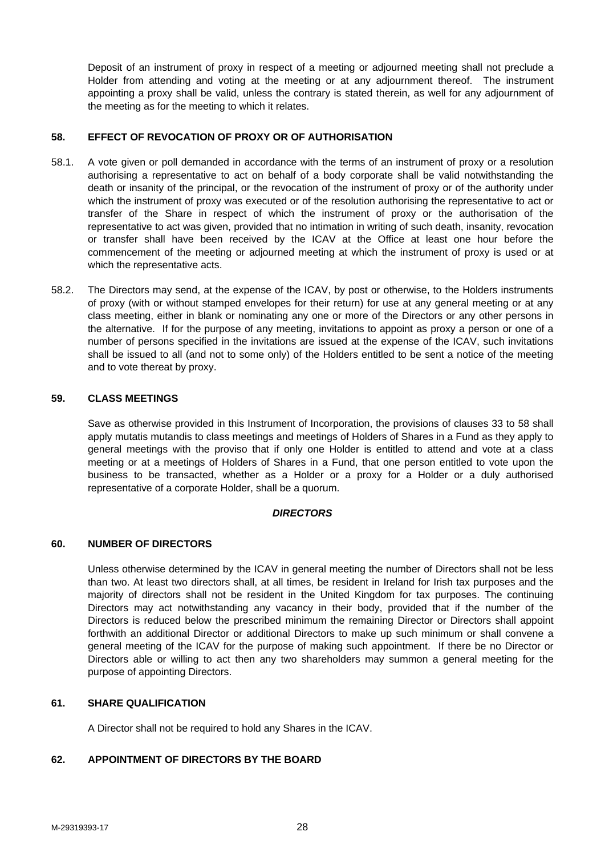Deposit of an instrument of proxy in respect of a meeting or adjourned meeting shall not preclude a Holder from attending and voting at the meeting or at any adjournment thereof. The instrument appointing a proxy shall be valid, unless the contrary is stated therein, as well for any adjournment of the meeting as for the meeting to which it relates.

## **58. EFFECT OF REVOCATION OF PROXY OR OF AUTHORISATION**

- 58.1. A vote given or poll demanded in accordance with the terms of an instrument of proxy or a resolution authorising a representative to act on behalf of a body corporate shall be valid notwithstanding the death or insanity of the principal, or the revocation of the instrument of proxy or of the authority under which the instrument of proxy was executed or of the resolution authorising the representative to act or transfer of the Share in respect of which the instrument of proxy or the authorisation of the representative to act was given, provided that no intimation in writing of such death, insanity, revocation or transfer shall have been received by the ICAV at the Office at least one hour before the commencement of the meeting or adjourned meeting at which the instrument of proxy is used or at which the representative acts.
- 58.2. The Directors may send, at the expense of the ICAV, by post or otherwise, to the Holders instruments of proxy (with or without stamped envelopes for their return) for use at any general meeting or at any class meeting, either in blank or nominating any one or more of the Directors or any other persons in the alternative. If for the purpose of any meeting, invitations to appoint as proxy a person or one of a number of persons specified in the invitations are issued at the expense of the ICAV, such invitations shall be issued to all (and not to some only) of the Holders entitled to be sent a notice of the meeting and to vote thereat by proxy.

## **59. CLASS MEETINGS**

Save as otherwise provided in this Instrument of Incorporation, the provisions of clauses 33 to 58 shall apply mutatis mutandis to class meetings and meetings of Holders of Shares in a Fund as they apply to general meetings with the proviso that if only one Holder is entitled to attend and vote at a class meeting or at a meetings of Holders of Shares in a Fund, that one person entitled to vote upon the business to be transacted, whether as a Holder or a proxy for a Holder or a duly authorised representative of a corporate Holder, shall be a quorum.

#### *DIRECTORS*

### **60. NUMBER OF DIRECTORS**

Unless otherwise determined by the ICAV in general meeting the number of Directors shall not be less than two. At least two directors shall, at all times, be resident in Ireland for Irish tax purposes and the majority of directors shall not be resident in the United Kingdom for tax purposes. The continuing Directors may act notwithstanding any vacancy in their body, provided that if the number of the Directors is reduced below the prescribed minimum the remaining Director or Directors shall appoint forthwith an additional Director or additional Directors to make up such minimum or shall convene a general meeting of the ICAV for the purpose of making such appointment. If there be no Director or Directors able or willing to act then any two shareholders may summon a general meeting for the purpose of appointing Directors.

### **61. SHARE QUALIFICATION**

A Director shall not be required to hold any Shares in the ICAV.

### **62. APPOINTMENT OF DIRECTORS BY THE BOARD**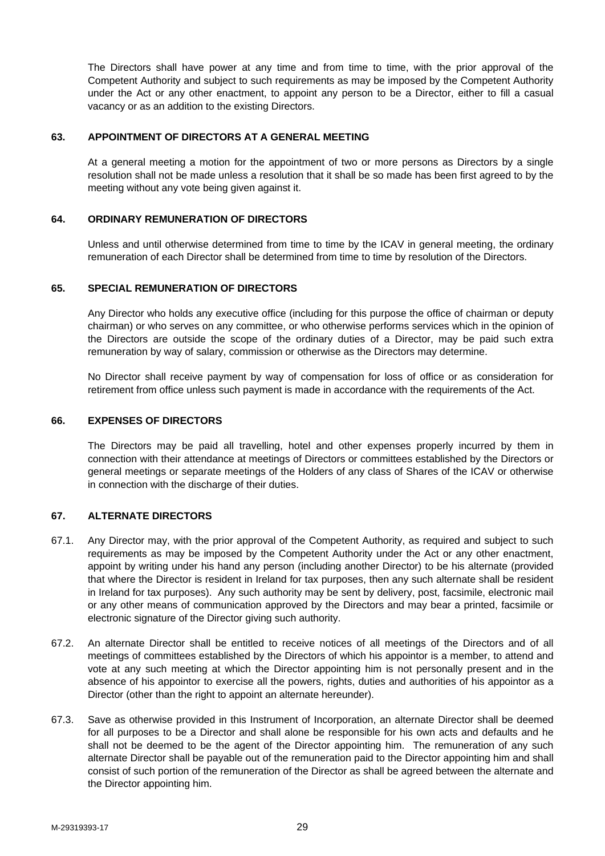The Directors shall have power at any time and from time to time, with the prior approval of the Competent Authority and subject to such requirements as may be imposed by the Competent Authority under the Act or any other enactment, to appoint any person to be a Director, either to fill a casual vacancy or as an addition to the existing Directors.

#### **63. APPOINTMENT OF DIRECTORS AT A GENERAL MEETING**

At a general meeting a motion for the appointment of two or more persons as Directors by a single resolution shall not be made unless a resolution that it shall be so made has been first agreed to by the meeting without any vote being given against it.

## **64. ORDINARY REMUNERATION OF DIRECTORS**

Unless and until otherwise determined from time to time by the ICAV in general meeting, the ordinary remuneration of each Director shall be determined from time to time by resolution of the Directors.

#### **65. SPECIAL REMUNERATION OF DIRECTORS**

Any Director who holds any executive office (including for this purpose the office of chairman or deputy chairman) or who serves on any committee, or who otherwise performs services which in the opinion of the Directors are outside the scope of the ordinary duties of a Director, may be paid such extra remuneration by way of salary, commission or otherwise as the Directors may determine.

No Director shall receive payment by way of compensation for loss of office or as consideration for retirement from office unless such payment is made in accordance with the requirements of the Act.

#### **66. EXPENSES OF DIRECTORS**

The Directors may be paid all travelling, hotel and other expenses properly incurred by them in connection with their attendance at meetings of Directors or committees established by the Directors or general meetings or separate meetings of the Holders of any class of Shares of the ICAV or otherwise in connection with the discharge of their duties.

### **67. ALTERNATE DIRECTORS**

- 67.1. Any Director may, with the prior approval of the Competent Authority, as required and subject to such requirements as may be imposed by the Competent Authority under the Act or any other enactment, appoint by writing under his hand any person (including another Director) to be his alternate (provided that where the Director is resident in Ireland for tax purposes, then any such alternate shall be resident in Ireland for tax purposes). Any such authority may be sent by delivery, post, facsimile, electronic mail or any other means of communication approved by the Directors and may bear a printed, facsimile or electronic signature of the Director giving such authority.
- 67.2. An alternate Director shall be entitled to receive notices of all meetings of the Directors and of all meetings of committees established by the Directors of which his appointor is a member, to attend and vote at any such meeting at which the Director appointing him is not personally present and in the absence of his appointor to exercise all the powers, rights, duties and authorities of his appointor as a Director (other than the right to appoint an alternate hereunder).
- 67.3. Save as otherwise provided in this Instrument of Incorporation, an alternate Director shall be deemed for all purposes to be a Director and shall alone be responsible for his own acts and defaults and he shall not be deemed to be the agent of the Director appointing him. The remuneration of any such alternate Director shall be payable out of the remuneration paid to the Director appointing him and shall consist of such portion of the remuneration of the Director as shall be agreed between the alternate and the Director appointing him.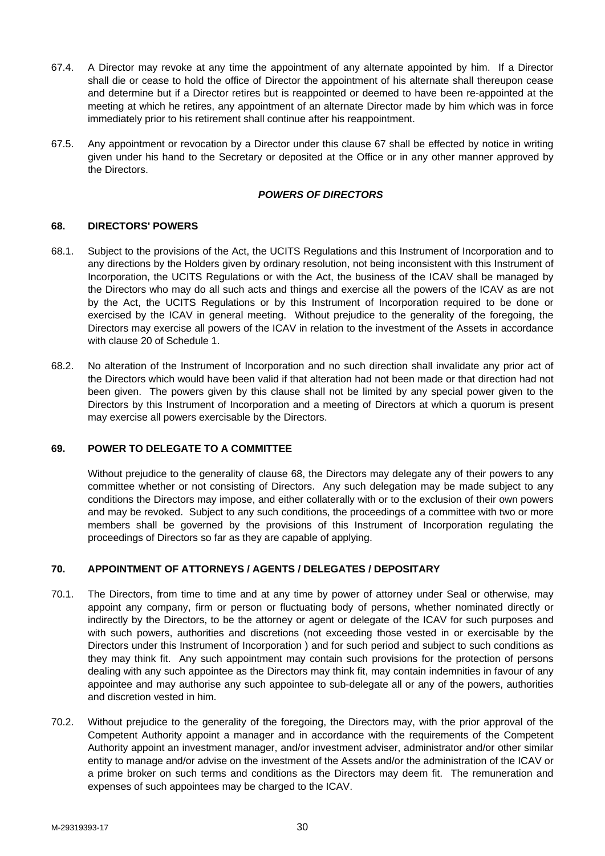- 67.4. A Director may revoke at any time the appointment of any alternate appointed by him. If a Director shall die or cease to hold the office of Director the appointment of his alternate shall thereupon cease and determine but if a Director retires but is reappointed or deemed to have been re-appointed at the meeting at which he retires, any appointment of an alternate Director made by him which was in force immediately prior to his retirement shall continue after his reappointment.
- 67.5. Any appointment or revocation by a Director under this clause 67 shall be effected by notice in writing given under his hand to the Secretary or deposited at the Office or in any other manner approved by the Directors.

## *POWERS OF DIRECTORS*

## **68. DIRECTORS' POWERS**

- 68.1. Subject to the provisions of the Act, the UCITS Regulations and this Instrument of Incorporation and to any directions by the Holders given by ordinary resolution, not being inconsistent with this Instrument of Incorporation, the UCITS Regulations or with the Act, the business of the ICAV shall be managed by the Directors who may do all such acts and things and exercise all the powers of the ICAV as are not by the Act, the UCITS Regulations or by this Instrument of Incorporation required to be done or exercised by the ICAV in general meeting. Without prejudice to the generality of the foregoing, the Directors may exercise all powers of the ICAV in relation to the investment of the Assets in accordance with clause 20 of Schedule 1.
- 68.2. No alteration of the Instrument of Incorporation and no such direction shall invalidate any prior act of the Directors which would have been valid if that alteration had not been made or that direction had not been given. The powers given by this clause shall not be limited by any special power given to the Directors by this Instrument of Incorporation and a meeting of Directors at which a quorum is present may exercise all powers exercisable by the Directors.

### **69. POWER TO DELEGATE TO A COMMITTEE**

Without prejudice to the generality of clause 68, the Directors may delegate any of their powers to any committee whether or not consisting of Directors. Any such delegation may be made subject to any conditions the Directors may impose, and either collaterally with or to the exclusion of their own powers and may be revoked. Subject to any such conditions, the proceedings of a committee with two or more members shall be governed by the provisions of this Instrument of Incorporation regulating the proceedings of Directors so far as they are capable of applying.

### **70. APPOINTMENT OF ATTORNEYS / AGENTS / DELEGATES / DEPOSITARY**

- 70.1. The Directors, from time to time and at any time by power of attorney under Seal or otherwise, may appoint any company, firm or person or fluctuating body of persons, whether nominated directly or indirectly by the Directors, to be the attorney or agent or delegate of the ICAV for such purposes and with such powers, authorities and discretions (not exceeding those vested in or exercisable by the Directors under this Instrument of Incorporation ) and for such period and subject to such conditions as they may think fit. Any such appointment may contain such provisions for the protection of persons dealing with any such appointee as the Directors may think fit, may contain indemnities in favour of any appointee and may authorise any such appointee to sub-delegate all or any of the powers, authorities and discretion vested in him.
- 70.2. Without prejudice to the generality of the foregoing, the Directors may, with the prior approval of the Competent Authority appoint a manager and in accordance with the requirements of the Competent Authority appoint an investment manager, and/or investment adviser, administrator and/or other similar entity to manage and/or advise on the investment of the Assets and/or the administration of the ICAV or a prime broker on such terms and conditions as the Directors may deem fit. The remuneration and expenses of such appointees may be charged to the ICAV.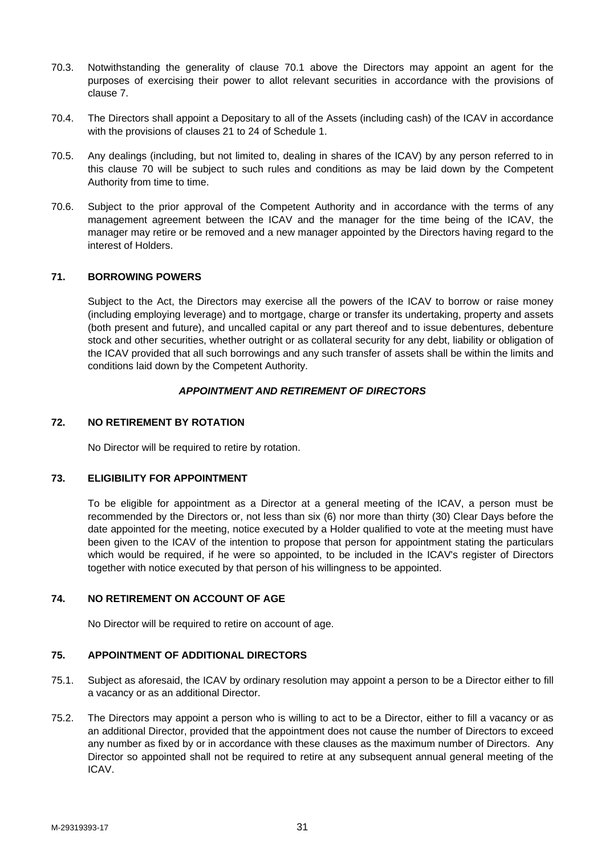- 70.3. Notwithstanding the generality of clause 70.1 above the Directors may appoint an agent for the purposes of exercising their power to allot relevant securities in accordance with the provisions of clause 7.
- 70.4. The Directors shall appoint a Depositary to all of the Assets (including cash) of the ICAV in accordance with the provisions of clauses 21 to 24 of Schedule 1.
- 70.5. Any dealings (including, but not limited to, dealing in shares of the ICAV) by any person referred to in this clause 70 will be subject to such rules and conditions as may be laid down by the Competent Authority from time to time.
- 70.6. Subject to the prior approval of the Competent Authority and in accordance with the terms of any management agreement between the ICAV and the manager for the time being of the ICAV, the manager may retire or be removed and a new manager appointed by the Directors having regard to the interest of Holders.

### **71. BORROWING POWERS**

Subject to the Act, the Directors may exercise all the powers of the ICAV to borrow or raise money (including employing leverage) and to mortgage, charge or transfer its undertaking, property and assets (both present and future), and uncalled capital or any part thereof and to issue debentures, debenture stock and other securities, whether outright or as collateral security for any debt, liability or obligation of the ICAV provided that all such borrowings and any such transfer of assets shall be within the limits and conditions laid down by the Competent Authority.

#### *APPOINTMENT AND RETIREMENT OF DIRECTORS*

#### **72. NO RETIREMENT BY ROTATION**

No Director will be required to retire by rotation.

#### **73. ELIGIBILITY FOR APPOINTMENT**

To be eligible for appointment as a Director at a general meeting of the ICAV, a person must be recommended by the Directors or, not less than six (6) nor more than thirty (30) Clear Days before the date appointed for the meeting, notice executed by a Holder qualified to vote at the meeting must have been given to the ICAV of the intention to propose that person for appointment stating the particulars which would be required, if he were so appointed, to be included in the ICAV's register of Directors together with notice executed by that person of his willingness to be appointed.

#### **74. NO RETIREMENT ON ACCOUNT OF AGE**

No Director will be required to retire on account of age.

#### **75. APPOINTMENT OF ADDITIONAL DIRECTORS**

- 75.1. Subject as aforesaid, the ICAV by ordinary resolution may appoint a person to be a Director either to fill a vacancy or as an additional Director.
- 75.2. The Directors may appoint a person who is willing to act to be a Director, either to fill a vacancy or as an additional Director, provided that the appointment does not cause the number of Directors to exceed any number as fixed by or in accordance with these clauses as the maximum number of Directors. Any Director so appointed shall not be required to retire at any subsequent annual general meeting of the ICAV.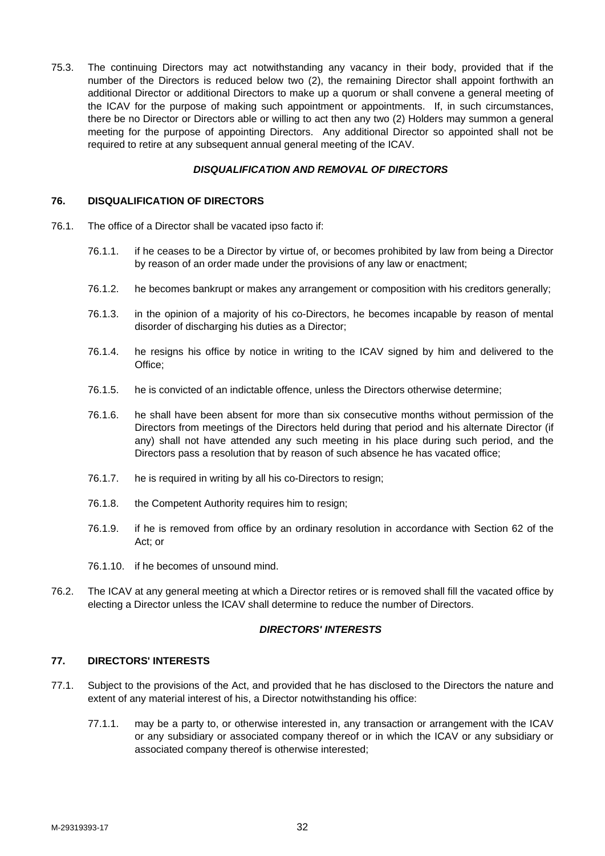75.3. The continuing Directors may act notwithstanding any vacancy in their body, provided that if the number of the Directors is reduced below two (2), the remaining Director shall appoint forthwith an additional Director or additional Directors to make up a quorum or shall convene a general meeting of the ICAV for the purpose of making such appointment or appointments. If, in such circumstances, there be no Director or Directors able or willing to act then any two (2) Holders may summon a general meeting for the purpose of appointing Directors. Any additional Director so appointed shall not be required to retire at any subsequent annual general meeting of the ICAV.

## *DISQUALIFICATION AND REMOVAL OF DIRECTORS*

#### **76. DISQUALIFICATION OF DIRECTORS**

- 76.1. The office of a Director shall be vacated ipso facto if:
	- 76.1.1. if he ceases to be a Director by virtue of, or becomes prohibited by law from being a Director by reason of an order made under the provisions of any law or enactment;
	- 76.1.2. he becomes bankrupt or makes any arrangement or composition with his creditors generally;
	- 76.1.3. in the opinion of a majority of his co-Directors, he becomes incapable by reason of mental disorder of discharging his duties as a Director;
	- 76.1.4. he resigns his office by notice in writing to the ICAV signed by him and delivered to the Office;
	- 76.1.5. he is convicted of an indictable offence, unless the Directors otherwise determine;
	- 76.1.6. he shall have been absent for more than six consecutive months without permission of the Directors from meetings of the Directors held during that period and his alternate Director (if any) shall not have attended any such meeting in his place during such period, and the Directors pass a resolution that by reason of such absence he has vacated office;
	- 76.1.7. he is required in writing by all his co-Directors to resign;
	- 76.1.8. the Competent Authority requires him to resign;
	- 76.1.9. if he is removed from office by an ordinary resolution in accordance with Section 62 of the Act; or
	- 76.1.10. if he becomes of unsound mind.
- 76.2. The ICAV at any general meeting at which a Director retires or is removed shall fill the vacated office by electing a Director unless the ICAV shall determine to reduce the number of Directors.

#### *DIRECTORS' INTERESTS*

### **77. DIRECTORS' INTERESTS**

- 77.1. Subject to the provisions of the Act, and provided that he has disclosed to the Directors the nature and extent of any material interest of his, a Director notwithstanding his office:
	- 77.1.1. may be a party to, or otherwise interested in, any transaction or arrangement with the ICAV or any subsidiary or associated company thereof or in which the ICAV or any subsidiary or associated company thereof is otherwise interested;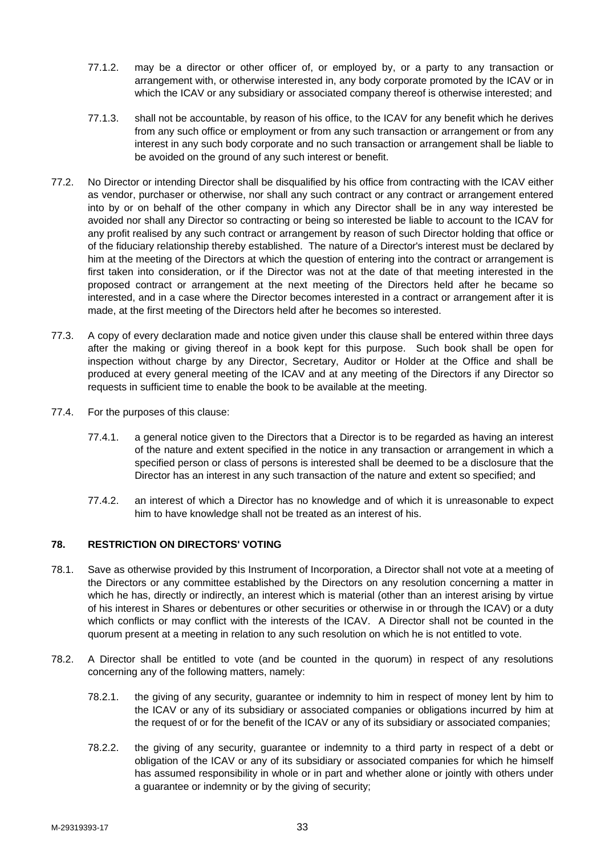- 77.1.2. may be a director or other officer of, or employed by, or a party to any transaction or arrangement with, or otherwise interested in, any body corporate promoted by the ICAV or in which the ICAV or any subsidiary or associated company thereof is otherwise interested; and
- 77.1.3. shall not be accountable, by reason of his office, to the ICAV for any benefit which he derives from any such office or employment or from any such transaction or arrangement or from any interest in any such body corporate and no such transaction or arrangement shall be liable to be avoided on the ground of any such interest or benefit.
- 77.2. No Director or intending Director shall be disqualified by his office from contracting with the ICAV either as vendor, purchaser or otherwise, nor shall any such contract or any contract or arrangement entered into by or on behalf of the other company in which any Director shall be in any way interested be avoided nor shall any Director so contracting or being so interested be liable to account to the ICAV for any profit realised by any such contract or arrangement by reason of such Director holding that office or of the fiduciary relationship thereby established. The nature of a Director's interest must be declared by him at the meeting of the Directors at which the question of entering into the contract or arrangement is first taken into consideration, or if the Director was not at the date of that meeting interested in the proposed contract or arrangement at the next meeting of the Directors held after he became so interested, and in a case where the Director becomes interested in a contract or arrangement after it is made, at the first meeting of the Directors held after he becomes so interested.
- 77.3. A copy of every declaration made and notice given under this clause shall be entered within three days after the making or giving thereof in a book kept for this purpose. Such book shall be open for inspection without charge by any Director, Secretary, Auditor or Holder at the Office and shall be produced at every general meeting of the ICAV and at any meeting of the Directors if any Director so requests in sufficient time to enable the book to be available at the meeting.
- 77.4. For the purposes of this clause:
	- 77.4.1. a general notice given to the Directors that a Director is to be regarded as having an interest of the nature and extent specified in the notice in any transaction or arrangement in which a specified person or class of persons is interested shall be deemed to be a disclosure that the Director has an interest in any such transaction of the nature and extent so specified; and
	- 77.4.2. an interest of which a Director has no knowledge and of which it is unreasonable to expect him to have knowledge shall not be treated as an interest of his.

## **78. RESTRICTION ON DIRECTORS' VOTING**

- 78.1. Save as otherwise provided by this Instrument of Incorporation, a Director shall not vote at a meeting of the Directors or any committee established by the Directors on any resolution concerning a matter in which he has, directly or indirectly, an interest which is material (other than an interest arising by virtue of his interest in Shares or debentures or other securities or otherwise in or through the ICAV) or a duty which conflicts or may conflict with the interests of the ICAV. A Director shall not be counted in the quorum present at a meeting in relation to any such resolution on which he is not entitled to vote.
- 78.2. A Director shall be entitled to vote (and be counted in the quorum) in respect of any resolutions concerning any of the following matters, namely:
	- 78.2.1. the giving of any security, guarantee or indemnity to him in respect of money lent by him to the ICAV or any of its subsidiary or associated companies or obligations incurred by him at the request of or for the benefit of the ICAV or any of its subsidiary or associated companies;
	- 78.2.2. the giving of any security, guarantee or indemnity to a third party in respect of a debt or obligation of the ICAV or any of its subsidiary or associated companies for which he himself has assumed responsibility in whole or in part and whether alone or jointly with others under a guarantee or indemnity or by the giving of security;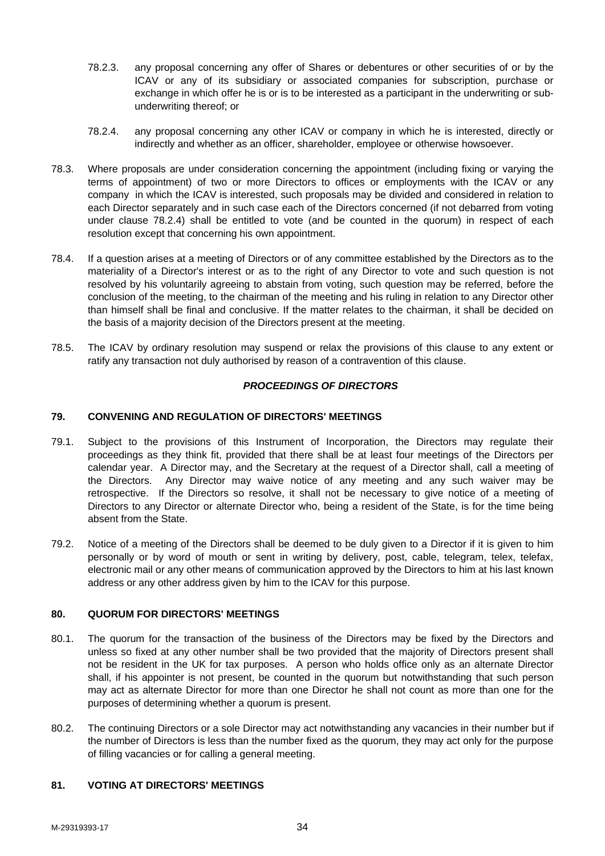- 78.2.3. any proposal concerning any offer of Shares or debentures or other securities of or by the ICAV or any of its subsidiary or associated companies for subscription, purchase or exchange in which offer he is or is to be interested as a participant in the underwriting or subunderwriting thereof; or
- 78.2.4. any proposal concerning any other ICAV or company in which he is interested, directly or indirectly and whether as an officer, shareholder, employee or otherwise howsoever.
- 78.3. Where proposals are under consideration concerning the appointment (including fixing or varying the terms of appointment) of two or more Directors to offices or employments with the ICAV or any company in which the ICAV is interested, such proposals may be divided and considered in relation to each Director separately and in such case each of the Directors concerned (if not debarred from voting under clause 78.2.4) shall be entitled to vote (and be counted in the quorum) in respect of each resolution except that concerning his own appointment.
- 78.4. If a question arises at a meeting of Directors or of any committee established by the Directors as to the materiality of a Director's interest or as to the right of any Director to vote and such question is not resolved by his voluntarily agreeing to abstain from voting, such question may be referred, before the conclusion of the meeting, to the chairman of the meeting and his ruling in relation to any Director other than himself shall be final and conclusive. If the matter relates to the chairman, it shall be decided on the basis of a majority decision of the Directors present at the meeting.
- 78.5. The ICAV by ordinary resolution may suspend or relax the provisions of this clause to any extent or ratify any transaction not duly authorised by reason of a contravention of this clause.

## *PROCEEDINGS OF DIRECTORS*

### **79. CONVENING AND REGULATION OF DIRECTORS' MEETINGS**

- 79.1. Subject to the provisions of this Instrument of Incorporation, the Directors may regulate their proceedings as they think fit, provided that there shall be at least four meetings of the Directors per calendar year. A Director may, and the Secretary at the request of a Director shall, call a meeting of the Directors. Any Director may waive notice of any meeting and any such waiver may be retrospective. If the Directors so resolve, it shall not be necessary to give notice of a meeting of Directors to any Director or alternate Director who, being a resident of the State, is for the time being absent from the State.
- 79.2. Notice of a meeting of the Directors shall be deemed to be duly given to a Director if it is given to him personally or by word of mouth or sent in writing by delivery, post, cable, telegram, telex, telefax, electronic mail or any other means of communication approved by the Directors to him at his last known address or any other address given by him to the ICAV for this purpose.

### **80. QUORUM FOR DIRECTORS' MEETINGS**

- 80.1. The quorum for the transaction of the business of the Directors may be fixed by the Directors and unless so fixed at any other number shall be two provided that the majority of Directors present shall not be resident in the UK for tax purposes. A person who holds office only as an alternate Director shall, if his appointer is not present, be counted in the quorum but notwithstanding that such person may act as alternate Director for more than one Director he shall not count as more than one for the purposes of determining whether a quorum is present.
- 80.2. The continuing Directors or a sole Director may act notwithstanding any vacancies in their number but if the number of Directors is less than the number fixed as the quorum, they may act only for the purpose of filling vacancies or for calling a general meeting.

### **81. VOTING AT DIRECTORS' MEETINGS**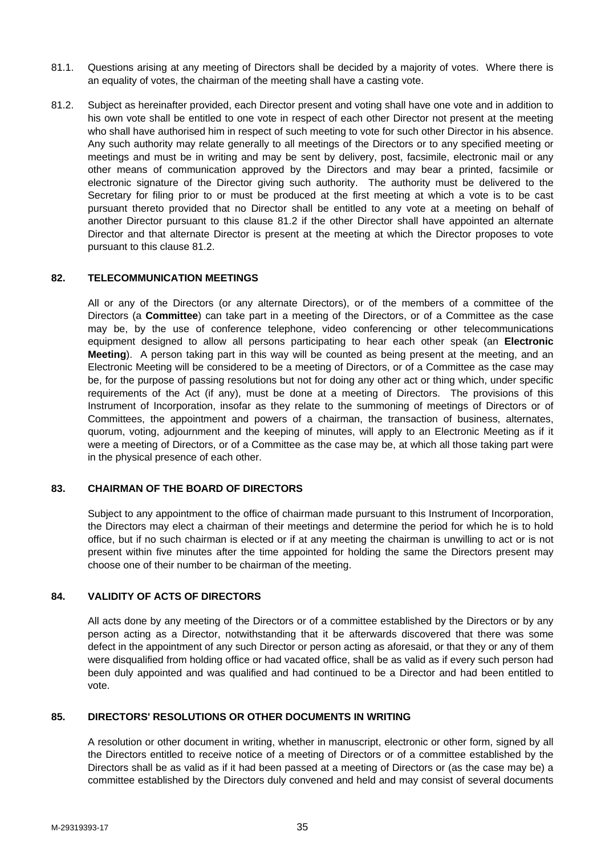- 81.1. Questions arising at any meeting of Directors shall be decided by a majority of votes. Where there is an equality of votes, the chairman of the meeting shall have a casting vote.
- 81.2. Subject as hereinafter provided, each Director present and voting shall have one vote and in addition to his own vote shall be entitled to one vote in respect of each other Director not present at the meeting who shall have authorised him in respect of such meeting to vote for such other Director in his absence. Any such authority may relate generally to all meetings of the Directors or to any specified meeting or meetings and must be in writing and may be sent by delivery, post, facsimile, electronic mail or any other means of communication approved by the Directors and may bear a printed, facsimile or electronic signature of the Director giving such authority. The authority must be delivered to the Secretary for filing prior to or must be produced at the first meeting at which a vote is to be cast pursuant thereto provided that no Director shall be entitled to any vote at a meeting on behalf of another Director pursuant to this clause 81.2 if the other Director shall have appointed an alternate Director and that alternate Director is present at the meeting at which the Director proposes to vote pursuant to this clause 81.2.

#### **82. TELECOMMUNICATION MEETINGS**

All or any of the Directors (or any alternate Directors), or of the members of a committee of the Directors (a **Committee**) can take part in a meeting of the Directors, or of a Committee as the case may be, by the use of conference telephone, video conferencing or other telecommunications equipment designed to allow all persons participating to hear each other speak (an **Electronic Meeting**). A person taking part in this way will be counted as being present at the meeting, and an Electronic Meeting will be considered to be a meeting of Directors, or of a Committee as the case may be, for the purpose of passing resolutions but not for doing any other act or thing which, under specific requirements of the Act (if any), must be done at a meeting of Directors. The provisions of this Instrument of Incorporation, insofar as they relate to the summoning of meetings of Directors or of Committees, the appointment and powers of a chairman, the transaction of business, alternates, quorum, voting, adjournment and the keeping of minutes, will apply to an Electronic Meeting as if it were a meeting of Directors, or of a Committee as the case may be, at which all those taking part were in the physical presence of each other.

#### **83. CHAIRMAN OF THE BOARD OF DIRECTORS**

Subject to any appointment to the office of chairman made pursuant to this Instrument of Incorporation, the Directors may elect a chairman of their meetings and determine the period for which he is to hold office, but if no such chairman is elected or if at any meeting the chairman is unwilling to act or is not present within five minutes after the time appointed for holding the same the Directors present may choose one of their number to be chairman of the meeting.

### **84. VALIDITY OF ACTS OF DIRECTORS**

All acts done by any meeting of the Directors or of a committee established by the Directors or by any person acting as a Director, notwithstanding that it be afterwards discovered that there was some defect in the appointment of any such Director or person acting as aforesaid, or that they or any of them were disqualified from holding office or had vacated office, shall be as valid as if every such person had been duly appointed and was qualified and had continued to be a Director and had been entitled to vote.

#### **85. DIRECTORS' RESOLUTIONS OR OTHER DOCUMENTS IN WRITING**

A resolution or other document in writing, whether in manuscript, electronic or other form, signed by all the Directors entitled to receive notice of a meeting of Directors or of a committee established by the Directors shall be as valid as if it had been passed at a meeting of Directors or (as the case may be) a committee established by the Directors duly convened and held and may consist of several documents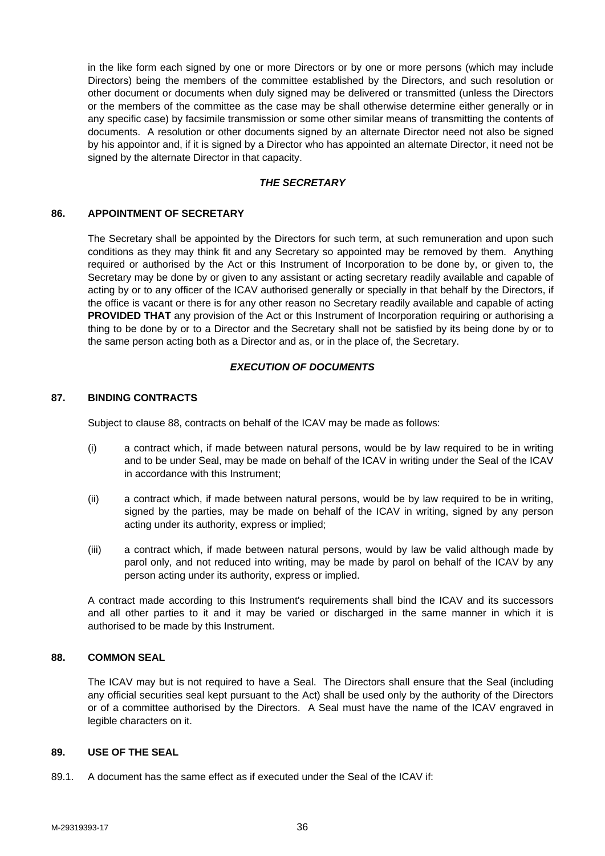in the like form each signed by one or more Directors or by one or more persons (which may include Directors) being the members of the committee established by the Directors, and such resolution or other document or documents when duly signed may be delivered or transmitted (unless the Directors or the members of the committee as the case may be shall otherwise determine either generally or in any specific case) by facsimile transmission or some other similar means of transmitting the contents of documents. A resolution or other documents signed by an alternate Director need not also be signed by his appointor and, if it is signed by a Director who has appointed an alternate Director, it need not be signed by the alternate Director in that capacity.

# *THE SECRETARY*

#### **86. APPOINTMENT OF SECRETARY**

The Secretary shall be appointed by the Directors for such term, at such remuneration and upon such conditions as they may think fit and any Secretary so appointed may be removed by them. Anything required or authorised by the Act or this Instrument of Incorporation to be done by, or given to, the Secretary may be done by or given to any assistant or acting secretary readily available and capable of acting by or to any officer of the ICAV authorised generally or specially in that behalf by the Directors, if the office is vacant or there is for any other reason no Secretary readily available and capable of acting **PROVIDED THAT** any provision of the Act or this Instrument of Incorporation requiring or authorising a thing to be done by or to a Director and the Secretary shall not be satisfied by its being done by or to the same person acting both as a Director and as, or in the place of, the Secretary.

# *EXECUTION OF DOCUMENTS*

### **87. BINDING CONTRACTS**

Subject to clause 88, contracts on behalf of the ICAV may be made as follows:

- (i) a contract which, if made between natural persons, would be by law required to be in writing and to be under Seal, may be made on behalf of the ICAV in writing under the Seal of the ICAV in accordance with this Instrument;
- (ii) a contract which, if made between natural persons, would be by law required to be in writing, signed by the parties, may be made on behalf of the ICAV in writing, signed by any person acting under its authority, express or implied;
- (iii) a contract which, if made between natural persons, would by law be valid although made by parol only, and not reduced into writing, may be made by parol on behalf of the ICAV by any person acting under its authority, express or implied.

A contract made according to this Instrument's requirements shall bind the ICAV and its successors and all other parties to it and it may be varied or discharged in the same manner in which it is authorised to be made by this Instrument.

# **88. COMMON SEAL**

The ICAV may but is not required to have a Seal. The Directors shall ensure that the Seal (including any official securities seal kept pursuant to the Act) shall be used only by the authority of the Directors or of a committee authorised by the Directors. A Seal must have the name of the ICAV engraved in legible characters on it.

# **89. USE OF THE SEAL**

89.1. A document has the same effect as if executed under the Seal of the ICAV if: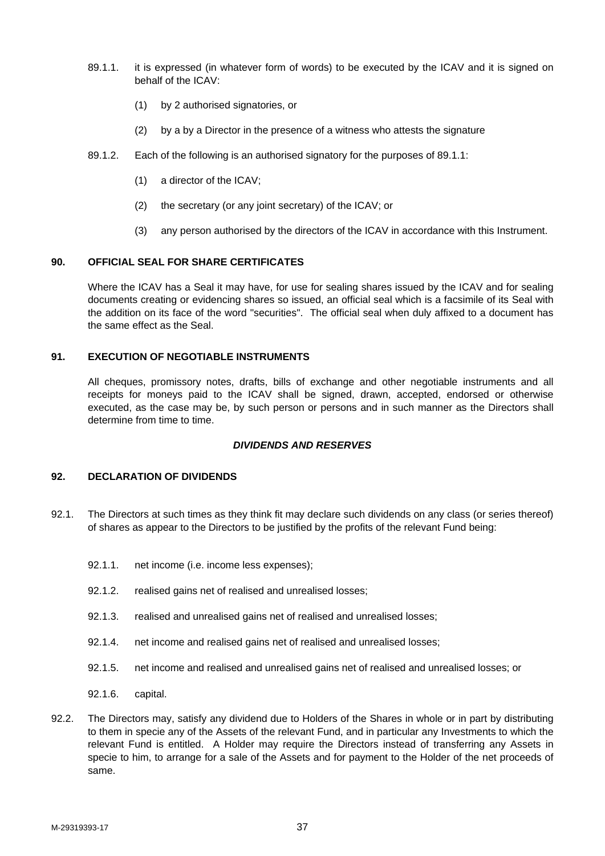- 89.1.1. it is expressed (in whatever form of words) to be executed by the ICAV and it is signed on behalf of the ICAV:
	- (1) by 2 authorised signatories, or
	- (2) by a by a Director in the presence of a witness who attests the signature
- 89.1.2. Each of the following is an authorised signatory for the purposes of 89.1.1:
	- (1) a director of the ICAV;
	- (2) the secretary (or any joint secretary) of the ICAV; or
	- (3) any person authorised by the directors of the ICAV in accordance with this Instrument.

# **90. OFFICIAL SEAL FOR SHARE CERTIFICATES**

Where the ICAV has a Seal it may have, for use for sealing shares issued by the ICAV and for sealing documents creating or evidencing shares so issued, an official seal which is a facsimile of its Seal with the addition on its face of the word "securities". The official seal when duly affixed to a document has the same effect as the Seal.

### **91. EXECUTION OF NEGOTIABLE INSTRUMENTS**

All cheques, promissory notes, drafts, bills of exchange and other negotiable instruments and all receipts for moneys paid to the ICAV shall be signed, drawn, accepted, endorsed or otherwise executed, as the case may be, by such person or persons and in such manner as the Directors shall determine from time to time.

#### *DIVIDENDS AND RESERVES*

# **92. DECLARATION OF DIVIDENDS**

- 92.1. The Directors at such times as they think fit may declare such dividends on any class (or series thereof) of shares as appear to the Directors to be justified by the profits of the relevant Fund being:
	- 92.1.1. net income (i.e. income less expenses);
	- 92.1.2. realised gains net of realised and unrealised losses;
	- 92.1.3. realised and unrealised gains net of realised and unrealised losses;
	- 92.1.4. net income and realised gains net of realised and unrealised losses;
	- 92.1.5. net income and realised and unrealised gains net of realised and unrealised losses; or
	- 92.1.6. capital.
- 92.2. The Directors may, satisfy any dividend due to Holders of the Shares in whole or in part by distributing to them in specie any of the Assets of the relevant Fund, and in particular any Investments to which the relevant Fund is entitled. A Holder may require the Directors instead of transferring any Assets in specie to him, to arrange for a sale of the Assets and for payment to the Holder of the net proceeds of same.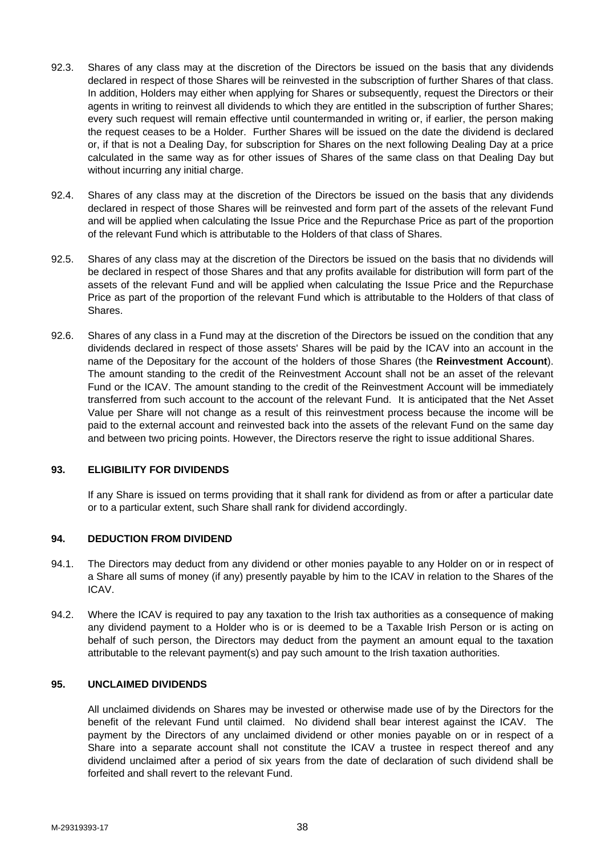- 92.3. Shares of any class may at the discretion of the Directors be issued on the basis that any dividends declared in respect of those Shares will be reinvested in the subscription of further Shares of that class. In addition, Holders may either when applying for Shares or subsequently, request the Directors or their agents in writing to reinvest all dividends to which they are entitled in the subscription of further Shares; every such request will remain effective until countermanded in writing or, if earlier, the person making the request ceases to be a Holder. Further Shares will be issued on the date the dividend is declared or, if that is not a Dealing Day, for subscription for Shares on the next following Dealing Day at a price calculated in the same way as for other issues of Shares of the same class on that Dealing Day but without incurring any initial charge.
- 92.4. Shares of any class may at the discretion of the Directors be issued on the basis that any dividends declared in respect of those Shares will be reinvested and form part of the assets of the relevant Fund and will be applied when calculating the Issue Price and the Repurchase Price as part of the proportion of the relevant Fund which is attributable to the Holders of that class of Shares.
- 92.5. Shares of any class may at the discretion of the Directors be issued on the basis that no dividends will be declared in respect of those Shares and that any profits available for distribution will form part of the assets of the relevant Fund and will be applied when calculating the Issue Price and the Repurchase Price as part of the proportion of the relevant Fund which is attributable to the Holders of that class of Shares.
- 92.6. Shares of any class in a Fund may at the discretion of the Directors be issued on the condition that any dividends declared in respect of those assets' Shares will be paid by the ICAV into an account in the name of the Depositary for the account of the holders of those Shares (the **Reinvestment Account**). The amount standing to the credit of the Reinvestment Account shall not be an asset of the relevant Fund or the ICAV. The amount standing to the credit of the Reinvestment Account will be immediately transferred from such account to the account of the relevant Fund. It is anticipated that the Net Asset Value per Share will not change as a result of this reinvestment process because the income will be paid to the external account and reinvested back into the assets of the relevant Fund on the same day and between two pricing points. However, the Directors reserve the right to issue additional Shares.

# **93. ELIGIBILITY FOR DIVIDENDS**

If any Share is issued on terms providing that it shall rank for dividend as from or after a particular date or to a particular extent, such Share shall rank for dividend accordingly.

#### **94. DEDUCTION FROM DIVIDEND**

- 94.1. The Directors may deduct from any dividend or other monies payable to any Holder on or in respect of a Share all sums of money (if any) presently payable by him to the ICAV in relation to the Shares of the ICAV.
- 94.2. Where the ICAV is required to pay any taxation to the Irish tax authorities as a consequence of making any dividend payment to a Holder who is or is deemed to be a Taxable Irish Person or is acting on behalf of such person, the Directors may deduct from the payment an amount equal to the taxation attributable to the relevant payment(s) and pay such amount to the Irish taxation authorities.

# **95. UNCLAIMED DIVIDENDS**

All unclaimed dividends on Shares may be invested or otherwise made use of by the Directors for the benefit of the relevant Fund until claimed. No dividend shall bear interest against the ICAV. The payment by the Directors of any unclaimed dividend or other monies payable on or in respect of a Share into a separate account shall not constitute the ICAV a trustee in respect thereof and any dividend unclaimed after a period of six years from the date of declaration of such dividend shall be forfeited and shall revert to the relevant Fund.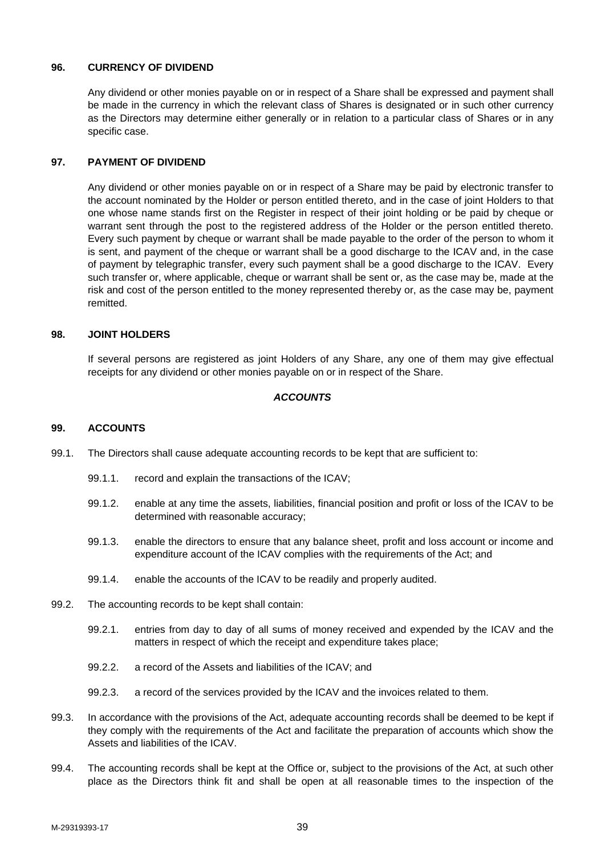# **96. CURRENCY OF DIVIDEND**

Any dividend or other monies payable on or in respect of a Share shall be expressed and payment shall be made in the currency in which the relevant class of Shares is designated or in such other currency as the Directors may determine either generally or in relation to a particular class of Shares or in any specific case.

# **97. PAYMENT OF DIVIDEND**

Any dividend or other monies payable on or in respect of a Share may be paid by electronic transfer to the account nominated by the Holder or person entitled thereto, and in the case of joint Holders to that one whose name stands first on the Register in respect of their joint holding or be paid by cheque or warrant sent through the post to the registered address of the Holder or the person entitled thereto. Every such payment by cheque or warrant shall be made payable to the order of the person to whom it is sent, and payment of the cheque or warrant shall be a good discharge to the ICAV and, in the case of payment by telegraphic transfer, every such payment shall be a good discharge to the ICAV. Every such transfer or, where applicable, cheque or warrant shall be sent or, as the case may be, made at the risk and cost of the person entitled to the money represented thereby or, as the case may be, payment remitted.

### **98. JOINT HOLDERS**

If several persons are registered as joint Holders of any Share, any one of them may give effectual receipts for any dividend or other monies payable on or in respect of the Share.

# *ACCOUNTS*

# **99. ACCOUNTS**

- 99.1. The Directors shall cause adequate accounting records to be kept that are sufficient to:
	- 99.1.1. record and explain the transactions of the ICAV;
	- 99.1.2. enable at any time the assets, liabilities, financial position and profit or loss of the ICAV to be determined with reasonable accuracy;
	- 99.1.3. enable the directors to ensure that any balance sheet, profit and loss account or income and expenditure account of the ICAV complies with the requirements of the Act; and
	- 99.1.4. enable the accounts of the ICAV to be readily and properly audited.
- 99.2. The accounting records to be kept shall contain:
	- 99.2.1. entries from day to day of all sums of money received and expended by the ICAV and the matters in respect of which the receipt and expenditure takes place;
	- 99.2.2. a record of the Assets and liabilities of the ICAV; and
	- 99.2.3. a record of the services provided by the ICAV and the invoices related to them.
- 99.3. In accordance with the provisions of the Act, adequate accounting records shall be deemed to be kept if they comply with the requirements of the Act and facilitate the preparation of accounts which show the Assets and liabilities of the ICAV.
- 99.4. The accounting records shall be kept at the Office or, subject to the provisions of the Act, at such other place as the Directors think fit and shall be open at all reasonable times to the inspection of the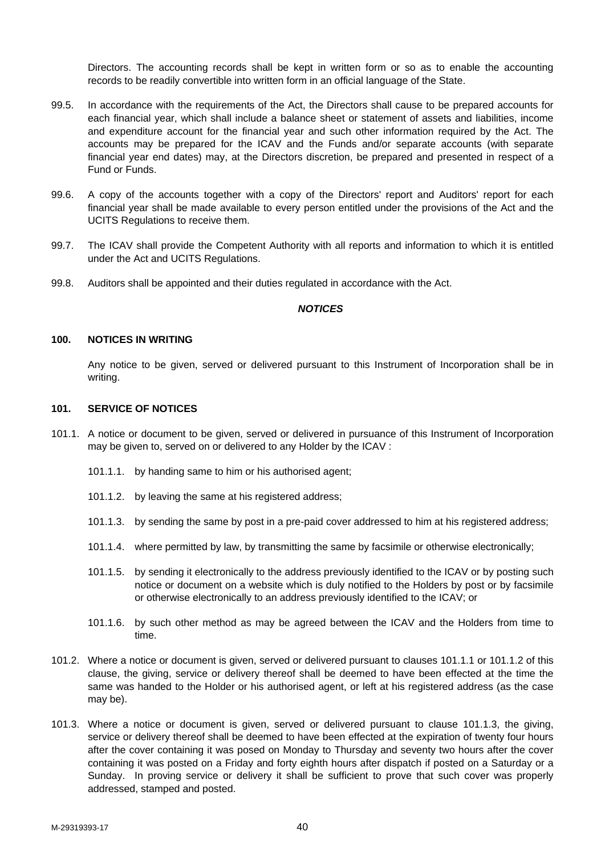Directors. The accounting records shall be kept in written form or so as to enable the accounting records to be readily convertible into written form in an official language of the State.

- 99.5. In accordance with the requirements of the Act, the Directors shall cause to be prepared accounts for each financial year, which shall include a balance sheet or statement of assets and liabilities, income and expenditure account for the financial year and such other information required by the Act. The accounts may be prepared for the ICAV and the Funds and/or separate accounts (with separate financial year end dates) may, at the Directors discretion, be prepared and presented in respect of a Fund or Funds.
- 99.6. A copy of the accounts together with a copy of the Directors' report and Auditors' report for each financial year shall be made available to every person entitled under the provisions of the Act and the UCITS Regulations to receive them.
- 99.7. The ICAV shall provide the Competent Authority with all reports and information to which it is entitled under the Act and UCITS Regulations.
- 99.8. Auditors shall be appointed and their duties regulated in accordance with the Act.

#### *NOTICES*

### **100. NOTICES IN WRITING**

Any notice to be given, served or delivered pursuant to this Instrument of Incorporation shall be in writing.

### **101. SERVICE OF NOTICES**

- 101.1. A notice or document to be given, served or delivered in pursuance of this Instrument of Incorporation may be given to, served on or delivered to any Holder by the ICAV :
	- 101.1.1. by handing same to him or his authorised agent;
	- 101.1.2. by leaving the same at his registered address;
	- 101.1.3. by sending the same by post in a pre-paid cover addressed to him at his registered address;
	- 101.1.4. where permitted by law, by transmitting the same by facsimile or otherwise electronically;
	- 101.1.5. by sending it electronically to the address previously identified to the ICAV or by posting such notice or document on a website which is duly notified to the Holders by post or by facsimile or otherwise electronically to an address previously identified to the ICAV; or
	- 101.1.6. by such other method as may be agreed between the ICAV and the Holders from time to time.
- 101.2. Where a notice or document is given, served or delivered pursuant to clauses 101.1.1 or 101.1.2 of this clause, the giving, service or delivery thereof shall be deemed to have been effected at the time the same was handed to the Holder or his authorised agent, or left at his registered address (as the case may be).
- 101.3. Where a notice or document is given, served or delivered pursuant to clause 101.1.3, the giving, service or delivery thereof shall be deemed to have been effected at the expiration of twenty four hours after the cover containing it was posed on Monday to Thursday and seventy two hours after the cover containing it was posted on a Friday and forty eighth hours after dispatch if posted on a Saturday or a Sunday. In proving service or delivery it shall be sufficient to prove that such cover was properly addressed, stamped and posted.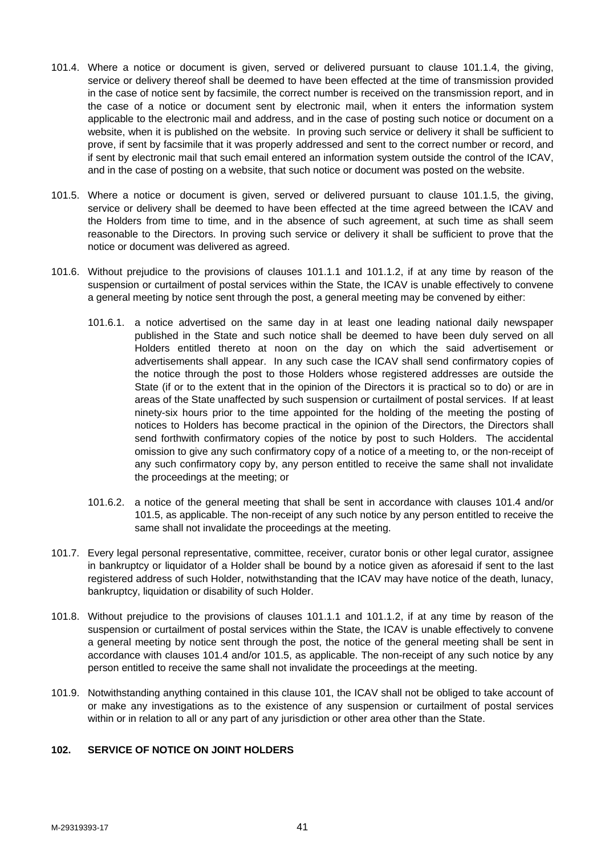- 101.4. Where a notice or document is given, served or delivered pursuant to clause 101.1.4, the giving, service or delivery thereof shall be deemed to have been effected at the time of transmission provided in the case of notice sent by facsimile, the correct number is received on the transmission report, and in the case of a notice or document sent by electronic mail, when it enters the information system applicable to the electronic mail and address, and in the case of posting such notice or document on a website, when it is published on the website. In proving such service or delivery it shall be sufficient to prove, if sent by facsimile that it was properly addressed and sent to the correct number or record, and if sent by electronic mail that such email entered an information system outside the control of the ICAV, and in the case of posting on a website, that such notice or document was posted on the website.
- 101.5. Where a notice or document is given, served or delivered pursuant to clause 101.1.5, the giving, service or delivery shall be deemed to have been effected at the time agreed between the ICAV and the Holders from time to time, and in the absence of such agreement, at such time as shall seem reasonable to the Directors. In proving such service or delivery it shall be sufficient to prove that the notice or document was delivered as agreed.
- 101.6. Without prejudice to the provisions of clauses 101.1.1 and 101.1.2, if at any time by reason of the suspension or curtailment of postal services within the State, the ICAV is unable effectively to convene a general meeting by notice sent through the post, a general meeting may be convened by either:
	- 101.6.1. a notice advertised on the same day in at least one leading national daily newspaper published in the State and such notice shall be deemed to have been duly served on all Holders entitled thereto at noon on the day on which the said advertisement or advertisements shall appear. In any such case the ICAV shall send confirmatory copies of the notice through the post to those Holders whose registered addresses are outside the State (if or to the extent that in the opinion of the Directors it is practical so to do) or are in areas of the State unaffected by such suspension or curtailment of postal services. If at least ninety-six hours prior to the time appointed for the holding of the meeting the posting of notices to Holders has become practical in the opinion of the Directors, the Directors shall send forthwith confirmatory copies of the notice by post to such Holders. The accidental omission to give any such confirmatory copy of a notice of a meeting to, or the non-receipt of any such confirmatory copy by, any person entitled to receive the same shall not invalidate the proceedings at the meeting; or
	- 101.6.2. a notice of the general meeting that shall be sent in accordance with clauses 101.4 and/or 101.5, as applicable. The non-receipt of any such notice by any person entitled to receive the same shall not invalidate the proceedings at the meeting.
- 101.7. Every legal personal representative, committee, receiver, curator bonis or other legal curator, assignee in bankruptcy or liquidator of a Holder shall be bound by a notice given as aforesaid if sent to the last registered address of such Holder, notwithstanding that the ICAV may have notice of the death, lunacy, bankruptcy, liquidation or disability of such Holder.
- 101.8. Without prejudice to the provisions of clauses 101.1.1 and 101.1.2, if at any time by reason of the suspension or curtailment of postal services within the State, the ICAV is unable effectively to convene a general meeting by notice sent through the post, the notice of the general meeting shall be sent in accordance with clauses 101.4 and/or 101.5, as applicable. The non-receipt of any such notice by any person entitled to receive the same shall not invalidate the proceedings at the meeting.
- 101.9. Notwithstanding anything contained in this clause 101, the ICAV shall not be obliged to take account of or make any investigations as to the existence of any suspension or curtailment of postal services within or in relation to all or any part of any jurisdiction or other area other than the State.

# **102. SERVICE OF NOTICE ON JOINT HOLDERS**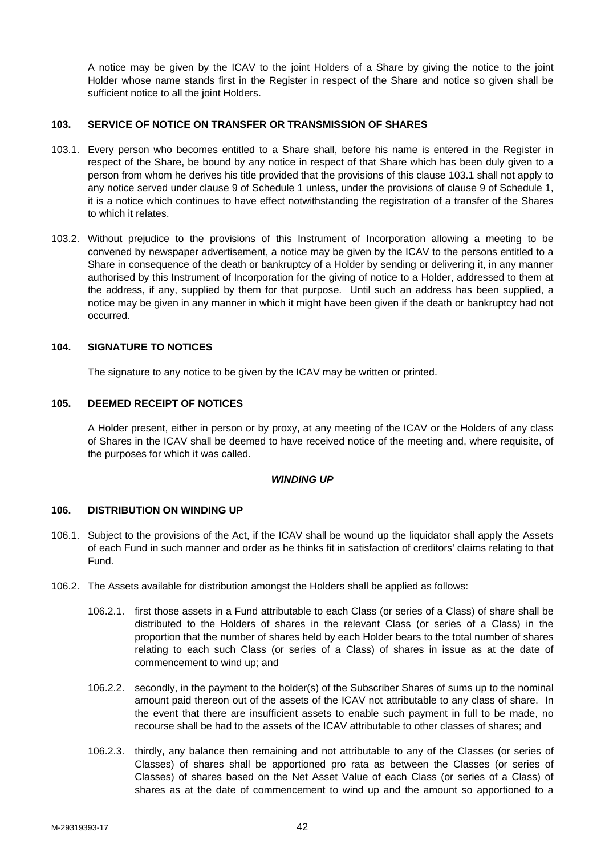A notice may be given by the ICAV to the joint Holders of a Share by giving the notice to the joint Holder whose name stands first in the Register in respect of the Share and notice so given shall be sufficient notice to all the joint Holders.

# **103. SERVICE OF NOTICE ON TRANSFER OR TRANSMISSION OF SHARES**

- 103.1. Every person who becomes entitled to a Share shall, before his name is entered in the Register in respect of the Share, be bound by any notice in respect of that Share which has been duly given to a person from whom he derives his title provided that the provisions of this clause 103.1 shall not apply to any notice served under clause 9 of Schedule 1 unless, under the provisions of clause 9 of Schedule 1, it is a notice which continues to have effect notwithstanding the registration of a transfer of the Shares to which it relates.
- 103.2. Without prejudice to the provisions of this Instrument of Incorporation allowing a meeting to be convened by newspaper advertisement, a notice may be given by the ICAV to the persons entitled to a Share in consequence of the death or bankruptcy of a Holder by sending or delivering it, in any manner authorised by this Instrument of Incorporation for the giving of notice to a Holder, addressed to them at the address, if any, supplied by them for that purpose. Until such an address has been supplied, a notice may be given in any manner in which it might have been given if the death or bankruptcy had not occurred.

### **104. SIGNATURE TO NOTICES**

The signature to any notice to be given by the ICAV may be written or printed.

### **105. DEEMED RECEIPT OF NOTICES**

A Holder present, either in person or by proxy, at any meeting of the ICAV or the Holders of any class of Shares in the ICAV shall be deemed to have received notice of the meeting and, where requisite, of the purposes for which it was called.

#### *WINDING UP*

#### **106. DISTRIBUTION ON WINDING UP**

- 106.1. Subject to the provisions of the Act, if the ICAV shall be wound up the liquidator shall apply the Assets of each Fund in such manner and order as he thinks fit in satisfaction of creditors' claims relating to that Fund.
- 106.2. The Assets available for distribution amongst the Holders shall be applied as follows:
	- 106.2.1. first those assets in a Fund attributable to each Class (or series of a Class) of share shall be distributed to the Holders of shares in the relevant Class (or series of a Class) in the proportion that the number of shares held by each Holder bears to the total number of shares relating to each such Class (or series of a Class) of shares in issue as at the date of commencement to wind up; and
	- 106.2.2. secondly, in the payment to the holder(s) of the Subscriber Shares of sums up to the nominal amount paid thereon out of the assets of the ICAV not attributable to any class of share. In the event that there are insufficient assets to enable such payment in full to be made, no recourse shall be had to the assets of the ICAV attributable to other classes of shares; and
	- 106.2.3. thirdly, any balance then remaining and not attributable to any of the Classes (or series of Classes) of shares shall be apportioned pro rata as between the Classes (or series of Classes) of shares based on the Net Asset Value of each Class (or series of a Class) of shares as at the date of commencement to wind up and the amount so apportioned to a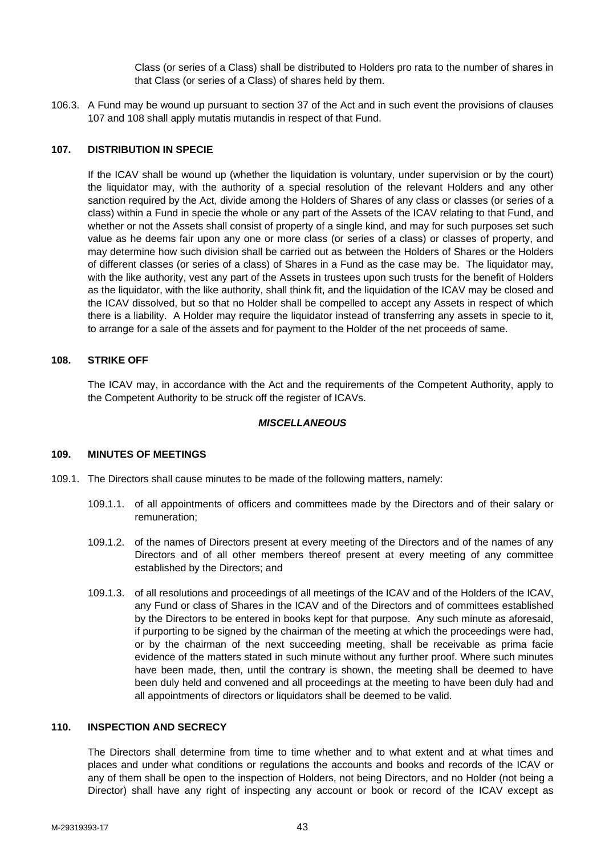Class (or series of a Class) shall be distributed to Holders pro rata to the number of shares in that Class (or series of a Class) of shares held by them.

106.3. A Fund may be wound up pursuant to section 37 of the Act and in such event the provisions of clauses 107 and 108 shall apply mutatis mutandis in respect of that Fund.

# **107. DISTRIBUTION IN SPECIE**

If the ICAV shall be wound up (whether the liquidation is voluntary, under supervision or by the court) the liquidator may, with the authority of a special resolution of the relevant Holders and any other sanction required by the Act, divide among the Holders of Shares of any class or classes (or series of a class) within a Fund in specie the whole or any part of the Assets of the ICAV relating to that Fund, and whether or not the Assets shall consist of property of a single kind, and may for such purposes set such value as he deems fair upon any one or more class (or series of a class) or classes of property, and may determine how such division shall be carried out as between the Holders of Shares or the Holders of different classes (or series of a class) of Shares in a Fund as the case may be. The liquidator may, with the like authority, vest any part of the Assets in trustees upon such trusts for the benefit of Holders as the liquidator, with the like authority, shall think fit, and the liquidation of the ICAV may be closed and the ICAV dissolved, but so that no Holder shall be compelled to accept any Assets in respect of which there is a liability. A Holder may require the liquidator instead of transferring any assets in specie to it, to arrange for a sale of the assets and for payment to the Holder of the net proceeds of same.

#### **108. STRIKE OFF**

The ICAV may, in accordance with the Act and the requirements of the Competent Authority, apply to the Competent Authority to be struck off the register of ICAVs.

#### *MISCELLANEOUS*

#### **109. MINUTES OF MEETINGS**

- 109.1. The Directors shall cause minutes to be made of the following matters, namely:
	- 109.1.1. of all appointments of officers and committees made by the Directors and of their salary or remuneration;
	- 109.1.2. of the names of Directors present at every meeting of the Directors and of the names of any Directors and of all other members thereof present at every meeting of any committee established by the Directors; and
	- 109.1.3. of all resolutions and proceedings of all meetings of the ICAV and of the Holders of the ICAV, any Fund or class of Shares in the ICAV and of the Directors and of committees established by the Directors to be entered in books kept for that purpose. Any such minute as aforesaid, if purporting to be signed by the chairman of the meeting at which the proceedings were had, or by the chairman of the next succeeding meeting, shall be receivable as prima facie evidence of the matters stated in such minute without any further proof. Where such minutes have been made, then, until the contrary is shown, the meeting shall be deemed to have been duly held and convened and all proceedings at the meeting to have been duly had and all appointments of directors or liquidators shall be deemed to be valid.

#### **110. INSPECTION AND SECRECY**

The Directors shall determine from time to time whether and to what extent and at what times and places and under what conditions or regulations the accounts and books and records of the ICAV or any of them shall be open to the inspection of Holders, not being Directors, and no Holder (not being a Director) shall have any right of inspecting any account or book or record of the ICAV except as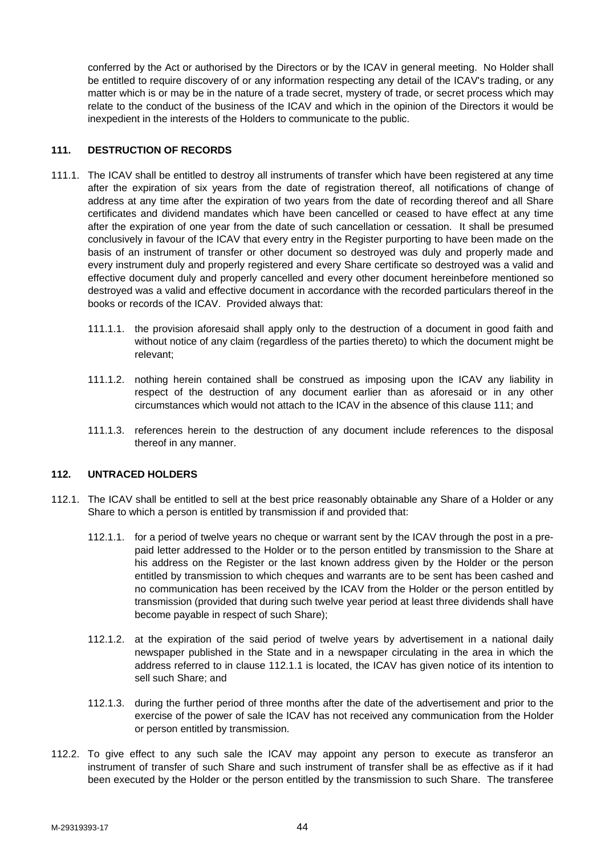conferred by the Act or authorised by the Directors or by the ICAV in general meeting. No Holder shall be entitled to require discovery of or any information respecting any detail of the ICAV's trading, or any matter which is or may be in the nature of a trade secret, mystery of trade, or secret process which may relate to the conduct of the business of the ICAV and which in the opinion of the Directors it would be inexpedient in the interests of the Holders to communicate to the public.

# **111. DESTRUCTION OF RECORDS**

- 111.1. The ICAV shall be entitled to destroy all instruments of transfer which have been registered at any time after the expiration of six years from the date of registration thereof, all notifications of change of address at any time after the expiration of two years from the date of recording thereof and all Share certificates and dividend mandates which have been cancelled or ceased to have effect at any time after the expiration of one year from the date of such cancellation or cessation. It shall be presumed conclusively in favour of the ICAV that every entry in the Register purporting to have been made on the basis of an instrument of transfer or other document so destroyed was duly and properly made and every instrument duly and properly registered and every Share certificate so destroyed was a valid and effective document duly and properly cancelled and every other document hereinbefore mentioned so destroyed was a valid and effective document in accordance with the recorded particulars thereof in the books or records of the ICAV. Provided always that:
	- 111.1.1. the provision aforesaid shall apply only to the destruction of a document in good faith and without notice of any claim (regardless of the parties thereto) to which the document might be relevant;
	- 111.1.2. nothing herein contained shall be construed as imposing upon the ICAV any liability in respect of the destruction of any document earlier than as aforesaid or in any other circumstances which would not attach to the ICAV in the absence of this clause 111; and
	- 111.1.3. references herein to the destruction of any document include references to the disposal thereof in any manner.

# **112. UNTRACED HOLDERS**

- 112.1. The ICAV shall be entitled to sell at the best price reasonably obtainable any Share of a Holder or any Share to which a person is entitled by transmission if and provided that:
	- 112.1.1. for a period of twelve years no cheque or warrant sent by the ICAV through the post in a prepaid letter addressed to the Holder or to the person entitled by transmission to the Share at his address on the Register or the last known address given by the Holder or the person entitled by transmission to which cheques and warrants are to be sent has been cashed and no communication has been received by the ICAV from the Holder or the person entitled by transmission (provided that during such twelve year period at least three dividends shall have become payable in respect of such Share);
	- 112.1.2. at the expiration of the said period of twelve years by advertisement in a national daily newspaper published in the State and in a newspaper circulating in the area in which the address referred to in clause 112.1.1 is located, the ICAV has given notice of its intention to sell such Share; and
	- 112.1.3. during the further period of three months after the date of the advertisement and prior to the exercise of the power of sale the ICAV has not received any communication from the Holder or person entitled by transmission.
- 112.2. To give effect to any such sale the ICAV may appoint any person to execute as transferor an instrument of transfer of such Share and such instrument of transfer shall be as effective as if it had been executed by the Holder or the person entitled by the transmission to such Share. The transferee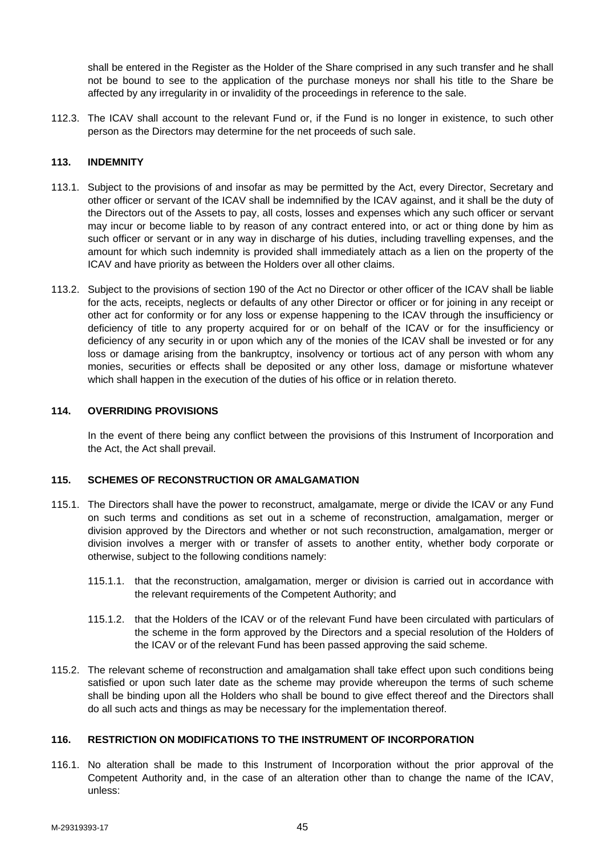shall be entered in the Register as the Holder of the Share comprised in any such transfer and he shall not be bound to see to the application of the purchase moneys nor shall his title to the Share be affected by any irregularity in or invalidity of the proceedings in reference to the sale.

112.3. The ICAV shall account to the relevant Fund or, if the Fund is no longer in existence, to such other person as the Directors may determine for the net proceeds of such sale.

### **113. INDEMNITY**

- 113.1. Subject to the provisions of and insofar as may be permitted by the Act, every Director, Secretary and other officer or servant of the ICAV shall be indemnified by the ICAV against, and it shall be the duty of the Directors out of the Assets to pay, all costs, losses and expenses which any such officer or servant may incur or become liable to by reason of any contract entered into, or act or thing done by him as such officer or servant or in any way in discharge of his duties, including travelling expenses, and the amount for which such indemnity is provided shall immediately attach as a lien on the property of the ICAV and have priority as between the Holders over all other claims.
- 113.2. Subject to the provisions of section 190 of the Act no Director or other officer of the ICAV shall be liable for the acts, receipts, neglects or defaults of any other Director or officer or for joining in any receipt or other act for conformity or for any loss or expense happening to the ICAV through the insufficiency or deficiency of title to any property acquired for or on behalf of the ICAV or for the insufficiency or deficiency of any security in or upon which any of the monies of the ICAV shall be invested or for any loss or damage arising from the bankruptcy, insolvency or tortious act of any person with whom any monies, securities or effects shall be deposited or any other loss, damage or misfortune whatever which shall happen in the execution of the duties of his office or in relation thereto.

#### **114. OVERRIDING PROVISIONS**

In the event of there being any conflict between the provisions of this Instrument of Incorporation and the Act, the Act shall prevail.

#### **115. SCHEMES OF RECONSTRUCTION OR AMALGAMATION**

- 115.1. The Directors shall have the power to reconstruct, amalgamate, merge or divide the ICAV or any Fund on such terms and conditions as set out in a scheme of reconstruction, amalgamation, merger or division approved by the Directors and whether or not such reconstruction, amalgamation, merger or division involves a merger with or transfer of assets to another entity, whether body corporate or otherwise, subject to the following conditions namely:
	- 115.1.1. that the reconstruction, amalgamation, merger or division is carried out in accordance with the relevant requirements of the Competent Authority; and
	- 115.1.2. that the Holders of the ICAV or of the relevant Fund have been circulated with particulars of the scheme in the form approved by the Directors and a special resolution of the Holders of the ICAV or of the relevant Fund has been passed approving the said scheme.
- 115.2. The relevant scheme of reconstruction and amalgamation shall take effect upon such conditions being satisfied or upon such later date as the scheme may provide whereupon the terms of such scheme shall be binding upon all the Holders who shall be bound to give effect thereof and the Directors shall do all such acts and things as may be necessary for the implementation thereof.

# **116. RESTRICTION ON MODIFICATIONS TO THE INSTRUMENT OF INCORPORATION**

116.1. No alteration shall be made to this Instrument of Incorporation without the prior approval of the Competent Authority and, in the case of an alteration other than to change the name of the ICAV, unless: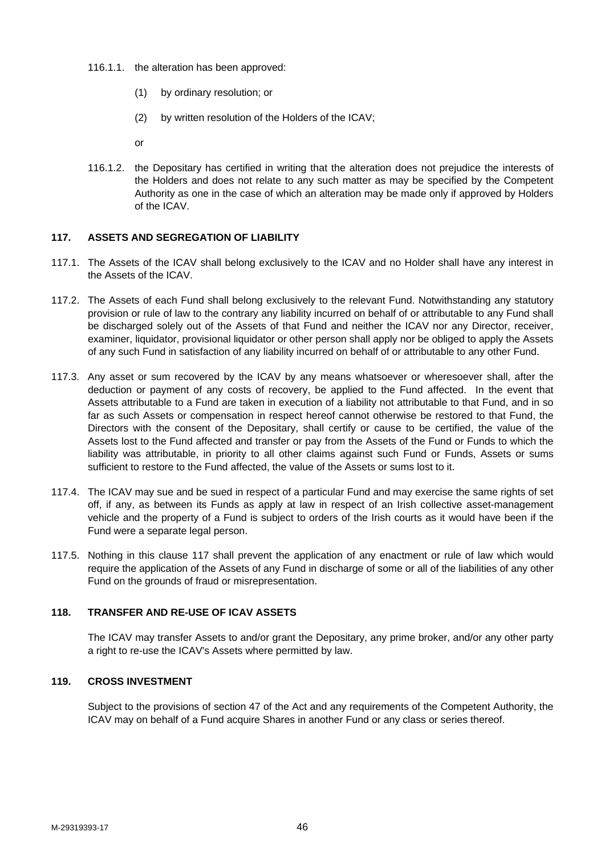- 116.1.1. the alteration has been approved:
	- (1) by ordinary resolution; or
	- (2) by written resolution of the Holders of the ICAV;

or

116.1.2. the Depositary has certified in writing that the alteration does not prejudice the interests of the Holders and does not relate to any such matter as may be specified by the Competent Authority as one in the case of which an alteration may be made only if approved by Holders of the ICAV.

# **117. ASSETS AND SEGREGATION OF LIABILITY**

- 117.1. The Assets of the ICAV shall belong exclusively to the ICAV and no Holder shall have any interest in the Assets of the ICAV.
- 117.2. The Assets of each Fund shall belong exclusively to the relevant Fund. Notwithstanding any statutory provision or rule of law to the contrary any liability incurred on behalf of or attributable to any Fund shall be discharged solely out of the Assets of that Fund and neither the ICAV nor any Director, receiver, examiner, liquidator, provisional liquidator or other person shall apply nor be obliged to apply the Assets of any such Fund in satisfaction of any liability incurred on behalf of or attributable to any other Fund.
- 117.3. Any asset or sum recovered by the ICAV by any means whatsoever or wheresoever shall, after the deduction or payment of any costs of recovery, be applied to the Fund affected. In the event that Assets attributable to a Fund are taken in execution of a liability not attributable to that Fund, and in so far as such Assets or compensation in respect hereof cannot otherwise be restored to that Fund, the Directors with the consent of the Depositary, shall certify or cause to be certified, the value of the Assets lost to the Fund affected and transfer or pay from the Assets of the Fund or Funds to which the liability was attributable, in priority to all other claims against such Fund or Funds, Assets or sums sufficient to restore to the Fund affected, the value of the Assets or sums lost to it.
- 117.4. The ICAV may sue and be sued in respect of a particular Fund and may exercise the same rights of set off, if any, as between its Funds as apply at law in respect of an Irish collective asset-management vehicle and the property of a Fund is subject to orders of the Irish courts as it would have been if the Fund were a separate legal person.
- 117.5. Nothing in this clause 117 shall prevent the application of any enactment or rule of law which would require the application of the Assets of any Fund in discharge of some or all of the liabilities of any other Fund on the grounds of fraud or misrepresentation.

# **118. TRANSFER AND RE-USE OF ICAV ASSETS**

The ICAV may transfer Assets to and/or grant the Depositary, any prime broker, and/or any other party a right to re-use the ICAV's Assets where permitted by law.

# **119. CROSS INVESTMENT**

Subject to the provisions of section 47 of the Act and any requirements of the Competent Authority, the ICAV may on behalf of a Fund acquire Shares in another Fund or any class or series thereof.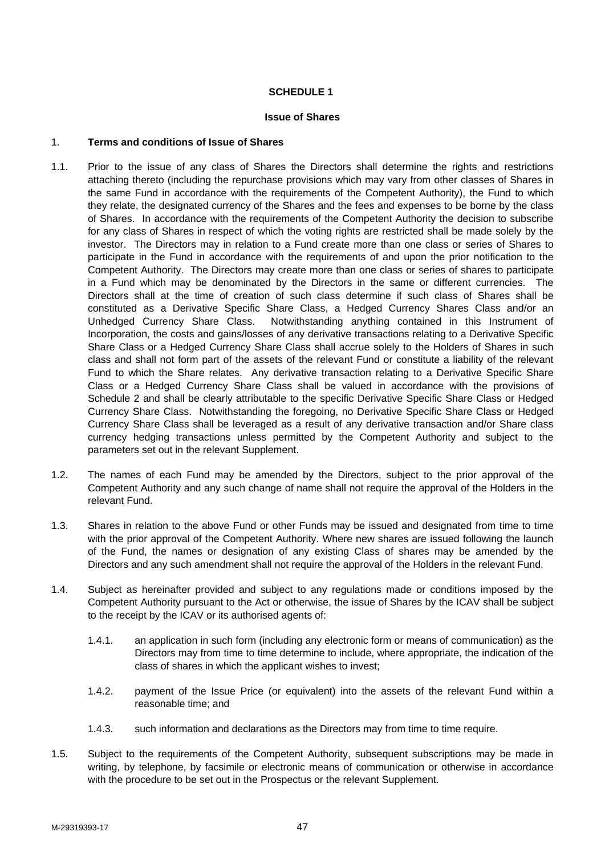# **SCHEDULE 1**

#### **Issue of Shares**

### 1. **Terms and conditions of Issue of Shares**

- 1.1. Prior to the issue of any class of Shares the Directors shall determine the rights and restrictions attaching thereto (including the repurchase provisions which may vary from other classes of Shares in the same Fund in accordance with the requirements of the Competent Authority), the Fund to which they relate, the designated currency of the Shares and the fees and expenses to be borne by the class of Shares. In accordance with the requirements of the Competent Authority the decision to subscribe for any class of Shares in respect of which the voting rights are restricted shall be made solely by the investor. The Directors may in relation to a Fund create more than one class or series of Shares to participate in the Fund in accordance with the requirements of and upon the prior notification to the Competent Authority. The Directors may create more than one class or series of shares to participate in a Fund which may be denominated by the Directors in the same or different currencies. The Directors shall at the time of creation of such class determine if such class of Shares shall be constituted as a Derivative Specific Share Class, a Hedged Currency Shares Class and/or an Unhedged Currency Share Class. Notwithstanding anything contained in this Instrument of Incorporation, the costs and gains/losses of any derivative transactions relating to a Derivative Specific Share Class or a Hedged Currency Share Class shall accrue solely to the Holders of Shares in such class and shall not form part of the assets of the relevant Fund or constitute a liability of the relevant Fund to which the Share relates. Any derivative transaction relating to a Derivative Specific Share Class or a Hedged Currency Share Class shall be valued in accordance with the provisions of Schedule 2 and shall be clearly attributable to the specific Derivative Specific Share Class or Hedged Currency Share Class. Notwithstanding the foregoing, no Derivative Specific Share Class or Hedged Currency Share Class shall be leveraged as a result of any derivative transaction and/or Share class currency hedging transactions unless permitted by the Competent Authority and subject to the parameters set out in the relevant Supplement.
- 1.2. The names of each Fund may be amended by the Directors, subject to the prior approval of the Competent Authority and any such change of name shall not require the approval of the Holders in the relevant Fund.
- 1.3. Shares in relation to the above Fund or other Funds may be issued and designated from time to time with the prior approval of the Competent Authority. Where new shares are issued following the launch of the Fund, the names or designation of any existing Class of shares may be amended by the Directors and any such amendment shall not require the approval of the Holders in the relevant Fund.
- 1.4. Subject as hereinafter provided and subject to any regulations made or conditions imposed by the Competent Authority pursuant to the Act or otherwise, the issue of Shares by the ICAV shall be subject to the receipt by the ICAV or its authorised agents of:
	- 1.4.1. an application in such form (including any electronic form or means of communication) as the Directors may from time to time determine to include, where appropriate, the indication of the class of shares in which the applicant wishes to invest;
	- 1.4.2. payment of the Issue Price (or equivalent) into the assets of the relevant Fund within a reasonable time; and
	- 1.4.3. such information and declarations as the Directors may from time to time require.
- 1.5. Subject to the requirements of the Competent Authority, subsequent subscriptions may be made in writing, by telephone, by facsimile or electronic means of communication or otherwise in accordance with the procedure to be set out in the Prospectus or the relevant Supplement.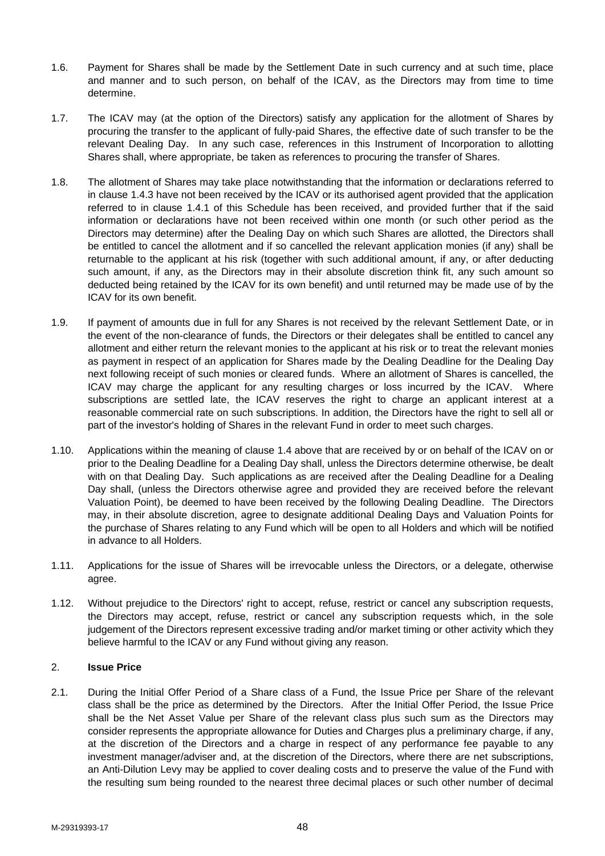- 1.6. Payment for Shares shall be made by the Settlement Date in such currency and at such time, place and manner and to such person, on behalf of the ICAV, as the Directors may from time to time determine.
- 1.7. The ICAV may (at the option of the Directors) satisfy any application for the allotment of Shares by procuring the transfer to the applicant of fully-paid Shares, the effective date of such transfer to be the relevant Dealing Day. In any such case, references in this Instrument of Incorporation to allotting Shares shall, where appropriate, be taken as references to procuring the transfer of Shares.
- 1.8. The allotment of Shares may take place notwithstanding that the information or declarations referred to in clause 1.4.3 have not been received by the ICAV or its authorised agent provided that the application referred to in clause 1.4.1 of this Schedule has been received, and provided further that if the said information or declarations have not been received within one month (or such other period as the Directors may determine) after the Dealing Day on which such Shares are allotted, the Directors shall be entitled to cancel the allotment and if so cancelled the relevant application monies (if any) shall be returnable to the applicant at his risk (together with such additional amount, if any, or after deducting such amount, if any, as the Directors may in their absolute discretion think fit, any such amount so deducted being retained by the ICAV for its own benefit) and until returned may be made use of by the ICAV for its own benefit.
- 1.9. If payment of amounts due in full for any Shares is not received by the relevant Settlement Date, or in the event of the non-clearance of funds, the Directors or their delegates shall be entitled to cancel any allotment and either return the relevant monies to the applicant at his risk or to treat the relevant monies as payment in respect of an application for Shares made by the Dealing Deadline for the Dealing Day next following receipt of such monies or cleared funds. Where an allotment of Shares is cancelled, the ICAV may charge the applicant for any resulting charges or loss incurred by the ICAV. Where subscriptions are settled late, the ICAV reserves the right to charge an applicant interest at a reasonable commercial rate on such subscriptions. In addition, the Directors have the right to sell all or part of the investor's holding of Shares in the relevant Fund in order to meet such charges.
- 1.10. Applications within the meaning of clause 1.4 above that are received by or on behalf of the ICAV on or prior to the Dealing Deadline for a Dealing Day shall, unless the Directors determine otherwise, be dealt with on that Dealing Day. Such applications as are received after the Dealing Deadline for a Dealing Day shall, (unless the Directors otherwise agree and provided they are received before the relevant Valuation Point), be deemed to have been received by the following Dealing Deadline. The Directors may, in their absolute discretion, agree to designate additional Dealing Days and Valuation Points for the purchase of Shares relating to any Fund which will be open to all Holders and which will be notified in advance to all Holders.
- 1.11. Applications for the issue of Shares will be irrevocable unless the Directors, or a delegate, otherwise agree.
- 1.12. Without prejudice to the Directors' right to accept, refuse, restrict or cancel any subscription requests, the Directors may accept, refuse, restrict or cancel any subscription requests which, in the sole judgement of the Directors represent excessive trading and/or market timing or other activity which they believe harmful to the ICAV or any Fund without giving any reason.

# 2. **Issue Price**

2.1. During the Initial Offer Period of a Share class of a Fund, the Issue Price per Share of the relevant class shall be the price as determined by the Directors. After the Initial Offer Period, the Issue Price shall be the Net Asset Value per Share of the relevant class plus such sum as the Directors may consider represents the appropriate allowance for Duties and Charges plus a preliminary charge, if any, at the discretion of the Directors and a charge in respect of any performance fee payable to any investment manager/adviser and, at the discretion of the Directors, where there are net subscriptions, an Anti-Dilution Levy may be applied to cover dealing costs and to preserve the value of the Fund with the resulting sum being rounded to the nearest three decimal places or such other number of decimal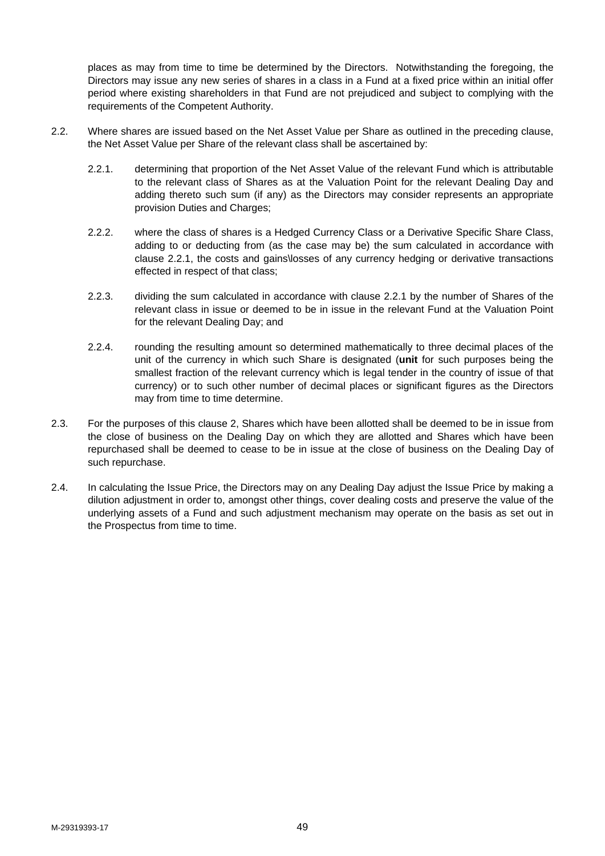places as may from time to time be determined by the Directors. Notwithstanding the foregoing, the Directors may issue any new series of shares in a class in a Fund at a fixed price within an initial offer period where existing shareholders in that Fund are not prejudiced and subject to complying with the requirements of the Competent Authority.

- 2.2. Where shares are issued based on the Net Asset Value per Share as outlined in the preceding clause, the Net Asset Value per Share of the relevant class shall be ascertained by:
	- 2.2.1. determining that proportion of the Net Asset Value of the relevant Fund which is attributable to the relevant class of Shares as at the Valuation Point for the relevant Dealing Day and adding thereto such sum (if any) as the Directors may consider represents an appropriate provision Duties and Charges;
	- 2.2.2. where the class of shares is a Hedged Currency Class or a Derivative Specific Share Class, adding to or deducting from (as the case may be) the sum calculated in accordance with clause 2.2.1, the costs and gains\losses of any currency hedging or derivative transactions effected in respect of that class;
	- 2.2.3. dividing the sum calculated in accordance with clause 2.2.1 by the number of Shares of the relevant class in issue or deemed to be in issue in the relevant Fund at the Valuation Point for the relevant Dealing Day; and
	- 2.2.4. rounding the resulting amount so determined mathematically to three decimal places of the unit of the currency in which such Share is designated (**unit** for such purposes being the smallest fraction of the relevant currency which is legal tender in the country of issue of that currency) or to such other number of decimal places or significant figures as the Directors may from time to time determine.
- 2.3. For the purposes of this clause 2, Shares which have been allotted shall be deemed to be in issue from the close of business on the Dealing Day on which they are allotted and Shares which have been repurchased shall be deemed to cease to be in issue at the close of business on the Dealing Day of such repurchase.
- 2.4. In calculating the Issue Price, the Directors may on any Dealing Day adjust the Issue Price by making a dilution adjustment in order to, amongst other things, cover dealing costs and preserve the value of the underlying assets of a Fund and such adjustment mechanism may operate on the basis as set out in the Prospectus from time to time.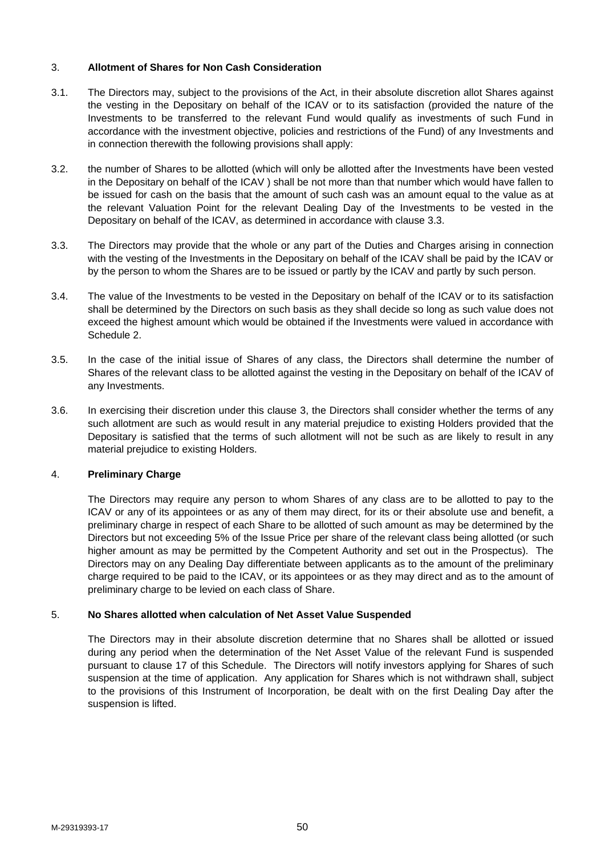# 3. **Allotment of Shares for Non Cash Consideration**

- 3.1. The Directors may, subject to the provisions of the Act, in their absolute discretion allot Shares against the vesting in the Depositary on behalf of the ICAV or to its satisfaction (provided the nature of the Investments to be transferred to the relevant Fund would qualify as investments of such Fund in accordance with the investment objective, policies and restrictions of the Fund) of any Investments and in connection therewith the following provisions shall apply:
- 3.2. the number of Shares to be allotted (which will only be allotted after the Investments have been vested in the Depositary on behalf of the ICAV ) shall be not more than that number which would have fallen to be issued for cash on the basis that the amount of such cash was an amount equal to the value as at the relevant Valuation Point for the relevant Dealing Day of the Investments to be vested in the Depositary on behalf of the ICAV, as determined in accordance with clause 3.3.
- 3.3. The Directors may provide that the whole or any part of the Duties and Charges arising in connection with the vesting of the Investments in the Depositary on behalf of the ICAV shall be paid by the ICAV or by the person to whom the Shares are to be issued or partly by the ICAV and partly by such person.
- 3.4. The value of the Investments to be vested in the Depositary on behalf of the ICAV or to its satisfaction shall be determined by the Directors on such basis as they shall decide so long as such value does not exceed the highest amount which would be obtained if the Investments were valued in accordance with Schedule 2.
- 3.5. In the case of the initial issue of Shares of any class, the Directors shall determine the number of Shares of the relevant class to be allotted against the vesting in the Depositary on behalf of the ICAV of any Investments.
- 3.6. In exercising their discretion under this clause 3, the Directors shall consider whether the terms of any such allotment are such as would result in any material prejudice to existing Holders provided that the Depositary is satisfied that the terms of such allotment will not be such as are likely to result in any material prejudice to existing Holders.

# 4. **Preliminary Charge**

The Directors may require any person to whom Shares of any class are to be allotted to pay to the ICAV or any of its appointees or as any of them may direct, for its or their absolute use and benefit, a preliminary charge in respect of each Share to be allotted of such amount as may be determined by the Directors but not exceeding 5% of the Issue Price per share of the relevant class being allotted (or such higher amount as may be permitted by the Competent Authority and set out in the Prospectus). The Directors may on any Dealing Day differentiate between applicants as to the amount of the preliminary charge required to be paid to the ICAV, or its appointees or as they may direct and as to the amount of preliminary charge to be levied on each class of Share.

# 5. **No Shares allotted when calculation of Net Asset Value Suspended**

The Directors may in their absolute discretion determine that no Shares shall be allotted or issued during any period when the determination of the Net Asset Value of the relevant Fund is suspended pursuant to clause 17 of this Schedule. The Directors will notify investors applying for Shares of such suspension at the time of application. Any application for Shares which is not withdrawn shall, subject to the provisions of this Instrument of Incorporation, be dealt with on the first Dealing Day after the suspension is lifted.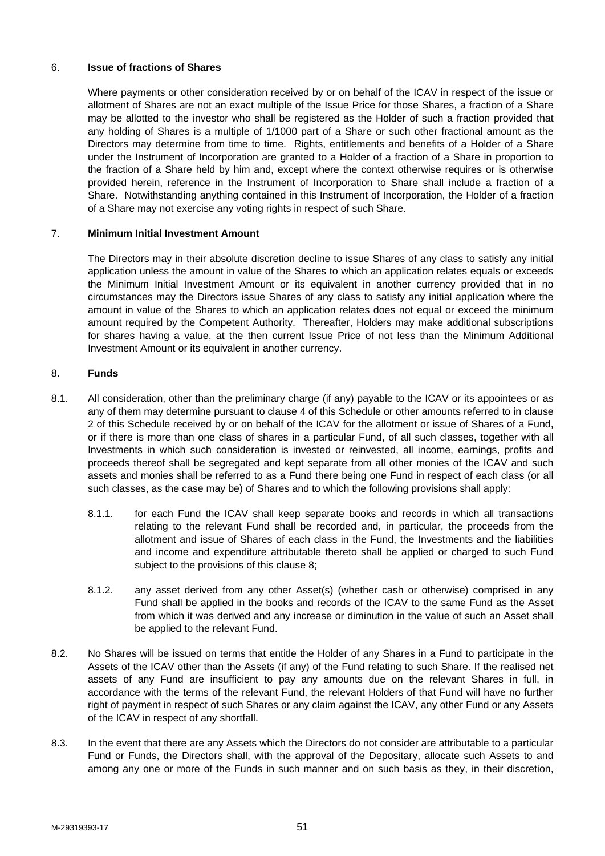# 6. **Issue of fractions of Shares**

Where payments or other consideration received by or on behalf of the ICAV in respect of the issue or allotment of Shares are not an exact multiple of the Issue Price for those Shares, a fraction of a Share may be allotted to the investor who shall be registered as the Holder of such a fraction provided that any holding of Shares is a multiple of 1/1000 part of a Share or such other fractional amount as the Directors may determine from time to time. Rights, entitlements and benefits of a Holder of a Share under the Instrument of Incorporation are granted to a Holder of a fraction of a Share in proportion to the fraction of a Share held by him and, except where the context otherwise requires or is otherwise provided herein, reference in the Instrument of Incorporation to Share shall include a fraction of a Share. Notwithstanding anything contained in this Instrument of Incorporation, the Holder of a fraction of a Share may not exercise any voting rights in respect of such Share.

# 7. **Minimum Initial Investment Amount**

The Directors may in their absolute discretion decline to issue Shares of any class to satisfy any initial application unless the amount in value of the Shares to which an application relates equals or exceeds the Minimum Initial Investment Amount or its equivalent in another currency provided that in no circumstances may the Directors issue Shares of any class to satisfy any initial application where the amount in value of the Shares to which an application relates does not equal or exceed the minimum amount required by the Competent Authority. Thereafter, Holders may make additional subscriptions for shares having a value, at the then current Issue Price of not less than the Minimum Additional Investment Amount or its equivalent in another currency.

### 8. **Funds**

- 8.1. All consideration, other than the preliminary charge (if any) payable to the ICAV or its appointees or as any of them may determine pursuant to clause 4 of this Schedule or other amounts referred to in clause 2 of this Schedule received by or on behalf of the ICAV for the allotment or issue of Shares of a Fund, or if there is more than one class of shares in a particular Fund, of all such classes, together with all Investments in which such consideration is invested or reinvested, all income, earnings, profits and proceeds thereof shall be segregated and kept separate from all other monies of the ICAV and such assets and monies shall be referred to as a Fund there being one Fund in respect of each class (or all such classes, as the case may be) of Shares and to which the following provisions shall apply:
	- 8.1.1. for each Fund the ICAV shall keep separate books and records in which all transactions relating to the relevant Fund shall be recorded and, in particular, the proceeds from the allotment and issue of Shares of each class in the Fund, the Investments and the liabilities and income and expenditure attributable thereto shall be applied or charged to such Fund subject to the provisions of this clause 8;
	- 8.1.2. any asset derived from any other Asset(s) (whether cash or otherwise) comprised in any Fund shall be applied in the books and records of the ICAV to the same Fund as the Asset from which it was derived and any increase or diminution in the value of such an Asset shall be applied to the relevant Fund.
- 8.2. No Shares will be issued on terms that entitle the Holder of any Shares in a Fund to participate in the Assets of the ICAV other than the Assets (if any) of the Fund relating to such Share. If the realised net assets of any Fund are insufficient to pay any amounts due on the relevant Shares in full, in accordance with the terms of the relevant Fund, the relevant Holders of that Fund will have no further right of payment in respect of such Shares or any claim against the ICAV, any other Fund or any Assets of the ICAV in respect of any shortfall.
- 8.3. In the event that there are any Assets which the Directors do not consider are attributable to a particular Fund or Funds, the Directors shall, with the approval of the Depositary, allocate such Assets to and among any one or more of the Funds in such manner and on such basis as they, in their discretion,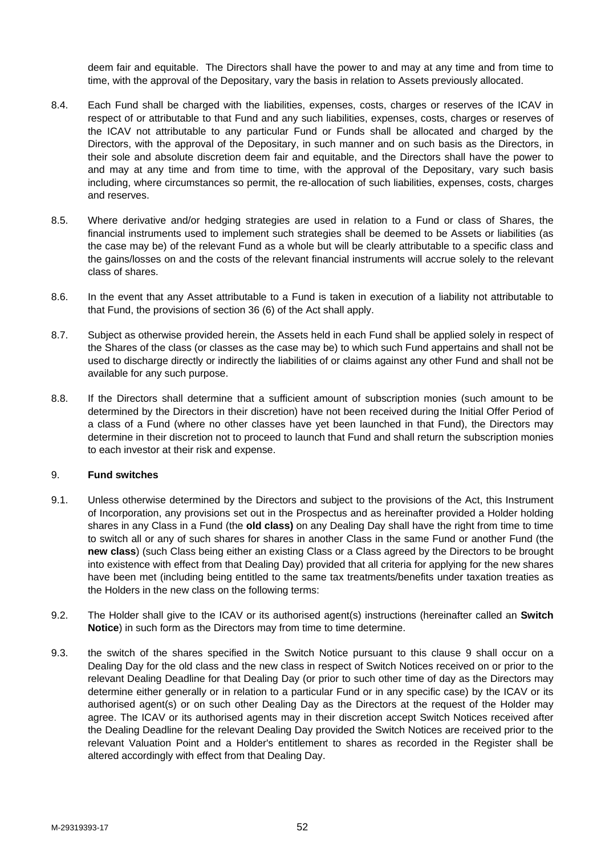deem fair and equitable. The Directors shall have the power to and may at any time and from time to time, with the approval of the Depositary, vary the basis in relation to Assets previously allocated.

- 8.4. Each Fund shall be charged with the liabilities, expenses, costs, charges or reserves of the ICAV in respect of or attributable to that Fund and any such liabilities, expenses, costs, charges or reserves of the ICAV not attributable to any particular Fund or Funds shall be allocated and charged by the Directors, with the approval of the Depositary, in such manner and on such basis as the Directors, in their sole and absolute discretion deem fair and equitable, and the Directors shall have the power to and may at any time and from time to time, with the approval of the Depositary, vary such basis including, where circumstances so permit, the re-allocation of such liabilities, expenses, costs, charges and reserves.
- 8.5. Where derivative and/or hedging strategies are used in relation to a Fund or class of Shares, the financial instruments used to implement such strategies shall be deemed to be Assets or liabilities (as the case may be) of the relevant Fund as a whole but will be clearly attributable to a specific class and the gains/losses on and the costs of the relevant financial instruments will accrue solely to the relevant class of shares.
- 8.6. In the event that any Asset attributable to a Fund is taken in execution of a liability not attributable to that Fund, the provisions of section 36 (6) of the Act shall apply.
- 8.7. Subject as otherwise provided herein, the Assets held in each Fund shall be applied solely in respect of the Shares of the class (or classes as the case may be) to which such Fund appertains and shall not be used to discharge directly or indirectly the liabilities of or claims against any other Fund and shall not be available for any such purpose.
- 8.8. If the Directors shall determine that a sufficient amount of subscription monies (such amount to be determined by the Directors in their discretion) have not been received during the Initial Offer Period of a class of a Fund (where no other classes have yet been launched in that Fund), the Directors may determine in their discretion not to proceed to launch that Fund and shall return the subscription monies to each investor at their risk and expense.

#### 9. **Fund switches**

- 9.1. Unless otherwise determined by the Directors and subject to the provisions of the Act, this Instrument of Incorporation, any provisions set out in the Prospectus and as hereinafter provided a Holder holding shares in any Class in a Fund (the **old class)** on any Dealing Day shall have the right from time to time to switch all or any of such shares for shares in another Class in the same Fund or another Fund (the **new class**) (such Class being either an existing Class or a Class agreed by the Directors to be brought into existence with effect from that Dealing Day) provided that all criteria for applying for the new shares have been met (including being entitled to the same tax treatments/benefits under taxation treaties as the Holders in the new class on the following terms:
- 9.2. The Holder shall give to the ICAV or its authorised agent(s) instructions (hereinafter called an **Switch Notice**) in such form as the Directors may from time to time determine.
- 9.3. the switch of the shares specified in the Switch Notice pursuant to this clause 9 shall occur on a Dealing Day for the old class and the new class in respect of Switch Notices received on or prior to the relevant Dealing Deadline for that Dealing Day (or prior to such other time of day as the Directors may determine either generally or in relation to a particular Fund or in any specific case) by the ICAV or its authorised agent(s) or on such other Dealing Day as the Directors at the request of the Holder may agree. The ICAV or its authorised agents may in their discretion accept Switch Notices received after the Dealing Deadline for the relevant Dealing Day provided the Switch Notices are received prior to the relevant Valuation Point and a Holder's entitlement to shares as recorded in the Register shall be altered accordingly with effect from that Dealing Day.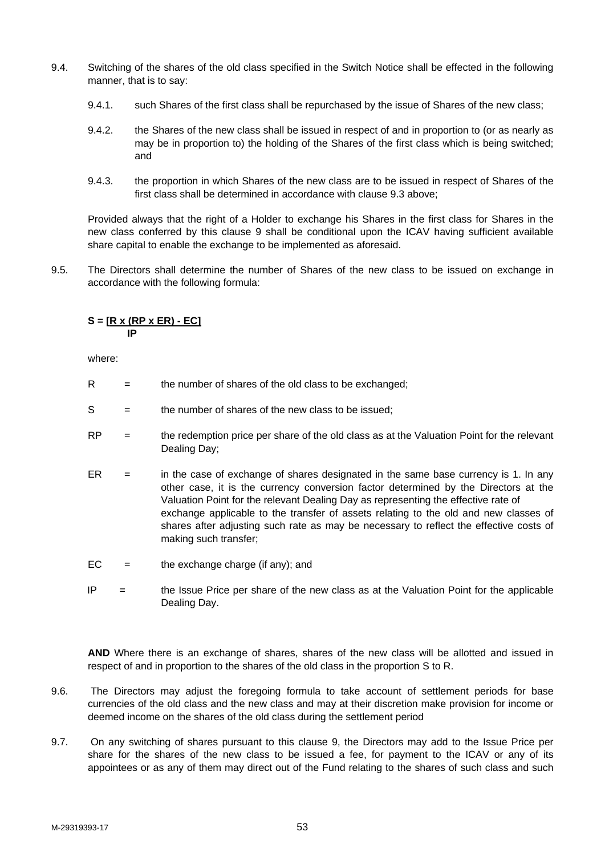- 9.4. Switching of the shares of the old class specified in the Switch Notice shall be effected in the following manner, that is to say:
	- 9.4.1. such Shares of the first class shall be repurchased by the issue of Shares of the new class;
	- 9.4.2. the Shares of the new class shall be issued in respect of and in proportion to (or as nearly as may be in proportion to) the holding of the Shares of the first class which is being switched; and
	- 9.4.3. the proportion in which Shares of the new class are to be issued in respect of Shares of the first class shall be determined in accordance with clause 9.3 above;

Provided always that the right of a Holder to exchange his Shares in the first class for Shares in the new class conferred by this clause 9 shall be conditional upon the ICAV having sufficient available share capital to enable the exchange to be implemented as aforesaid.

9.5. The Directors shall determine the number of Shares of the new class to be issued on exchange in accordance with the following formula:

# **S = [R x (RP x ER) - EC]**  *<u>IP* IP</u>

where:

- $R =$  the number of shares of the old class to be exchanged;
- $S =$  the number of shares of the new class to be issued;
- $RP =$  the redemption price per share of the old class as at the Valuation Point for the relevant Dealing Day;
- $ER =$  in the case of exchange of shares designated in the same base currency is 1. In any other case, it is the currency conversion factor determined by the Directors at the Valuation Point for the relevant Dealing Day as representing the effective rate of exchange applicable to the transfer of assets relating to the old and new classes of shares after adjusting such rate as may be necessary to reflect the effective costs of making such transfer;
- $EC =$  the exchange charge (if any); and
- $IP =$  the Issue Price per share of the new class as at the Valuation Point for the applicable Dealing Day.

 **AND** Where there is an exchange of shares, shares of the new class will be allotted and issued in respect of and in proportion to the shares of the old class in the proportion S to R.

- 9.6. The Directors may adjust the foregoing formula to take account of settlement periods for base currencies of the old class and the new class and may at their discretion make provision for income or deemed income on the shares of the old class during the settlement period
- 9.7. On any switching of shares pursuant to this clause 9, the Directors may add to the Issue Price per share for the shares of the new class to be issued a fee, for payment to the ICAV or any of its appointees or as any of them may direct out of the Fund relating to the shares of such class and such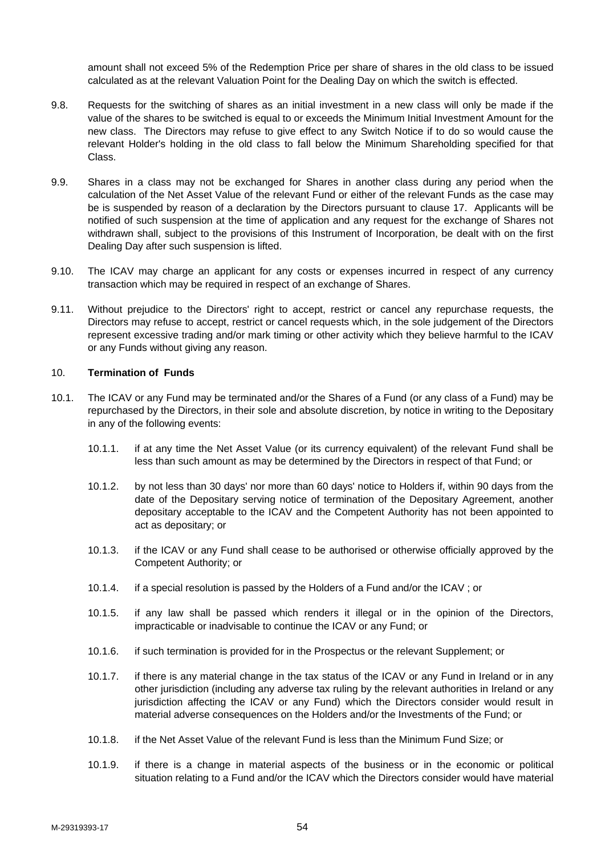amount shall not exceed 5% of the Redemption Price per share of shares in the old class to be issued calculated as at the relevant Valuation Point for the Dealing Day on which the switch is effected.

- 9.8. Requests for the switching of shares as an initial investment in a new class will only be made if the value of the shares to be switched is equal to or exceeds the Minimum Initial Investment Amount for the new class. The Directors may refuse to give effect to any Switch Notice if to do so would cause the relevant Holder's holding in the old class to fall below the Minimum Shareholding specified for that Class.
- 9.9. Shares in a class may not be exchanged for Shares in another class during any period when the calculation of the Net Asset Value of the relevant Fund or either of the relevant Funds as the case may be is suspended by reason of a declaration by the Directors pursuant to clause 17. Applicants will be notified of such suspension at the time of application and any request for the exchange of Shares not withdrawn shall, subject to the provisions of this Instrument of Incorporation, be dealt with on the first Dealing Day after such suspension is lifted.
- 9.10. The ICAV may charge an applicant for any costs or expenses incurred in respect of any currency transaction which may be required in respect of an exchange of Shares.
- 9.11. Without prejudice to the Directors' right to accept, restrict or cancel any repurchase requests, the Directors may refuse to accept, restrict or cancel requests which, in the sole judgement of the Directors represent excessive trading and/or mark timing or other activity which they believe harmful to the ICAV or any Funds without giving any reason.

## 10. **Termination of Funds**

- 10.1. The ICAV or any Fund may be terminated and/or the Shares of a Fund (or any class of a Fund) may be repurchased by the Directors, in their sole and absolute discretion, by notice in writing to the Depositary in any of the following events:
	- 10.1.1. if at any time the Net Asset Value (or its currency equivalent) of the relevant Fund shall be less than such amount as may be determined by the Directors in respect of that Fund; or
	- 10.1.2. by not less than 30 days' nor more than 60 days' notice to Holders if, within 90 days from the date of the Depositary serving notice of termination of the Depositary Agreement, another depositary acceptable to the ICAV and the Competent Authority has not been appointed to act as depositary; or
	- 10.1.3. if the ICAV or any Fund shall cease to be authorised or otherwise officially approved by the Competent Authority; or
	- 10.1.4. if a special resolution is passed by the Holders of a Fund and/or the ICAV ; or
	- 10.1.5. if any law shall be passed which renders it illegal or in the opinion of the Directors, impracticable or inadvisable to continue the ICAV or any Fund; or
	- 10.1.6. if such termination is provided for in the Prospectus or the relevant Supplement; or
	- 10.1.7. if there is any material change in the tax status of the ICAV or any Fund in Ireland or in any other jurisdiction (including any adverse tax ruling by the relevant authorities in Ireland or any jurisdiction affecting the ICAV or any Fund) which the Directors consider would result in material adverse consequences on the Holders and/or the Investments of the Fund; or
	- 10.1.8. if the Net Asset Value of the relevant Fund is less than the Minimum Fund Size; or
	- 10.1.9. if there is a change in material aspects of the business or in the economic or political situation relating to a Fund and/or the ICAV which the Directors consider would have material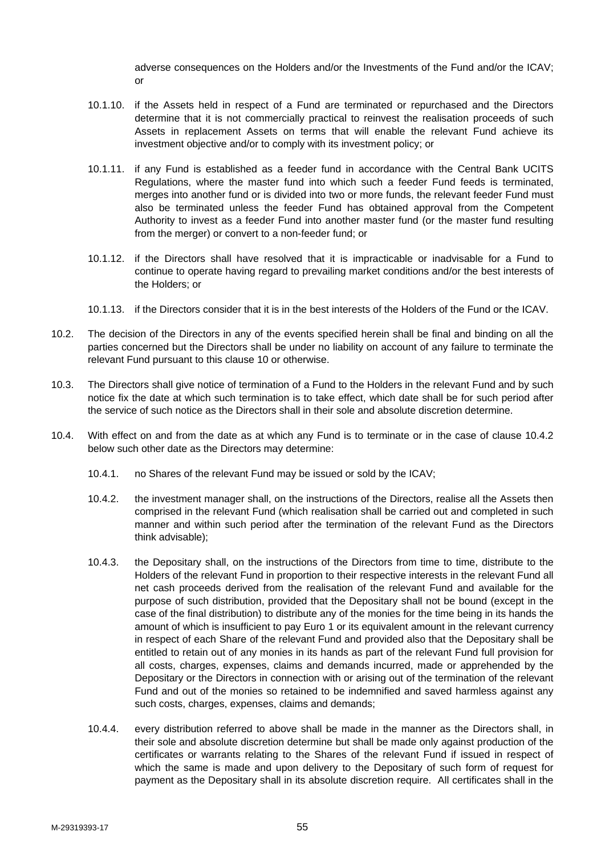adverse consequences on the Holders and/or the Investments of the Fund and/or the ICAV; or

- 10.1.10. if the Assets held in respect of a Fund are terminated or repurchased and the Directors determine that it is not commercially practical to reinvest the realisation proceeds of such Assets in replacement Assets on terms that will enable the relevant Fund achieve its investment objective and/or to comply with its investment policy; or
- 10.1.11. if any Fund is established as a feeder fund in accordance with the Central Bank UCITS Regulations, where the master fund into which such a feeder Fund feeds is terminated, merges into another fund or is divided into two or more funds, the relevant feeder Fund must also be terminated unless the feeder Fund has obtained approval from the Competent Authority to invest as a feeder Fund into another master fund (or the master fund resulting from the merger) or convert to a non-feeder fund; or
- 10.1.12. if the Directors shall have resolved that it is impracticable or inadvisable for a Fund to continue to operate having regard to prevailing market conditions and/or the best interests of the Holders; or
- 10.1.13. if the Directors consider that it is in the best interests of the Holders of the Fund or the ICAV.
- 10.2. The decision of the Directors in any of the events specified herein shall be final and binding on all the parties concerned but the Directors shall be under no liability on account of any failure to terminate the relevant Fund pursuant to this clause 10 or otherwise.
- 10.3. The Directors shall give notice of termination of a Fund to the Holders in the relevant Fund and by such notice fix the date at which such termination is to take effect, which date shall be for such period after the service of such notice as the Directors shall in their sole and absolute discretion determine.
- 10.4. With effect on and from the date as at which any Fund is to terminate or in the case of clause 10.4.2 below such other date as the Directors may determine:
	- 10.4.1. no Shares of the relevant Fund may be issued or sold by the ICAV;
	- 10.4.2. the investment manager shall, on the instructions of the Directors, realise all the Assets then comprised in the relevant Fund (which realisation shall be carried out and completed in such manner and within such period after the termination of the relevant Fund as the Directors think advisable);
	- 10.4.3. the Depositary shall, on the instructions of the Directors from time to time, distribute to the Holders of the relevant Fund in proportion to their respective interests in the relevant Fund all net cash proceeds derived from the realisation of the relevant Fund and available for the purpose of such distribution, provided that the Depositary shall not be bound (except in the case of the final distribution) to distribute any of the monies for the time being in its hands the amount of which is insufficient to pay Euro 1 or its equivalent amount in the relevant currency in respect of each Share of the relevant Fund and provided also that the Depositary shall be entitled to retain out of any monies in its hands as part of the relevant Fund full provision for all costs, charges, expenses, claims and demands incurred, made or apprehended by the Depositary or the Directors in connection with or arising out of the termination of the relevant Fund and out of the monies so retained to be indemnified and saved harmless against any such costs, charges, expenses, claims and demands;
	- 10.4.4. every distribution referred to above shall be made in the manner as the Directors shall, in their sole and absolute discretion determine but shall be made only against production of the certificates or warrants relating to the Shares of the relevant Fund if issued in respect of which the same is made and upon delivery to the Depositary of such form of request for payment as the Depositary shall in its absolute discretion require. All certificates shall in the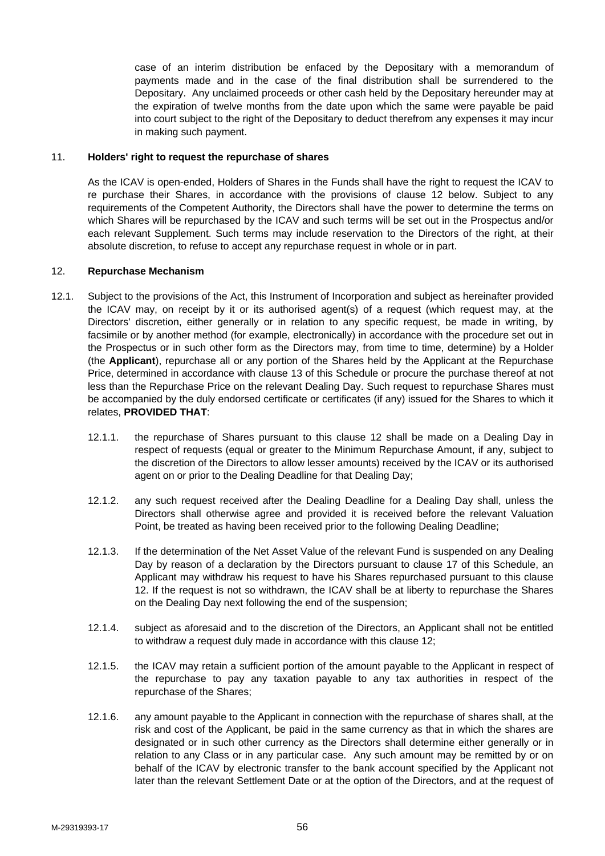case of an interim distribution be enfaced by the Depositary with a memorandum of payments made and in the case of the final distribution shall be surrendered to the Depositary. Any unclaimed proceeds or other cash held by the Depositary hereunder may at the expiration of twelve months from the date upon which the same were payable be paid into court subject to the right of the Depositary to deduct therefrom any expenses it may incur in making such payment.

# 11. **Holders' right to request the repurchase of shares**

As the ICAV is open-ended, Holders of Shares in the Funds shall have the right to request the ICAV to re purchase their Shares, in accordance with the provisions of clause 12 below. Subject to any requirements of the Competent Authority, the Directors shall have the power to determine the terms on which Shares will be repurchased by the ICAV and such terms will be set out in the Prospectus and/or each relevant Supplement. Such terms may include reservation to the Directors of the right, at their absolute discretion, to refuse to accept any repurchase request in whole or in part.

### 12. **Repurchase Mechanism**

- 12.1. Subject to the provisions of the Act, this Instrument of Incorporation and subject as hereinafter provided the ICAV may, on receipt by it or its authorised agent(s) of a request (which request may, at the Directors' discretion, either generally or in relation to any specific request, be made in writing, by facsimile or by another method (for example, electronically) in accordance with the procedure set out in the Prospectus or in such other form as the Directors may, from time to time, determine) by a Holder (the **Applicant**), repurchase all or any portion of the Shares held by the Applicant at the Repurchase Price, determined in accordance with clause 13 of this Schedule or procure the purchase thereof at not less than the Repurchase Price on the relevant Dealing Day. Such request to repurchase Shares must be accompanied by the duly endorsed certificate or certificates (if any) issued for the Shares to which it relates, **PROVIDED THAT**:
	- 12.1.1. the repurchase of Shares pursuant to this clause 12 shall be made on a Dealing Day in respect of requests (equal or greater to the Minimum Repurchase Amount, if any, subject to the discretion of the Directors to allow lesser amounts) received by the ICAV or its authorised agent on or prior to the Dealing Deadline for that Dealing Day;
	- 12.1.2. any such request received after the Dealing Deadline for a Dealing Day shall, unless the Directors shall otherwise agree and provided it is received before the relevant Valuation Point, be treated as having been received prior to the following Dealing Deadline;
	- 12.1.3. If the determination of the Net Asset Value of the relevant Fund is suspended on any Dealing Day by reason of a declaration by the Directors pursuant to clause 17 of this Schedule, an Applicant may withdraw his request to have his Shares repurchased pursuant to this clause 12. If the request is not so withdrawn, the ICAV shall be at liberty to repurchase the Shares on the Dealing Day next following the end of the suspension;
	- 12.1.4. subject as aforesaid and to the discretion of the Directors, an Applicant shall not be entitled to withdraw a request duly made in accordance with this clause 12;
	- 12.1.5. the ICAV may retain a sufficient portion of the amount payable to the Applicant in respect of the repurchase to pay any taxation payable to any tax authorities in respect of the repurchase of the Shares;
	- 12.1.6. any amount payable to the Applicant in connection with the repurchase of shares shall, at the risk and cost of the Applicant, be paid in the same currency as that in which the shares are designated or in such other currency as the Directors shall determine either generally or in relation to any Class or in any particular case. Any such amount may be remitted by or on behalf of the ICAV by electronic transfer to the bank account specified by the Applicant not later than the relevant Settlement Date or at the option of the Directors, and at the request of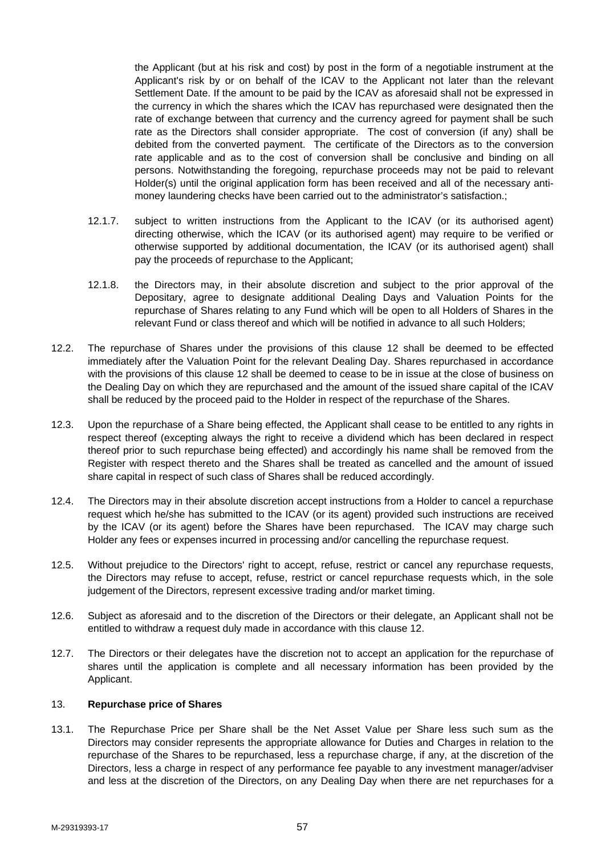the Applicant (but at his risk and cost) by post in the form of a negotiable instrument at the Applicant's risk by or on behalf of the ICAV to the Applicant not later than the relevant Settlement Date. If the amount to be paid by the ICAV as aforesaid shall not be expressed in the currency in which the shares which the ICAV has repurchased were designated then the rate of exchange between that currency and the currency agreed for payment shall be such rate as the Directors shall consider appropriate. The cost of conversion (if any) shall be debited from the converted payment. The certificate of the Directors as to the conversion rate applicable and as to the cost of conversion shall be conclusive and binding on all persons. Notwithstanding the foregoing, repurchase proceeds may not be paid to relevant Holder(s) until the original application form has been received and all of the necessary antimoney laundering checks have been carried out to the administrator's satisfaction.;

- 12.1.7. subject to written instructions from the Applicant to the ICAV (or its authorised agent) directing otherwise, which the ICAV (or its authorised agent) may require to be verified or otherwise supported by additional documentation, the ICAV (or its authorised agent) shall pay the proceeds of repurchase to the Applicant;
- 12.1.8. the Directors may, in their absolute discretion and subject to the prior approval of the Depositary, agree to designate additional Dealing Days and Valuation Points for the repurchase of Shares relating to any Fund which will be open to all Holders of Shares in the relevant Fund or class thereof and which will be notified in advance to all such Holders;
- 12.2. The repurchase of Shares under the provisions of this clause 12 shall be deemed to be effected immediately after the Valuation Point for the relevant Dealing Day. Shares repurchased in accordance with the provisions of this clause 12 shall be deemed to cease to be in issue at the close of business on the Dealing Day on which they are repurchased and the amount of the issued share capital of the ICAV shall be reduced by the proceed paid to the Holder in respect of the repurchase of the Shares.
- 12.3. Upon the repurchase of a Share being effected, the Applicant shall cease to be entitled to any rights in respect thereof (excepting always the right to receive a dividend which has been declared in respect thereof prior to such repurchase being effected) and accordingly his name shall be removed from the Register with respect thereto and the Shares shall be treated as cancelled and the amount of issued share capital in respect of such class of Shares shall be reduced accordingly.
- 12.4. The Directors may in their absolute discretion accept instructions from a Holder to cancel a repurchase request which he/she has submitted to the ICAV (or its agent) provided such instructions are received by the ICAV (or its agent) before the Shares have been repurchased. The ICAV may charge such Holder any fees or expenses incurred in processing and/or cancelling the repurchase request.
- 12.5. Without prejudice to the Directors' right to accept, refuse, restrict or cancel any repurchase requests, the Directors may refuse to accept, refuse, restrict or cancel repurchase requests which, in the sole judgement of the Directors, represent excessive trading and/or market timing.
- 12.6. Subject as aforesaid and to the discretion of the Directors or their delegate, an Applicant shall not be entitled to withdraw a request duly made in accordance with this clause 12.
- 12.7. The Directors or their delegates have the discretion not to accept an application for the repurchase of shares until the application is complete and all necessary information has been provided by the Applicant.

# 13. **Repurchase price of Shares**

13.1. The Repurchase Price per Share shall be the Net Asset Value per Share less such sum as the Directors may consider represents the appropriate allowance for Duties and Charges in relation to the repurchase of the Shares to be repurchased, less a repurchase charge, if any, at the discretion of the Directors, less a charge in respect of any performance fee payable to any investment manager/adviser and less at the discretion of the Directors, on any Dealing Day when there are net repurchases for a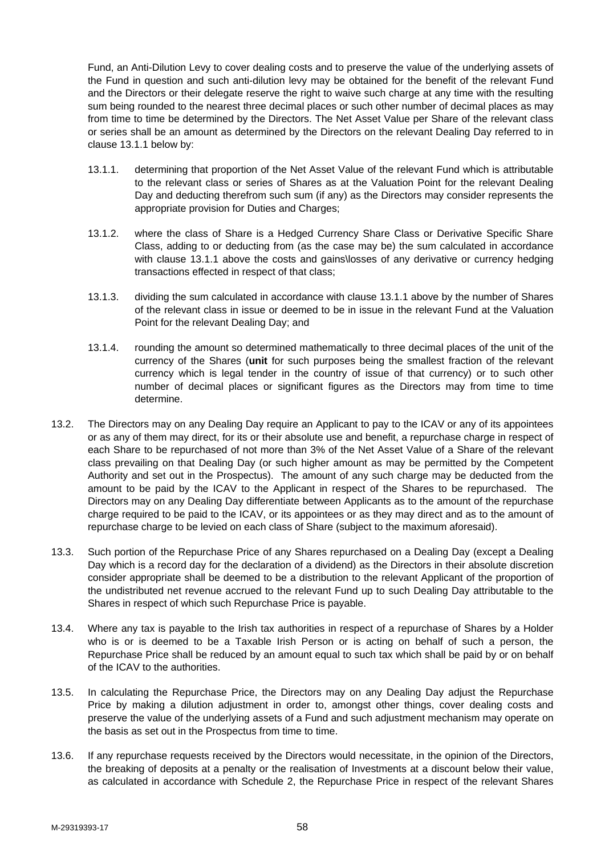Fund, an Anti-Dilution Levy to cover dealing costs and to preserve the value of the underlying assets of the Fund in question and such anti-dilution levy may be obtained for the benefit of the relevant Fund and the Directors or their delegate reserve the right to waive such charge at any time with the resulting sum being rounded to the nearest three decimal places or such other number of decimal places as may from time to time be determined by the Directors. The Net Asset Value per Share of the relevant class or series shall be an amount as determined by the Directors on the relevant Dealing Day referred to in clause 13.1.1 below by:

- 13.1.1. determining that proportion of the Net Asset Value of the relevant Fund which is attributable to the relevant class or series of Shares as at the Valuation Point for the relevant Dealing Day and deducting therefrom such sum (if any) as the Directors may consider represents the appropriate provision for Duties and Charges;
- 13.1.2. where the class of Share is a Hedged Currency Share Class or Derivative Specific Share Class, adding to or deducting from (as the case may be) the sum calculated in accordance with clause 13.1.1 above the costs and gains\losses of any derivative or currency hedging transactions effected in respect of that class;
- 13.1.3. dividing the sum calculated in accordance with clause 13.1.1 above by the number of Shares of the relevant class in issue or deemed to be in issue in the relevant Fund at the Valuation Point for the relevant Dealing Day; and
- 13.1.4. rounding the amount so determined mathematically to three decimal places of the unit of the currency of the Shares (**unit** for such purposes being the smallest fraction of the relevant currency which is legal tender in the country of issue of that currency) or to such other number of decimal places or significant figures as the Directors may from time to time determine.
- 13.2. The Directors may on any Dealing Day require an Applicant to pay to the ICAV or any of its appointees or as any of them may direct, for its or their absolute use and benefit, a repurchase charge in respect of each Share to be repurchased of not more than 3% of the Net Asset Value of a Share of the relevant class prevailing on that Dealing Day (or such higher amount as may be permitted by the Competent Authority and set out in the Prospectus). The amount of any such charge may be deducted from the amount to be paid by the ICAV to the Applicant in respect of the Shares to be repurchased. The Directors may on any Dealing Day differentiate between Applicants as to the amount of the repurchase charge required to be paid to the ICAV, or its appointees or as they may direct and as to the amount of repurchase charge to be levied on each class of Share (subject to the maximum aforesaid).
- 13.3. Such portion of the Repurchase Price of any Shares repurchased on a Dealing Day (except a Dealing Day which is a record day for the declaration of a dividend) as the Directors in their absolute discretion consider appropriate shall be deemed to be a distribution to the relevant Applicant of the proportion of the undistributed net revenue accrued to the relevant Fund up to such Dealing Day attributable to the Shares in respect of which such Repurchase Price is payable.
- 13.4. Where any tax is payable to the Irish tax authorities in respect of a repurchase of Shares by a Holder who is or is deemed to be a Taxable Irish Person or is acting on behalf of such a person, the Repurchase Price shall be reduced by an amount equal to such tax which shall be paid by or on behalf of the ICAV to the authorities.
- 13.5. In calculating the Repurchase Price, the Directors may on any Dealing Day adjust the Repurchase Price by making a dilution adjustment in order to, amongst other things, cover dealing costs and preserve the value of the underlying assets of a Fund and such adjustment mechanism may operate on the basis as set out in the Prospectus from time to time.
- 13.6. If any repurchase requests received by the Directors would necessitate, in the opinion of the Directors, the breaking of deposits at a penalty or the realisation of Investments at a discount below their value, as calculated in accordance with Schedule 2, the Repurchase Price in respect of the relevant Shares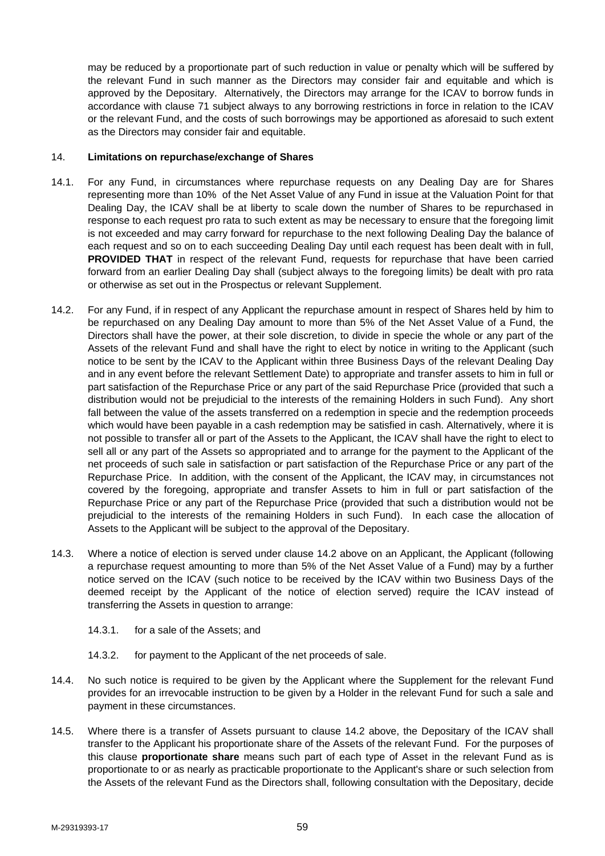may be reduced by a proportionate part of such reduction in value or penalty which will be suffered by the relevant Fund in such manner as the Directors may consider fair and equitable and which is approved by the Depositary. Alternatively, the Directors may arrange for the ICAV to borrow funds in accordance with clause 71 subject always to any borrowing restrictions in force in relation to the ICAV or the relevant Fund, and the costs of such borrowings may be apportioned as aforesaid to such extent as the Directors may consider fair and equitable.

# 14. **Limitations on repurchase/exchange of Shares**

- 14.1. For any Fund, in circumstances where repurchase requests on any Dealing Day are for Shares representing more than 10% of the Net Asset Value of any Fund in issue at the Valuation Point for that Dealing Day, the ICAV shall be at liberty to scale down the number of Shares to be repurchased in response to each request pro rata to such extent as may be necessary to ensure that the foregoing limit is not exceeded and may carry forward for repurchase to the next following Dealing Day the balance of each request and so on to each succeeding Dealing Day until each request has been dealt with in full, **PROVIDED THAT** in respect of the relevant Fund, requests for repurchase that have been carried forward from an earlier Dealing Day shall (subject always to the foregoing limits) be dealt with pro rata or otherwise as set out in the Prospectus or relevant Supplement.
- 14.2. For any Fund, if in respect of any Applicant the repurchase amount in respect of Shares held by him to be repurchased on any Dealing Day amount to more than 5% of the Net Asset Value of a Fund, the Directors shall have the power, at their sole discretion, to divide in specie the whole or any part of the Assets of the relevant Fund and shall have the right to elect by notice in writing to the Applicant (such notice to be sent by the ICAV to the Applicant within three Business Days of the relevant Dealing Day and in any event before the relevant Settlement Date) to appropriate and transfer assets to him in full or part satisfaction of the Repurchase Price or any part of the said Repurchase Price (provided that such a distribution would not be prejudicial to the interests of the remaining Holders in such Fund). Any short fall between the value of the assets transferred on a redemption in specie and the redemption proceeds which would have been payable in a cash redemption may be satisfied in cash. Alternatively, where it is not possible to transfer all or part of the Assets to the Applicant, the ICAV shall have the right to elect to sell all or any part of the Assets so appropriated and to arrange for the payment to the Applicant of the net proceeds of such sale in satisfaction or part satisfaction of the Repurchase Price or any part of the Repurchase Price. In addition, with the consent of the Applicant, the ICAV may, in circumstances not covered by the foregoing, appropriate and transfer Assets to him in full or part satisfaction of the Repurchase Price or any part of the Repurchase Price (provided that such a distribution would not be prejudicial to the interests of the remaining Holders in such Fund). In each case the allocation of Assets to the Applicant will be subject to the approval of the Depositary.
- 14.3. Where a notice of election is served under clause 14.2 above on an Applicant, the Applicant (following a repurchase request amounting to more than 5% of the Net Asset Value of a Fund) may by a further notice served on the ICAV (such notice to be received by the ICAV within two Business Days of the deemed receipt by the Applicant of the notice of election served) require the ICAV instead of transferring the Assets in question to arrange:
	- 14.3.1. for a sale of the Assets; and
	- 14.3.2. for payment to the Applicant of the net proceeds of sale.
- 14.4. No such notice is required to be given by the Applicant where the Supplement for the relevant Fund provides for an irrevocable instruction to be given by a Holder in the relevant Fund for such a sale and payment in these circumstances.
- 14.5. Where there is a transfer of Assets pursuant to clause 14.2 above, the Depositary of the ICAV shall transfer to the Applicant his proportionate share of the Assets of the relevant Fund. For the purposes of this clause **proportionate share** means such part of each type of Asset in the relevant Fund as is proportionate to or as nearly as practicable proportionate to the Applicant's share or such selection from the Assets of the relevant Fund as the Directors shall, following consultation with the Depositary, decide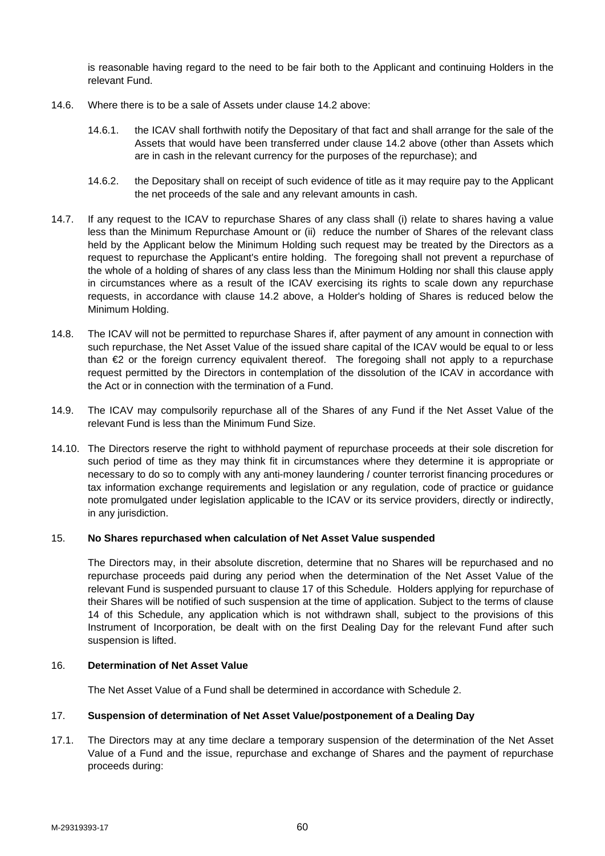is reasonable having regard to the need to be fair both to the Applicant and continuing Holders in the relevant Fund.

- 14.6. Where there is to be a sale of Assets under clause 14.2 above:
	- 14.6.1. the ICAV shall forthwith notify the Depositary of that fact and shall arrange for the sale of the Assets that would have been transferred under clause 14.2 above (other than Assets which are in cash in the relevant currency for the purposes of the repurchase); and
	- 14.6.2. the Depositary shall on receipt of such evidence of title as it may require pay to the Applicant the net proceeds of the sale and any relevant amounts in cash.
- 14.7. If any request to the ICAV to repurchase Shares of any class shall (i) relate to shares having a value less than the Minimum Repurchase Amount or (ii) reduce the number of Shares of the relevant class held by the Applicant below the Minimum Holding such request may be treated by the Directors as a request to repurchase the Applicant's entire holding. The foregoing shall not prevent a repurchase of the whole of a holding of shares of any class less than the Minimum Holding nor shall this clause apply in circumstances where as a result of the ICAV exercising its rights to scale down any repurchase requests, in accordance with clause 14.2 above, a Holder's holding of Shares is reduced below the Minimum Holding.
- 14.8. The ICAV will not be permitted to repurchase Shares if, after payment of any amount in connection with such repurchase, the Net Asset Value of the issued share capital of the ICAV would be equal to or less than €2 or the foreign currency equivalent thereof. The foregoing shall not apply to a repurchase request permitted by the Directors in contemplation of the dissolution of the ICAV in accordance with the Act or in connection with the termination of a Fund.
- 14.9. The ICAV may compulsorily repurchase all of the Shares of any Fund if the Net Asset Value of the relevant Fund is less than the Minimum Fund Size.
- 14.10. The Directors reserve the right to withhold payment of repurchase proceeds at their sole discretion for such period of time as they may think fit in circumstances where they determine it is appropriate or necessary to do so to comply with any anti-money laundering / counter terrorist financing procedures or tax information exchange requirements and legislation or any regulation, code of practice or guidance note promulgated under legislation applicable to the ICAV or its service providers, directly or indirectly, in any jurisdiction.

# 15. **No Shares repurchased when calculation of Net Asset Value suspended**

The Directors may, in their absolute discretion, determine that no Shares will be repurchased and no repurchase proceeds paid during any period when the determination of the Net Asset Value of the relevant Fund is suspended pursuant to clause 17 of this Schedule. Holders applying for repurchase of their Shares will be notified of such suspension at the time of application. Subject to the terms of clause 14 of this Schedule, any application which is not withdrawn shall, subject to the provisions of this Instrument of Incorporation, be dealt with on the first Dealing Day for the relevant Fund after such suspension is lifted.

# 16. **Determination of Net Asset Value**

The Net Asset Value of a Fund shall be determined in accordance with Schedule 2.

#### 17. **Suspension of determination of Net Asset Value/postponement of a Dealing Day**

17.1. The Directors may at any time declare a temporary suspension of the determination of the Net Asset Value of a Fund and the issue, repurchase and exchange of Shares and the payment of repurchase proceeds during: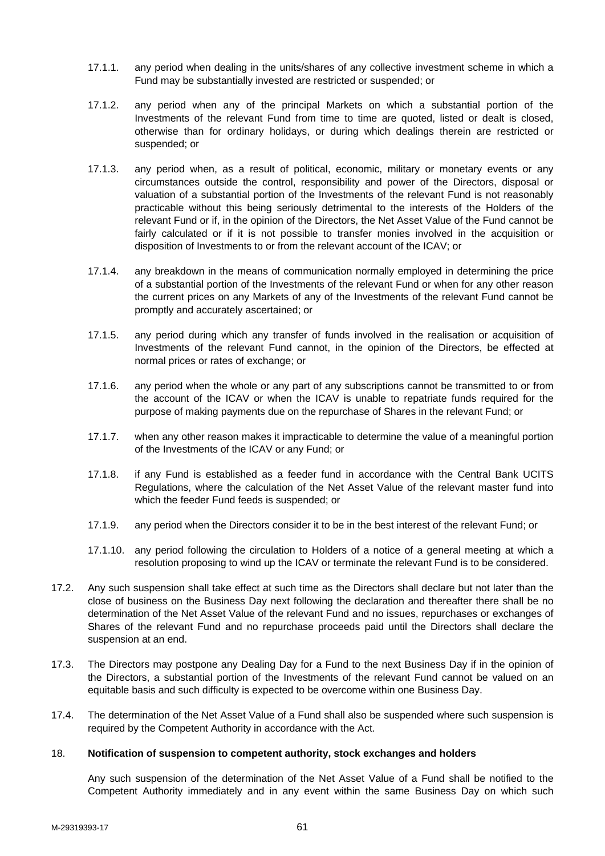- 17.1.1. any period when dealing in the units/shares of any collective investment scheme in which a Fund may be substantially invested are restricted or suspended; or
- 17.1.2. any period when any of the principal Markets on which a substantial portion of the Investments of the relevant Fund from time to time are quoted, listed or dealt is closed, otherwise than for ordinary holidays, or during which dealings therein are restricted or suspended; or
- 17.1.3. any period when, as a result of political, economic, military or monetary events or any circumstances outside the control, responsibility and power of the Directors, disposal or valuation of a substantial portion of the Investments of the relevant Fund is not reasonably practicable without this being seriously detrimental to the interests of the Holders of the relevant Fund or if, in the opinion of the Directors, the Net Asset Value of the Fund cannot be fairly calculated or if it is not possible to transfer monies involved in the acquisition or disposition of Investments to or from the relevant account of the ICAV; or
- 17.1.4. any breakdown in the means of communication normally employed in determining the price of a substantial portion of the Investments of the relevant Fund or when for any other reason the current prices on any Markets of any of the Investments of the relevant Fund cannot be promptly and accurately ascertained; or
- 17.1.5. any period during which any transfer of funds involved in the realisation or acquisition of Investments of the relevant Fund cannot, in the opinion of the Directors, be effected at normal prices or rates of exchange; or
- 17.1.6. any period when the whole or any part of any subscriptions cannot be transmitted to or from the account of the ICAV or when the ICAV is unable to repatriate funds required for the purpose of making payments due on the repurchase of Shares in the relevant Fund; or
- 17.1.7. when any other reason makes it impracticable to determine the value of a meaningful portion of the Investments of the ICAV or any Fund; or
- 17.1.8. if any Fund is established as a feeder fund in accordance with the Central Bank UCITS Regulations, where the calculation of the Net Asset Value of the relevant master fund into which the feeder Fund feeds is suspended; or
- 17.1.9. any period when the Directors consider it to be in the best interest of the relevant Fund; or
- 17.1.10. any period following the circulation to Holders of a notice of a general meeting at which a resolution proposing to wind up the ICAV or terminate the relevant Fund is to be considered.
- 17.2. Any such suspension shall take effect at such time as the Directors shall declare but not later than the close of business on the Business Day next following the declaration and thereafter there shall be no determination of the Net Asset Value of the relevant Fund and no issues, repurchases or exchanges of Shares of the relevant Fund and no repurchase proceeds paid until the Directors shall declare the suspension at an end.
- 17.3. The Directors may postpone any Dealing Day for a Fund to the next Business Day if in the opinion of the Directors, a substantial portion of the Investments of the relevant Fund cannot be valued on an equitable basis and such difficulty is expected to be overcome within one Business Day.
- 17.4. The determination of the Net Asset Value of a Fund shall also be suspended where such suspension is required by the Competent Authority in accordance with the Act.

#### 18. **Notification of suspension to competent authority, stock exchanges and holders**

Any such suspension of the determination of the Net Asset Value of a Fund shall be notified to the Competent Authority immediately and in any event within the same Business Day on which such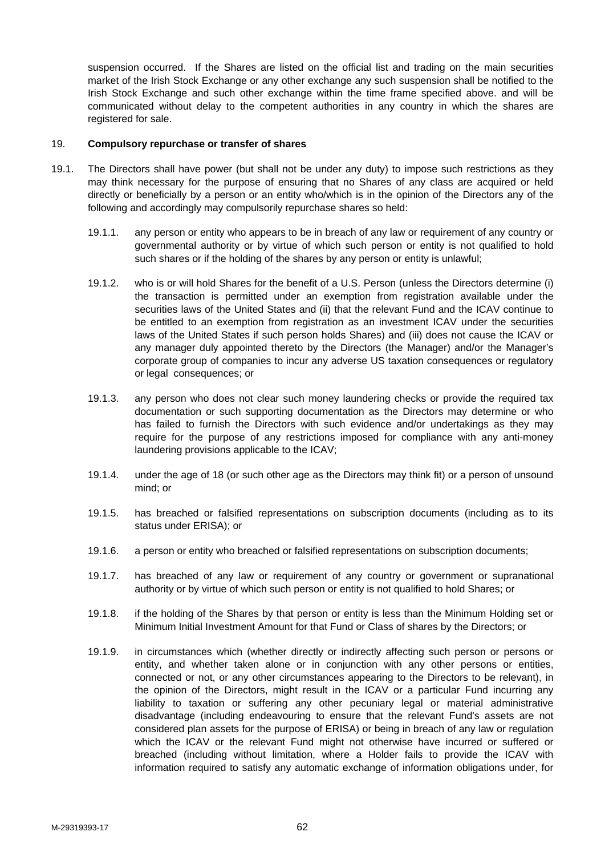suspension occurred. If the Shares are listed on the official list and trading on the main securities market of the Irish Stock Exchange or any other exchange any such suspension shall be notified to the Irish Stock Exchange and such other exchange within the time frame specified above. and will be communicated without delay to the competent authorities in any country in which the shares are registered for sale.

#### 19. **Compulsory repurchase or transfer of shares**

- 19.1. The Directors shall have power (but shall not be under any duty) to impose such restrictions as they may think necessary for the purpose of ensuring that no Shares of any class are acquired or held directly or beneficially by a person or an entity who/which is in the opinion of the Directors any of the following and accordingly may compulsorily repurchase shares so held:
	- 19.1.1. any person or entity who appears to be in breach of any law or requirement of any country or governmental authority or by virtue of which such person or entity is not qualified to hold such shares or if the holding of the shares by any person or entity is unlawful;
	- 19.1.2. who is or will hold Shares for the benefit of a U.S. Person (unless the Directors determine (i) the transaction is permitted under an exemption from registration available under the securities laws of the United States and (ii) that the relevant Fund and the ICAV continue to be entitled to an exemption from registration as an investment ICAV under the securities laws of the United States if such person holds Shares) and (iii) does not cause the ICAV or any manager duly appointed thereto by the Directors (the Manager) and/or the Manager's corporate group of companies to incur any adverse US taxation consequences or regulatory or legal consequences; or
	- 19.1.3. any person who does not clear such money laundering checks or provide the required tax documentation or such supporting documentation as the Directors may determine or who has failed to furnish the Directors with such evidence and/or undertakings as they may require for the purpose of any restrictions imposed for compliance with any anti-money laundering provisions applicable to the ICAV;
	- 19.1.4. under the age of 18 (or such other age as the Directors may think fit) or a person of unsound mind; or
	- 19.1.5. has breached or falsified representations on subscription documents (including as to its status under ERISA); or
	- 19.1.6. a person or entity who breached or falsified representations on subscription documents;
	- 19.1.7. has breached of any law or requirement of any country or government or supranational authority or by virtue of which such person or entity is not qualified to hold Shares; or
	- 19.1.8. if the holding of the Shares by that person or entity is less than the Minimum Holding set or Minimum Initial Investment Amount for that Fund or Class of shares by the Directors; or
	- 19.1.9. in circumstances which (whether directly or indirectly affecting such person or persons or entity, and whether taken alone or in conjunction with any other persons or entities, connected or not, or any other circumstances appearing to the Directors to be relevant), in the opinion of the Directors, might result in the ICAV or a particular Fund incurring any liability to taxation or suffering any other pecuniary legal or material administrative disadvantage (including endeavouring to ensure that the relevant Fund's assets are not considered plan assets for the purpose of ERISA) or being in breach of any law or regulation which the ICAV or the relevant Fund might not otherwise have incurred or suffered or breached (including without limitation, where a Holder fails to provide the ICAV with information required to satisfy any automatic exchange of information obligations under, for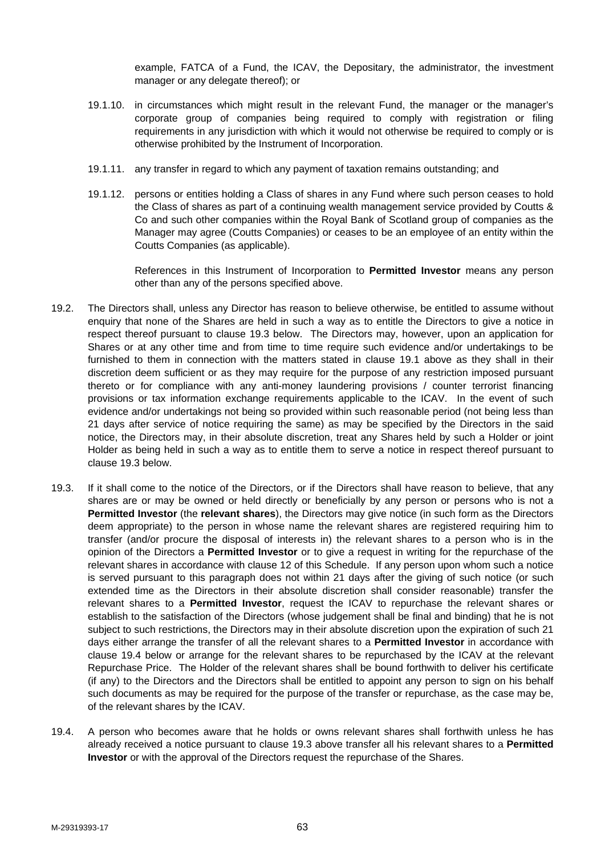example, FATCA of a Fund, the ICAV, the Depositary, the administrator, the investment manager or any delegate thereof); or

- 19.1.10. in circumstances which might result in the relevant Fund, the manager or the manager's corporate group of companies being required to comply with registration or filing requirements in any jurisdiction with which it would not otherwise be required to comply or is otherwise prohibited by the Instrument of Incorporation.
- 19.1.11. any transfer in regard to which any payment of taxation remains outstanding; and
- 19.1.12. persons or entities holding a Class of shares in any Fund where such person ceases to hold the Class of shares as part of a continuing wealth management service provided by Coutts & Co and such other companies within the Royal Bank of Scotland group of companies as the Manager may agree (Coutts Companies) or ceases to be an employee of an entity within the Coutts Companies (as applicable).

References in this Instrument of Incorporation to **Permitted Investor** means any person other than any of the persons specified above.

- 19.2. The Directors shall, unless any Director has reason to believe otherwise, be entitled to assume without enquiry that none of the Shares are held in such a way as to entitle the Directors to give a notice in respect thereof pursuant to clause 19.3 below. The Directors may, however, upon an application for Shares or at any other time and from time to time require such evidence and/or undertakings to be furnished to them in connection with the matters stated in clause 19.1 above as they shall in their discretion deem sufficient or as they may require for the purpose of any restriction imposed pursuant thereto or for compliance with any anti-money laundering provisions / counter terrorist financing provisions or tax information exchange requirements applicable to the ICAV. In the event of such evidence and/or undertakings not being so provided within such reasonable period (not being less than 21 days after service of notice requiring the same) as may be specified by the Directors in the said notice, the Directors may, in their absolute discretion, treat any Shares held by such a Holder or joint Holder as being held in such a way as to entitle them to serve a notice in respect thereof pursuant to clause 19.3 below.
- 19.3. If it shall come to the notice of the Directors, or if the Directors shall have reason to believe, that any shares are or may be owned or held directly or beneficially by any person or persons who is not a **Permitted Investor** (the **relevant shares**), the Directors may give notice (in such form as the Directors deem appropriate) to the person in whose name the relevant shares are registered requiring him to transfer (and/or procure the disposal of interests in) the relevant shares to a person who is in the opinion of the Directors a **Permitted Investor** or to give a request in writing for the repurchase of the relevant shares in accordance with clause 12 of this Schedule. If any person upon whom such a notice is served pursuant to this paragraph does not within 21 days after the giving of such notice (or such extended time as the Directors in their absolute discretion shall consider reasonable) transfer the relevant shares to a **Permitted Investor**, request the ICAV to repurchase the relevant shares or establish to the satisfaction of the Directors (whose judgement shall be final and binding) that he is not subject to such restrictions, the Directors may in their absolute discretion upon the expiration of such 21 days either arrange the transfer of all the relevant shares to a **Permitted Investor** in accordance with clause 19.4 below or arrange for the relevant shares to be repurchased by the ICAV at the relevant Repurchase Price. The Holder of the relevant shares shall be bound forthwith to deliver his certificate (if any) to the Directors and the Directors shall be entitled to appoint any person to sign on his behalf such documents as may be required for the purpose of the transfer or repurchase, as the case may be, of the relevant shares by the ICAV.
- 19.4. A person who becomes aware that he holds or owns relevant shares shall forthwith unless he has already received a notice pursuant to clause 19.3 above transfer all his relevant shares to a **Permitted Investor** or with the approval of the Directors request the repurchase of the Shares.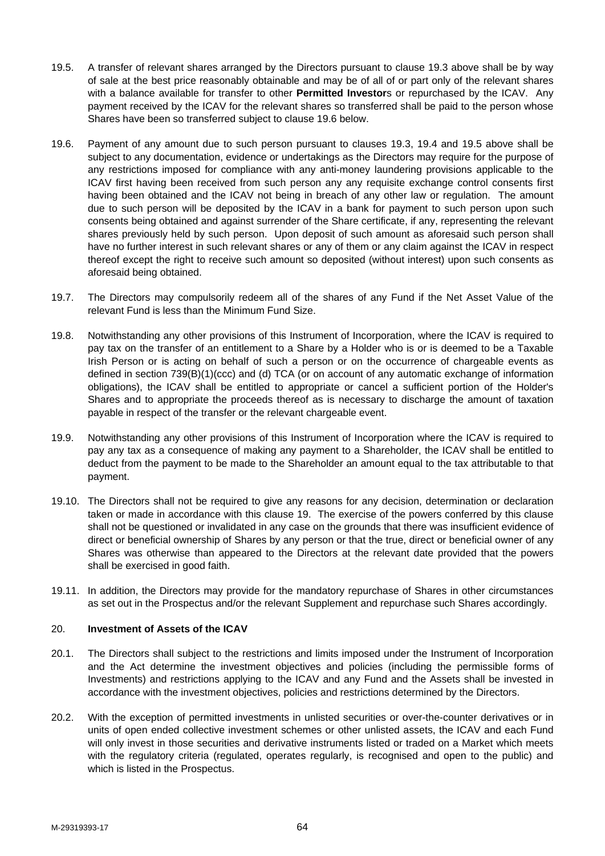- 19.5. A transfer of relevant shares arranged by the Directors pursuant to clause 19.3 above shall be by way of sale at the best price reasonably obtainable and may be of all of or part only of the relevant shares with a balance available for transfer to other **Permitted Investor**s or repurchased by the ICAV. Any payment received by the ICAV for the relevant shares so transferred shall be paid to the person whose Shares have been so transferred subject to clause 19.6 below.
- 19.6. Payment of any amount due to such person pursuant to clauses 19.3, 19.4 and 19.5 above shall be subject to any documentation, evidence or undertakings as the Directors may require for the purpose of any restrictions imposed for compliance with any anti-money laundering provisions applicable to the ICAV first having been received from such person any any requisite exchange control consents first having been obtained and the ICAV not being in breach of any other law or regulation. The amount due to such person will be deposited by the ICAV in a bank for payment to such person upon such consents being obtained and against surrender of the Share certificate, if any, representing the relevant shares previously held by such person. Upon deposit of such amount as aforesaid such person shall have no further interest in such relevant shares or any of them or any claim against the ICAV in respect thereof except the right to receive such amount so deposited (without interest) upon such consents as aforesaid being obtained.
- 19.7. The Directors may compulsorily redeem all of the shares of any Fund if the Net Asset Value of the relevant Fund is less than the Minimum Fund Size.
- 19.8. Notwithstanding any other provisions of this Instrument of Incorporation, where the ICAV is required to pay tax on the transfer of an entitlement to a Share by a Holder who is or is deemed to be a Taxable Irish Person or is acting on behalf of such a person or on the occurrence of chargeable events as defined in section 739(B)(1)(ccc) and (d) TCA (or on account of any automatic exchange of information obligations), the ICAV shall be entitled to appropriate or cancel a sufficient portion of the Holder's Shares and to appropriate the proceeds thereof as is necessary to discharge the amount of taxation payable in respect of the transfer or the relevant chargeable event.
- 19.9. Notwithstanding any other provisions of this Instrument of Incorporation where the ICAV is required to pay any tax as a consequence of making any payment to a Shareholder, the ICAV shall be entitled to deduct from the payment to be made to the Shareholder an amount equal to the tax attributable to that payment.
- 19.10. The Directors shall not be required to give any reasons for any decision, determination or declaration taken or made in accordance with this clause 19. The exercise of the powers conferred by this clause shall not be questioned or invalidated in any case on the grounds that there was insufficient evidence of direct or beneficial ownership of Shares by any person or that the true, direct or beneficial owner of any Shares was otherwise than appeared to the Directors at the relevant date provided that the powers shall be exercised in good faith.
- 19.11. In addition, the Directors may provide for the mandatory repurchase of Shares in other circumstances as set out in the Prospectus and/or the relevant Supplement and repurchase such Shares accordingly.

# 20. **Investment of Assets of the ICAV**

- 20.1. The Directors shall subject to the restrictions and limits imposed under the Instrument of Incorporation and the Act determine the investment objectives and policies (including the permissible forms of Investments) and restrictions applying to the ICAV and any Fund and the Assets shall be invested in accordance with the investment objectives, policies and restrictions determined by the Directors.
- 20.2. With the exception of permitted investments in unlisted securities or over-the-counter derivatives or in units of open ended collective investment schemes or other unlisted assets, the ICAV and each Fund will only invest in those securities and derivative instruments listed or traded on a Market which meets with the regulatory criteria (regulated, operates regularly, is recognised and open to the public) and which is listed in the Prospectus.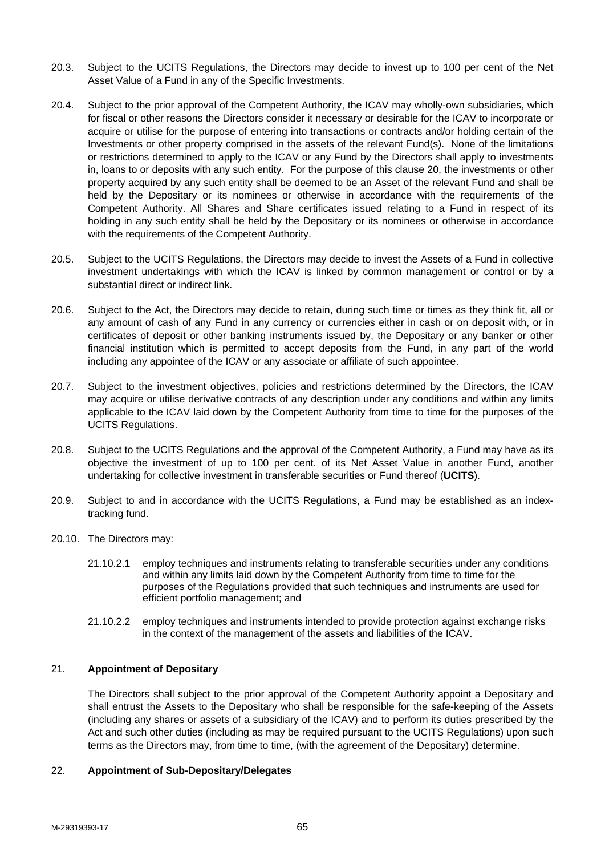- 20.3. Subject to the UCITS Regulations, the Directors may decide to invest up to 100 per cent of the Net Asset Value of a Fund in any of the Specific Investments.
- 20.4. Subject to the prior approval of the Competent Authority, the ICAV may wholly-own subsidiaries, which for fiscal or other reasons the Directors consider it necessary or desirable for the ICAV to incorporate or acquire or utilise for the purpose of entering into transactions or contracts and/or holding certain of the Investments or other property comprised in the assets of the relevant Fund(s). None of the limitations or restrictions determined to apply to the ICAV or any Fund by the Directors shall apply to investments in, loans to or deposits with any such entity. For the purpose of this clause 20, the investments or other property acquired by any such entity shall be deemed to be an Asset of the relevant Fund and shall be held by the Depositary or its nominees or otherwise in accordance with the requirements of the Competent Authority. All Shares and Share certificates issued relating to a Fund in respect of its holding in any such entity shall be held by the Depositary or its nominees or otherwise in accordance with the requirements of the Competent Authority.
- 20.5. Subject to the UCITS Regulations, the Directors may decide to invest the Assets of a Fund in collective investment undertakings with which the ICAV is linked by common management or control or by a substantial direct or indirect link.
- 20.6. Subject to the Act, the Directors may decide to retain, during such time or times as they think fit, all or any amount of cash of any Fund in any currency or currencies either in cash or on deposit with, or in certificates of deposit or other banking instruments issued by, the Depositary or any banker or other financial institution which is permitted to accept deposits from the Fund, in any part of the world including any appointee of the ICAV or any associate or affiliate of such appointee.
- 20.7. Subject to the investment objectives, policies and restrictions determined by the Directors, the ICAV may acquire or utilise derivative contracts of any description under any conditions and within any limits applicable to the ICAV laid down by the Competent Authority from time to time for the purposes of the UCITS Regulations.
- 20.8. Subject to the UCITS Regulations and the approval of the Competent Authority, a Fund may have as its objective the investment of up to 100 per cent. of its Net Asset Value in another Fund, another undertaking for collective investment in transferable securities or Fund thereof (**UCITS**).
- 20.9. Subject to and in accordance with the UCITS Regulations, a Fund may be established as an indextracking fund.
- 20.10. The Directors may:
	- 21.10.2.1 employ techniques and instruments relating to transferable securities under any conditions and within any limits laid down by the Competent Authority from time to time for the purposes of the Regulations provided that such techniques and instruments are used for efficient portfolio management; and
	- 21.10.2.2 employ techniques and instruments intended to provide protection against exchange risks in the context of the management of the assets and liabilities of the ICAV.

# 21. **Appointment of Depositary**

The Directors shall subject to the prior approval of the Competent Authority appoint a Depositary and shall entrust the Assets to the Depositary who shall be responsible for the safe-keeping of the Assets (including any shares or assets of a subsidiary of the ICAV) and to perform its duties prescribed by the Act and such other duties (including as may be required pursuant to the UCITS Regulations) upon such terms as the Directors may, from time to time, (with the agreement of the Depositary) determine.

# 22. **Appointment of Sub-Depositary/Delegates**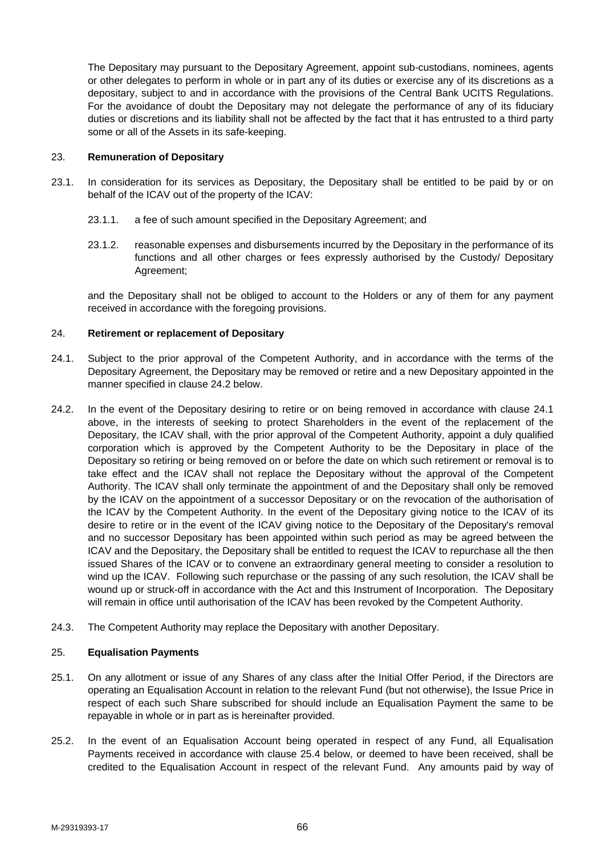The Depositary may pursuant to the Depositary Agreement, appoint sub-custodians, nominees, agents or other delegates to perform in whole or in part any of its duties or exercise any of its discretions as a depositary, subject to and in accordance with the provisions of the Central Bank UCITS Regulations. For the avoidance of doubt the Depositary may not delegate the performance of any of its fiduciary duties or discretions and its liability shall not be affected by the fact that it has entrusted to a third party some or all of the Assets in its safe-keeping.

# 23. **Remuneration of Depositary**

- 23.1. In consideration for its services as Depositary, the Depositary shall be entitled to be paid by or on behalf of the ICAV out of the property of the ICAV:
	- 23.1.1. a fee of such amount specified in the Depositary Agreement; and
	- 23.1.2. reasonable expenses and disbursements incurred by the Depositary in the performance of its functions and all other charges or fees expressly authorised by the Custody/ Depositary Agreement;

and the Depositary shall not be obliged to account to the Holders or any of them for any payment received in accordance with the foregoing provisions.

### 24. **Retirement or replacement of Depositary**

- 24.1. Subject to the prior approval of the Competent Authority, and in accordance with the terms of the Depositary Agreement, the Depositary may be removed or retire and a new Depositary appointed in the manner specified in clause 24.2 below.
- 24.2. In the event of the Depositary desiring to retire or on being removed in accordance with clause 24.1 above, in the interests of seeking to protect Shareholders in the event of the replacement of the Depositary, the ICAV shall, with the prior approval of the Competent Authority, appoint a duly qualified corporation which is approved by the Competent Authority to be the Depositary in place of the Depositary so retiring or being removed on or before the date on which such retirement or removal is to take effect and the ICAV shall not replace the Depositary without the approval of the Competent Authority. The ICAV shall only terminate the appointment of and the Depositary shall only be removed by the ICAV on the appointment of a successor Depositary or on the revocation of the authorisation of the ICAV by the Competent Authority. In the event of the Depositary giving notice to the ICAV of its desire to retire or in the event of the ICAV giving notice to the Depositary of the Depositary's removal and no successor Depositary has been appointed within such period as may be agreed between the ICAV and the Depositary, the Depositary shall be entitled to request the ICAV to repurchase all the then issued Shares of the ICAV or to convene an extraordinary general meeting to consider a resolution to wind up the ICAV. Following such repurchase or the passing of any such resolution, the ICAV shall be wound up or struck-off in accordance with the Act and this Instrument of Incorporation. The Depositary will remain in office until authorisation of the ICAV has been revoked by the Competent Authority.
- 24.3. The Competent Authority may replace the Depositary with another Depositary.

# 25. **Equalisation Payments**

- 25.1. On any allotment or issue of any Shares of any class after the Initial Offer Period, if the Directors are operating an Equalisation Account in relation to the relevant Fund (but not otherwise), the Issue Price in respect of each such Share subscribed for should include an Equalisation Payment the same to be repayable in whole or in part as is hereinafter provided.
- 25.2. In the event of an Equalisation Account being operated in respect of any Fund, all Equalisation Payments received in accordance with clause 25.4 below, or deemed to have been received, shall be credited to the Equalisation Account in respect of the relevant Fund. Any amounts paid by way of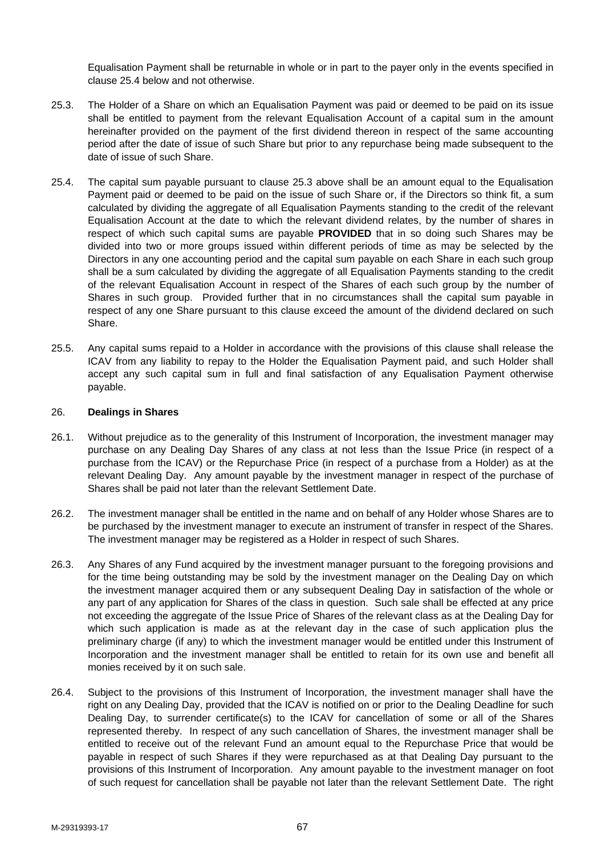Equalisation Payment shall be returnable in whole or in part to the payer only in the events specified in clause 25.4 below and not otherwise.

- 25.3. The Holder of a Share on which an Equalisation Payment was paid or deemed to be paid on its issue shall be entitled to payment from the relevant Equalisation Account of a capital sum in the amount hereinafter provided on the payment of the first dividend thereon in respect of the same accounting period after the date of issue of such Share but prior to any repurchase being made subsequent to the date of issue of such Share.
- 25.4. The capital sum payable pursuant to clause 25.3 above shall be an amount equal to the Equalisation Payment paid or deemed to be paid on the issue of such Share or, if the Directors so think fit, a sum calculated by dividing the aggregate of all Equalisation Payments standing to the credit of the relevant Equalisation Account at the date to which the relevant dividend relates, by the number of shares in respect of which such capital sums are payable **PROVIDED** that in so doing such Shares may be divided into two or more groups issued within different periods of time as may be selected by the Directors in any one accounting period and the capital sum payable on each Share in each such group shall be a sum calculated by dividing the aggregate of all Equalisation Payments standing to the credit of the relevant Equalisation Account in respect of the Shares of each such group by the number of Shares in such group. Provided further that in no circumstances shall the capital sum payable in respect of any one Share pursuant to this clause exceed the amount of the dividend declared on such Share.
- 25.5. Any capital sums repaid to a Holder in accordance with the provisions of this clause shall release the ICAV from any liability to repay to the Holder the Equalisation Payment paid, and such Holder shall accept any such capital sum in full and final satisfaction of any Equalisation Payment otherwise payable.

### 26. **Dealings in Shares**

- 26.1. Without prejudice as to the generality of this Instrument of Incorporation, the investment manager may purchase on any Dealing Day Shares of any class at not less than the Issue Price (in respect of a purchase from the ICAV) or the Repurchase Price (in respect of a purchase from a Holder) as at the relevant Dealing Day. Any amount payable by the investment manager in respect of the purchase of Shares shall be paid not later than the relevant Settlement Date.
- 26.2. The investment manager shall be entitled in the name and on behalf of any Holder whose Shares are to be purchased by the investment manager to execute an instrument of transfer in respect of the Shares. The investment manager may be registered as a Holder in respect of such Shares.
- 26.3. Any Shares of any Fund acquired by the investment manager pursuant to the foregoing provisions and for the time being outstanding may be sold by the investment manager on the Dealing Day on which the investment manager acquired them or any subsequent Dealing Day in satisfaction of the whole or any part of any application for Shares of the class in question. Such sale shall be effected at any price not exceeding the aggregate of the Issue Price of Shares of the relevant class as at the Dealing Day for which such application is made as at the relevant day in the case of such application plus the preliminary charge (if any) to which the investment manager would be entitled under this Instrument of Incorporation and the investment manager shall be entitled to retain for its own use and benefit all monies received by it on such sale.
- 26.4. Subject to the provisions of this Instrument of Incorporation, the investment manager shall have the right on any Dealing Day, provided that the ICAV is notified on or prior to the Dealing Deadline for such Dealing Day, to surrender certificate(s) to the ICAV for cancellation of some or all of the Shares represented thereby. In respect of any such cancellation of Shares, the investment manager shall be entitled to receive out of the relevant Fund an amount equal to the Repurchase Price that would be payable in respect of such Shares if they were repurchased as at that Dealing Day pursuant to the provisions of this Instrument of Incorporation. Any amount payable to the investment manager on foot of such request for cancellation shall be payable not later than the relevant Settlement Date. The right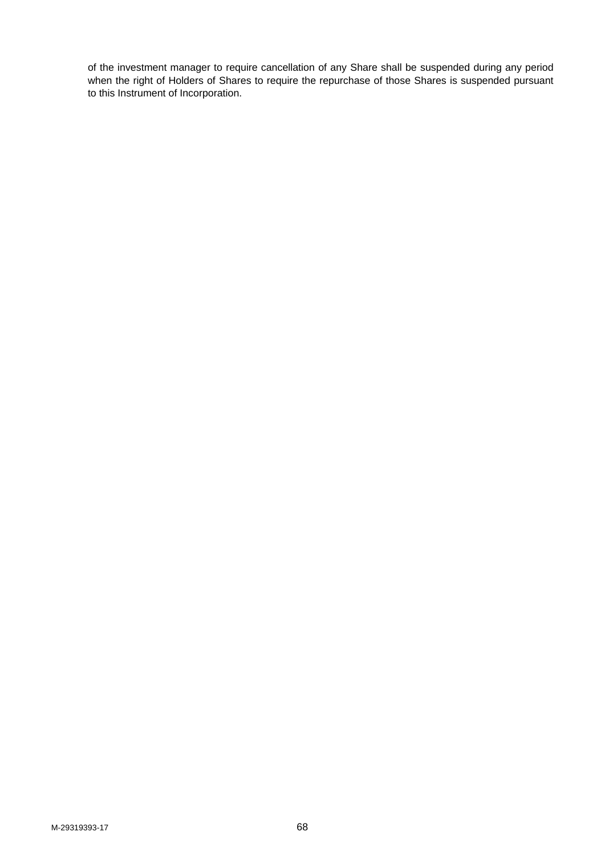of the investment manager to require cancellation of any Share shall be suspended during any period when the right of Holders of Shares to require the repurchase of those Shares is suspended pursuant to this Instrument of Incorporation.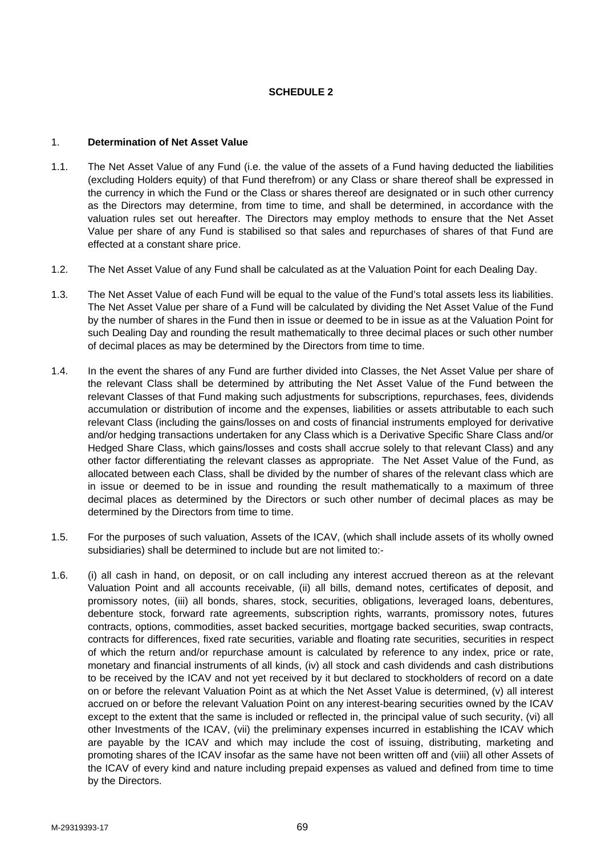# **SCHEDULE 2**

### 1. **Determination of Net Asset Value**

- 1.1. The Net Asset Value of any Fund (i.e. the value of the assets of a Fund having deducted the liabilities (excluding Holders equity) of that Fund therefrom) or any Class or share thereof shall be expressed in the currency in which the Fund or the Class or shares thereof are designated or in such other currency as the Directors may determine, from time to time, and shall be determined, in accordance with the valuation rules set out hereafter. The Directors may employ methods to ensure that the Net Asset Value per share of any Fund is stabilised so that sales and repurchases of shares of that Fund are effected at a constant share price.
- 1.2. The Net Asset Value of any Fund shall be calculated as at the Valuation Point for each Dealing Day.
- 1.3. The Net Asset Value of each Fund will be equal to the value of the Fund's total assets less its liabilities. The Net Asset Value per share of a Fund will be calculated by dividing the Net Asset Value of the Fund by the number of shares in the Fund then in issue or deemed to be in issue as at the Valuation Point for such Dealing Day and rounding the result mathematically to three decimal places or such other number of decimal places as may be determined by the Directors from time to time.
- 1.4. In the event the shares of any Fund are further divided into Classes, the Net Asset Value per share of the relevant Class shall be determined by attributing the Net Asset Value of the Fund between the relevant Classes of that Fund making such adjustments for subscriptions, repurchases, fees, dividends accumulation or distribution of income and the expenses, liabilities or assets attributable to each such relevant Class (including the gains/losses on and costs of financial instruments employed for derivative and/or hedging transactions undertaken for any Class which is a Derivative Specific Share Class and/or Hedged Share Class, which gains/losses and costs shall accrue solely to that relevant Class) and any other factor differentiating the relevant classes as appropriate. The Net Asset Value of the Fund, as allocated between each Class, shall be divided by the number of shares of the relevant class which are in issue or deemed to be in issue and rounding the result mathematically to a maximum of three decimal places as determined by the Directors or such other number of decimal places as may be determined by the Directors from time to time.
- 1.5. For the purposes of such valuation, Assets of the ICAV, (which shall include assets of its wholly owned subsidiaries) shall be determined to include but are not limited to:-
- 1.6. (i) all cash in hand, on deposit, or on call including any interest accrued thereon as at the relevant Valuation Point and all accounts receivable, (ii) all bills, demand notes, certificates of deposit, and promissory notes, (iii) all bonds, shares, stock, securities, obligations, leveraged loans, debentures, debenture stock, forward rate agreements, subscription rights, warrants, promissory notes, futures contracts, options, commodities, asset backed securities, mortgage backed securities, swap contracts, contracts for differences, fixed rate securities, variable and floating rate securities, securities in respect of which the return and/or repurchase amount is calculated by reference to any index, price or rate, monetary and financial instruments of all kinds, (iv) all stock and cash dividends and cash distributions to be received by the ICAV and not yet received by it but declared to stockholders of record on a date on or before the relevant Valuation Point as at which the Net Asset Value is determined, (v) all interest accrued on or before the relevant Valuation Point on any interest-bearing securities owned by the ICAV except to the extent that the same is included or reflected in, the principal value of such security, (vi) all other Investments of the ICAV, (vii) the preliminary expenses incurred in establishing the ICAV which are payable by the ICAV and which may include the cost of issuing, distributing, marketing and promoting shares of the ICAV insofar as the same have not been written off and (viii) all other Assets of the ICAV of every kind and nature including prepaid expenses as valued and defined from time to time by the Directors.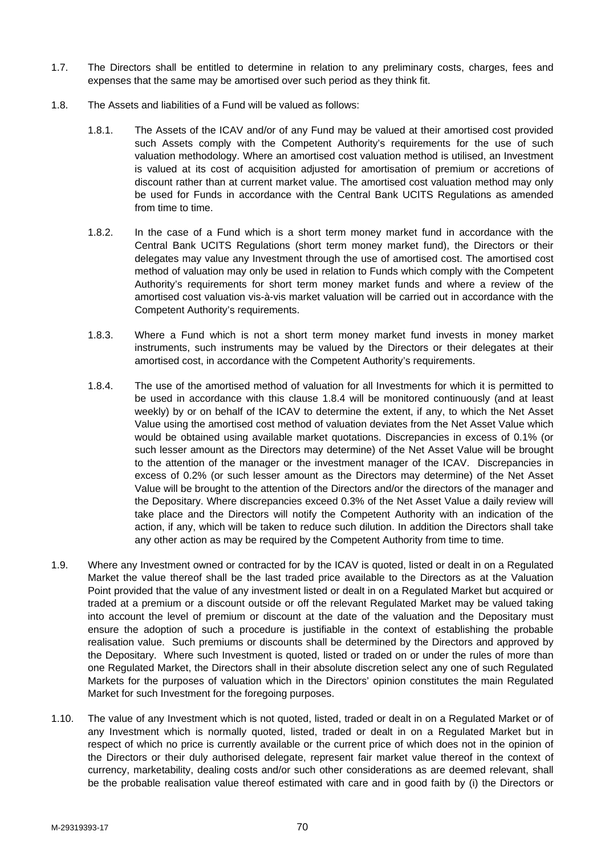- 1.7. The Directors shall be entitled to determine in relation to any preliminary costs, charges, fees and expenses that the same may be amortised over such period as they think fit.
- 1.8. The Assets and liabilities of a Fund will be valued as follows:
	- 1.8.1. The Assets of the ICAV and/or of any Fund may be valued at their amortised cost provided such Assets comply with the Competent Authority's requirements for the use of such valuation methodology. Where an amortised cost valuation method is utilised, an Investment is valued at its cost of acquisition adjusted for amortisation of premium or accretions of discount rather than at current market value. The amortised cost valuation method may only be used for Funds in accordance with the Central Bank UCITS Regulations as amended from time to time.
	- 1.8.2. In the case of a Fund which is a short term money market fund in accordance with the Central Bank UCITS Regulations (short term money market fund), the Directors or their delegates may value any Investment through the use of amortised cost. The amortised cost method of valuation may only be used in relation to Funds which comply with the Competent Authority's requirements for short term money market funds and where a review of the amortised cost valuation vis-à-vis market valuation will be carried out in accordance with the Competent Authority's requirements.
	- 1.8.3. Where a Fund which is not a short term money market fund invests in money market instruments, such instruments may be valued by the Directors or their delegates at their amortised cost, in accordance with the Competent Authority's requirements.
	- 1.8.4. The use of the amortised method of valuation for all Investments for which it is permitted to be used in accordance with this clause 1.8.4 will be monitored continuously (and at least weekly) by or on behalf of the ICAV to determine the extent, if any, to which the Net Asset Value using the amortised cost method of valuation deviates from the Net Asset Value which would be obtained using available market quotations. Discrepancies in excess of 0.1% (or such lesser amount as the Directors may determine) of the Net Asset Value will be brought to the attention of the manager or the investment manager of the ICAV. Discrepancies in excess of 0.2% (or such lesser amount as the Directors may determine) of the Net Asset Value will be brought to the attention of the Directors and/or the directors of the manager and the Depositary. Where discrepancies exceed 0.3% of the Net Asset Value a daily review will take place and the Directors will notify the Competent Authority with an indication of the action, if any, which will be taken to reduce such dilution. In addition the Directors shall take any other action as may be required by the Competent Authority from time to time.
- 1.9. Where any Investment owned or contracted for by the ICAV is quoted, listed or dealt in on a Regulated Market the value thereof shall be the last traded price available to the Directors as at the Valuation Point provided that the value of any investment listed or dealt in on a Regulated Market but acquired or traded at a premium or a discount outside or off the relevant Regulated Market may be valued taking into account the level of premium or discount at the date of the valuation and the Depositary must ensure the adoption of such a procedure is justifiable in the context of establishing the probable realisation value. Such premiums or discounts shall be determined by the Directors and approved by the Depositary. Where such Investment is quoted, listed or traded on or under the rules of more than one Regulated Market, the Directors shall in their absolute discretion select any one of such Regulated Markets for the purposes of valuation which in the Directors' opinion constitutes the main Regulated Market for such Investment for the foregoing purposes.
- 1.10. The value of any Investment which is not quoted, listed, traded or dealt in on a Regulated Market or of any Investment which is normally quoted, listed, traded or dealt in on a Regulated Market but in respect of which no price is currently available or the current price of which does not in the opinion of the Directors or their duly authorised delegate, represent fair market value thereof in the context of currency, marketability, dealing costs and/or such other considerations as are deemed relevant, shall be the probable realisation value thereof estimated with care and in good faith by (i) the Directors or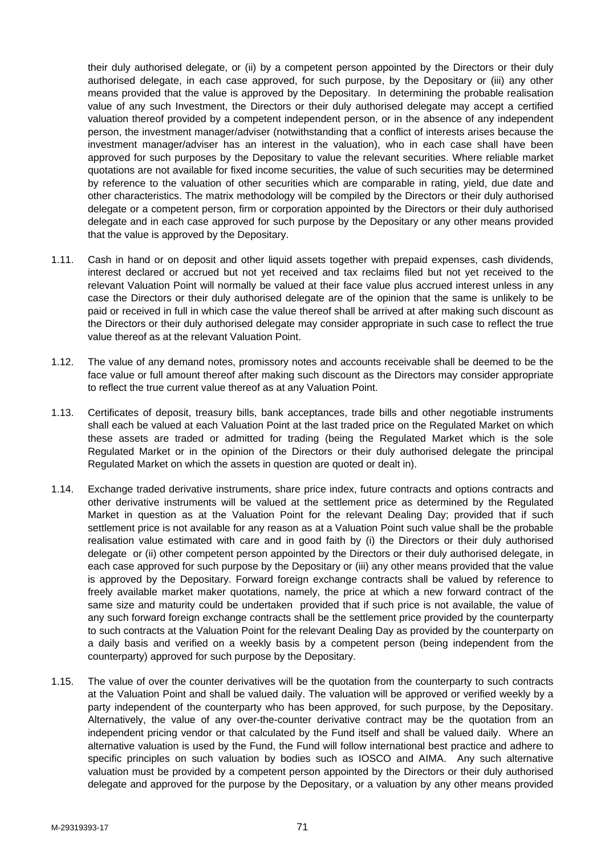their duly authorised delegate, or (ii) by a competent person appointed by the Directors or their duly authorised delegate, in each case approved, for such purpose, by the Depositary or (iii) any other means provided that the value is approved by the Depositary. In determining the probable realisation value of any such Investment, the Directors or their duly authorised delegate may accept a certified valuation thereof provided by a competent independent person, or in the absence of any independent person, the investment manager/adviser (notwithstanding that a conflict of interests arises because the investment manager/adviser has an interest in the valuation), who in each case shall have been approved for such purposes by the Depositary to value the relevant securities. Where reliable market quotations are not available for fixed income securities, the value of such securities may be determined by reference to the valuation of other securities which are comparable in rating, yield, due date and other characteristics. The matrix methodology will be compiled by the Directors or their duly authorised delegate or a competent person, firm or corporation appointed by the Directors or their duly authorised delegate and in each case approved for such purpose by the Depositary or any other means provided that the value is approved by the Depositary.

- 1.11. Cash in hand or on deposit and other liquid assets together with prepaid expenses, cash dividends, interest declared or accrued but not yet received and tax reclaims filed but not yet received to the relevant Valuation Point will normally be valued at their face value plus accrued interest unless in any case the Directors or their duly authorised delegate are of the opinion that the same is unlikely to be paid or received in full in which case the value thereof shall be arrived at after making such discount as the Directors or their duly authorised delegate may consider appropriate in such case to reflect the true value thereof as at the relevant Valuation Point.
- 1.12. The value of any demand notes, promissory notes and accounts receivable shall be deemed to be the face value or full amount thereof after making such discount as the Directors may consider appropriate to reflect the true current value thereof as at any Valuation Point.
- 1.13. Certificates of deposit, treasury bills, bank acceptances, trade bills and other negotiable instruments shall each be valued at each Valuation Point at the last traded price on the Regulated Market on which these assets are traded or admitted for trading (being the Regulated Market which is the sole Regulated Market or in the opinion of the Directors or their duly authorised delegate the principal Regulated Market on which the assets in question are quoted or dealt in).
- 1.14. Exchange traded derivative instruments, share price index, future contracts and options contracts and other derivative instruments will be valued at the settlement price as determined by the Regulated Market in question as at the Valuation Point for the relevant Dealing Day; provided that if such settlement price is not available for any reason as at a Valuation Point such value shall be the probable realisation value estimated with care and in good faith by (i) the Directors or their duly authorised delegate or (ii) other competent person appointed by the Directors or their duly authorised delegate, in each case approved for such purpose by the Depositary or (iii) any other means provided that the value is approved by the Depositary. Forward foreign exchange contracts shall be valued by reference to freely available market maker quotations, namely, the price at which a new forward contract of the same size and maturity could be undertaken provided that if such price is not available, the value of any such forward foreign exchange contracts shall be the settlement price provided by the counterparty to such contracts at the Valuation Point for the relevant Dealing Day as provided by the counterparty on a daily basis and verified on a weekly basis by a competent person (being independent from the counterparty) approved for such purpose by the Depositary.
- 1.15. The value of over the counter derivatives will be the quotation from the counterparty to such contracts at the Valuation Point and shall be valued daily. The valuation will be approved or verified weekly by a party independent of the counterparty who has been approved, for such purpose, by the Depositary. Alternatively, the value of any over-the-counter derivative contract may be the quotation from an independent pricing vendor or that calculated by the Fund itself and shall be valued daily. Where an alternative valuation is used by the Fund, the Fund will follow international best practice and adhere to specific principles on such valuation by bodies such as IOSCO and AIMA. Any such alternative valuation must be provided by a competent person appointed by the Directors or their duly authorised delegate and approved for the purpose by the Depositary, or a valuation by any other means provided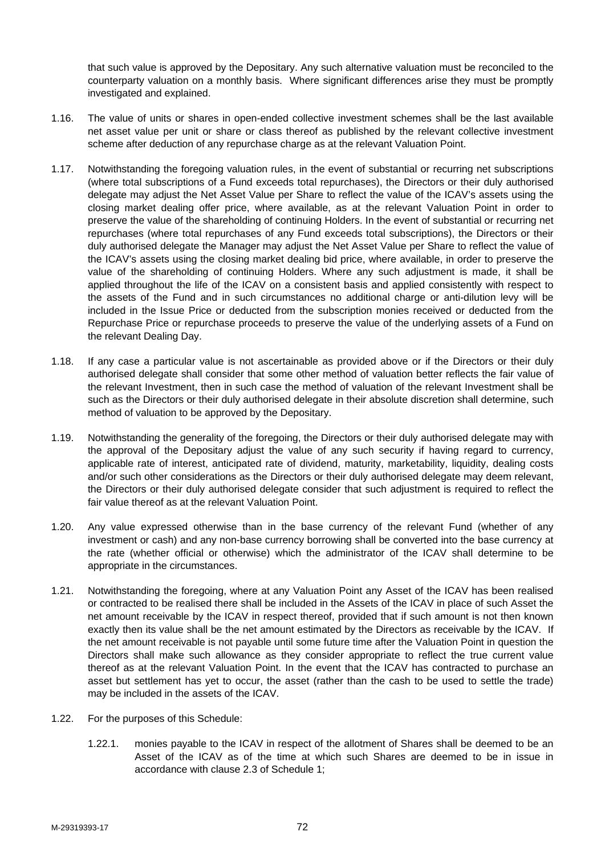that such value is approved by the Depositary. Any such alternative valuation must be reconciled to the counterparty valuation on a monthly basis. Where significant differences arise they must be promptly investigated and explained.

- 1.16. The value of units or shares in open-ended collective investment schemes shall be the last available net asset value per unit or share or class thereof as published by the relevant collective investment scheme after deduction of any repurchase charge as at the relevant Valuation Point.
- 1.17. Notwithstanding the foregoing valuation rules, in the event of substantial or recurring net subscriptions (where total subscriptions of a Fund exceeds total repurchases), the Directors or their duly authorised delegate may adjust the Net Asset Value per Share to reflect the value of the ICAV's assets using the closing market dealing offer price, where available, as at the relevant Valuation Point in order to preserve the value of the shareholding of continuing Holders. In the event of substantial or recurring net repurchases (where total repurchases of any Fund exceeds total subscriptions), the Directors or their duly authorised delegate the Manager may adjust the Net Asset Value per Share to reflect the value of the ICAV's assets using the closing market dealing bid price, where available, in order to preserve the value of the shareholding of continuing Holders. Where any such adjustment is made, it shall be applied throughout the life of the ICAV on a consistent basis and applied consistently with respect to the assets of the Fund and in such circumstances no additional charge or anti-dilution levy will be included in the Issue Price or deducted from the subscription monies received or deducted from the Repurchase Price or repurchase proceeds to preserve the value of the underlying assets of a Fund on the relevant Dealing Day.
- 1.18. If any case a particular value is not ascertainable as provided above or if the Directors or their duly authorised delegate shall consider that some other method of valuation better reflects the fair value of the relevant Investment, then in such case the method of valuation of the relevant Investment shall be such as the Directors or their duly authorised delegate in their absolute discretion shall determine, such method of valuation to be approved by the Depositary.
- 1.19. Notwithstanding the generality of the foregoing, the Directors or their duly authorised delegate may with the approval of the Depositary adjust the value of any such security if having regard to currency, applicable rate of interest, anticipated rate of dividend, maturity, marketability, liquidity, dealing costs and/or such other considerations as the Directors or their duly authorised delegate may deem relevant, the Directors or their duly authorised delegate consider that such adjustment is required to reflect the fair value thereof as at the relevant Valuation Point.
- 1.20. Any value expressed otherwise than in the base currency of the relevant Fund (whether of any investment or cash) and any non-base currency borrowing shall be converted into the base currency at the rate (whether official or otherwise) which the administrator of the ICAV shall determine to be appropriate in the circumstances.
- 1.21. Notwithstanding the foregoing, where at any Valuation Point any Asset of the ICAV has been realised or contracted to be realised there shall be included in the Assets of the ICAV in place of such Asset the net amount receivable by the ICAV in respect thereof, provided that if such amount is not then known exactly then its value shall be the net amount estimated by the Directors as receivable by the ICAV. If the net amount receivable is not payable until some future time after the Valuation Point in question the Directors shall make such allowance as they consider appropriate to reflect the true current value thereof as at the relevant Valuation Point. In the event that the ICAV has contracted to purchase an asset but settlement has yet to occur, the asset (rather than the cash to be used to settle the trade) may be included in the assets of the ICAV.
- 1.22. For the purposes of this Schedule:
	- 1.22.1. monies payable to the ICAV in respect of the allotment of Shares shall be deemed to be an Asset of the ICAV as of the time at which such Shares are deemed to be in issue in accordance with clause 2.3 of Schedule 1;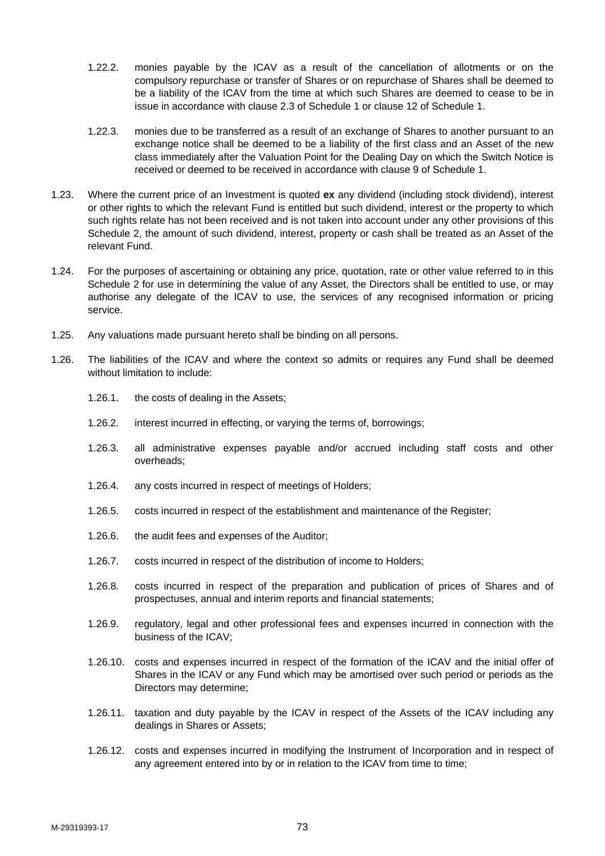- 1.22.2. monies payable by the ICAV as a result of the cancellation of allotments or on the compulsory repurchase or transfer of Shares or on repurchase of Shares shall be deemed to be a liability of the ICAV from the time at which such Shares are deemed to cease to be in issue in accordance with clause 2.3 of Schedule 1 or clause 12 of Schedule 1.
- 1.22.3. monies due to be transferred as a result of an exchange of Shares to another pursuant to an exchange notice shall be deemed to be a liability of the first class and an Asset of the new class immediately after the Valuation Point for the Dealing Day on which the Switch Notice is received or deemed to be received in accordance with clause 9 of Schedule 1.
- 1.23. Where the current price of an Investment is quoted **ex** any dividend (including stock dividend), interest or other rights to which the relevant Fund is entitled but such dividend, interest or the property to which such rights relate has not been received and is not taken into account under any other provisions of this Schedule 2, the amount of such dividend, interest, property or cash shall be treated as an Asset of the relevant Fund.
- 1.24. For the purposes of ascertaining or obtaining any price, quotation, rate or other value referred to in this Schedule 2 for use in determining the value of any Asset, the Directors shall be entitled to use, or may authorise any delegate of the ICAV to use, the services of any recognised information or pricing service.
- 1.25. Any valuations made pursuant hereto shall be binding on all persons.
- 1.26. The liabilities of the ICAV and where the context so admits or requires any Fund shall be deemed without limitation to include:
	- 1.26.1. the costs of dealing in the Assets;
	- 1.26.2. interest incurred in effecting, or varying the terms of, borrowings;
	- 1.26.3. all administrative expenses payable and/or accrued including staff costs and other overheads;
	- 1.26.4. any costs incurred in respect of meetings of Holders;
	- 1.26.5. costs incurred in respect of the establishment and maintenance of the Register;
	- 1.26.6. the audit fees and expenses of the Auditor;
	- 1.26.7. costs incurred in respect of the distribution of income to Holders;
	- 1.26.8. costs incurred in respect of the preparation and publication of prices of Shares and of prospectuses, annual and interim reports and financial statements;
	- 1.26.9. regulatory, legal and other professional fees and expenses incurred in connection with the business of the ICAV;
	- 1.26.10. costs and expenses incurred in respect of the formation of the ICAV and the initial offer of Shares in the ICAV or any Fund which may be amortised over such period or periods as the Directors may determine;
	- 1.26.11. taxation and duty payable by the ICAV in respect of the Assets of the ICAV including any dealings in Shares or Assets;
	- 1.26.12. costs and expenses incurred in modifying the Instrument of Incorporation and in respect of any agreement entered into by or in relation to the ICAV from time to time;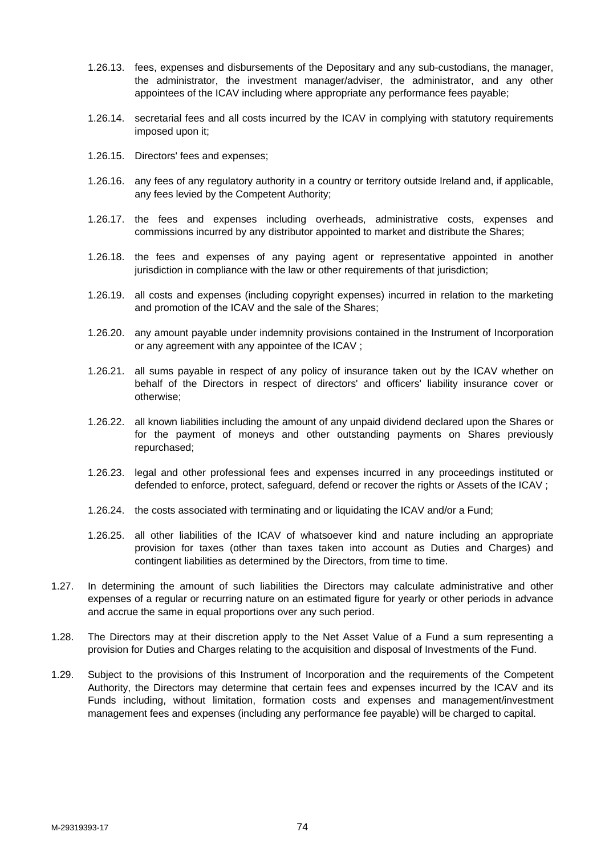- 1.26.13. fees, expenses and disbursements of the Depositary and any sub-custodians, the manager, the administrator, the investment manager/adviser, the administrator, and any other appointees of the ICAV including where appropriate any performance fees payable;
- 1.26.14. secretarial fees and all costs incurred by the ICAV in complying with statutory requirements imposed upon it;
- 1.26.15. Directors' fees and expenses;
- 1.26.16. any fees of any regulatory authority in a country or territory outside Ireland and, if applicable, any fees levied by the Competent Authority;
- 1.26.17. the fees and expenses including overheads, administrative costs, expenses and commissions incurred by any distributor appointed to market and distribute the Shares;
- 1.26.18. the fees and expenses of any paying agent or representative appointed in another jurisdiction in compliance with the law or other requirements of that jurisdiction;
- 1.26.19. all costs and expenses (including copyright expenses) incurred in relation to the marketing and promotion of the ICAV and the sale of the Shares;
- 1.26.20. any amount payable under indemnity provisions contained in the Instrument of Incorporation or any agreement with any appointee of the ICAV ;
- 1.26.21. all sums payable in respect of any policy of insurance taken out by the ICAV whether on behalf of the Directors in respect of directors' and officers' liability insurance cover or otherwise;
- 1.26.22. all known liabilities including the amount of any unpaid dividend declared upon the Shares or for the payment of moneys and other outstanding payments on Shares previously repurchased;
- 1.26.23. legal and other professional fees and expenses incurred in any proceedings instituted or defended to enforce, protect, safeguard, defend or recover the rights or Assets of the ICAV ;
- 1.26.24. the costs associated with terminating and or liquidating the ICAV and/or a Fund;
- 1.26.25. all other liabilities of the ICAV of whatsoever kind and nature including an appropriate provision for taxes (other than taxes taken into account as Duties and Charges) and contingent liabilities as determined by the Directors, from time to time.
- 1.27. In determining the amount of such liabilities the Directors may calculate administrative and other expenses of a regular or recurring nature on an estimated figure for yearly or other periods in advance and accrue the same in equal proportions over any such period.
- 1.28. The Directors may at their discretion apply to the Net Asset Value of a Fund a sum representing a provision for Duties and Charges relating to the acquisition and disposal of Investments of the Fund.
- 1.29. Subject to the provisions of this Instrument of Incorporation and the requirements of the Competent Authority, the Directors may determine that certain fees and expenses incurred by the ICAV and its Funds including, without limitation, formation costs and expenses and management/investment management fees and expenses (including any performance fee payable) will be charged to capital.